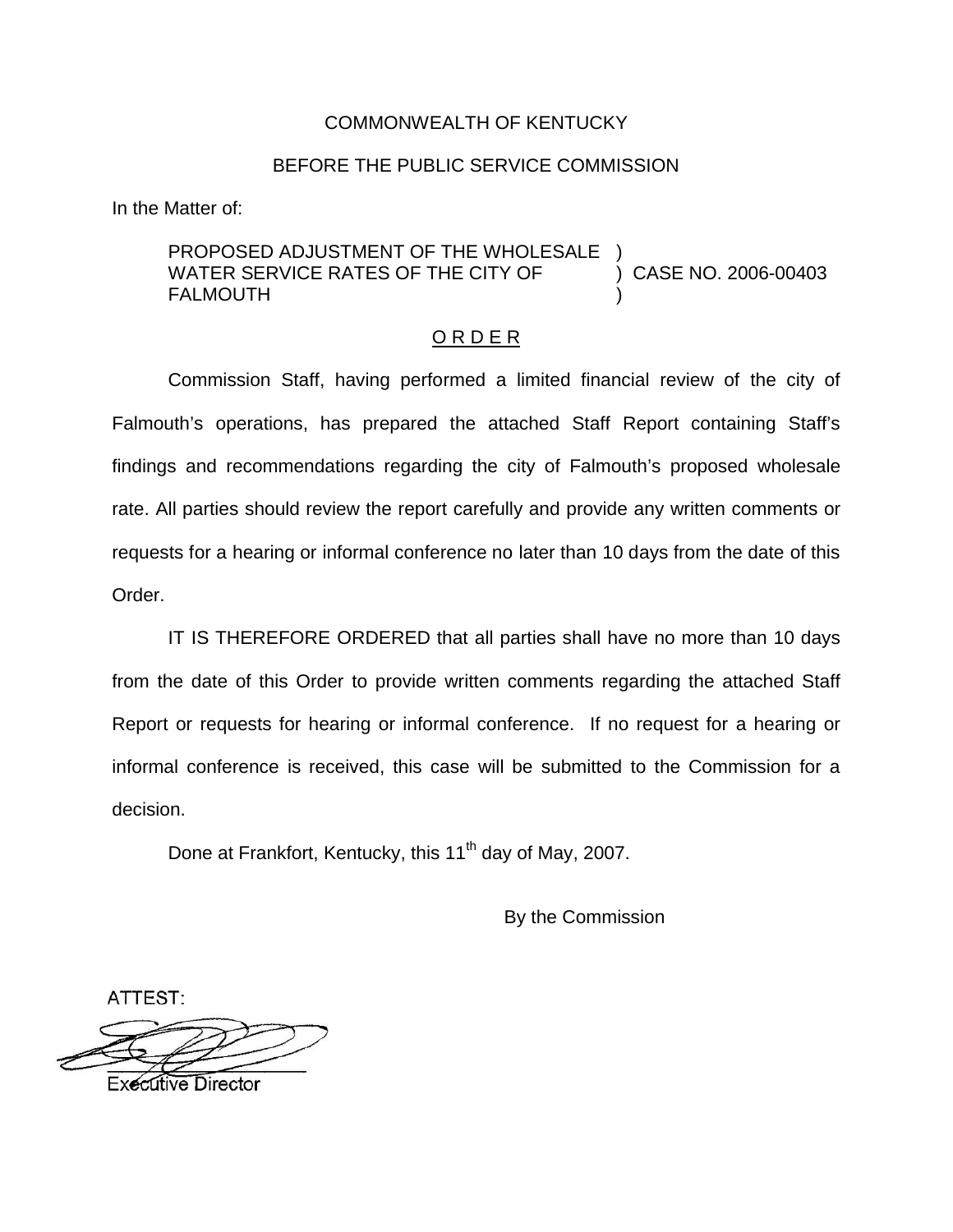## COMMONWEALTH OF KENTUCKY

## BEFORE THE PUBLIC SERVICE COMMISSION

In the Matter of:

## PROPOSED ADJUSTMENT OF THE WHOLESALE WATER SERVICE RATES OF THE CITY OF (2006-00403) **FALMOUTH**

## O R D E R

Commission Staff, having performed a limited financial review of the city of Falmouth's operations, has prepared the attached Staff Report containing Staff's findings and recommendations regarding the city of Falmouth's proposed wholesale rate. All parties should review the report carefully and provide any written comments or requests for a hearing or informal conference no later than 10 days from the date of this Order.

IT IS THEREFORE ORDERED that all parties shall have no more than 10 days from the date of this Order to provide written comments regarding the attached Staff Report or requests for hearing or informal conference. If no request for a hearing or informal conference is received, this case will be submitted to the Commission for a decision.

Done at Frankfort, Kentucky, this 11<sup>th</sup> day of May, 2007.

By the Commission

ATTEST:

**Executive Director**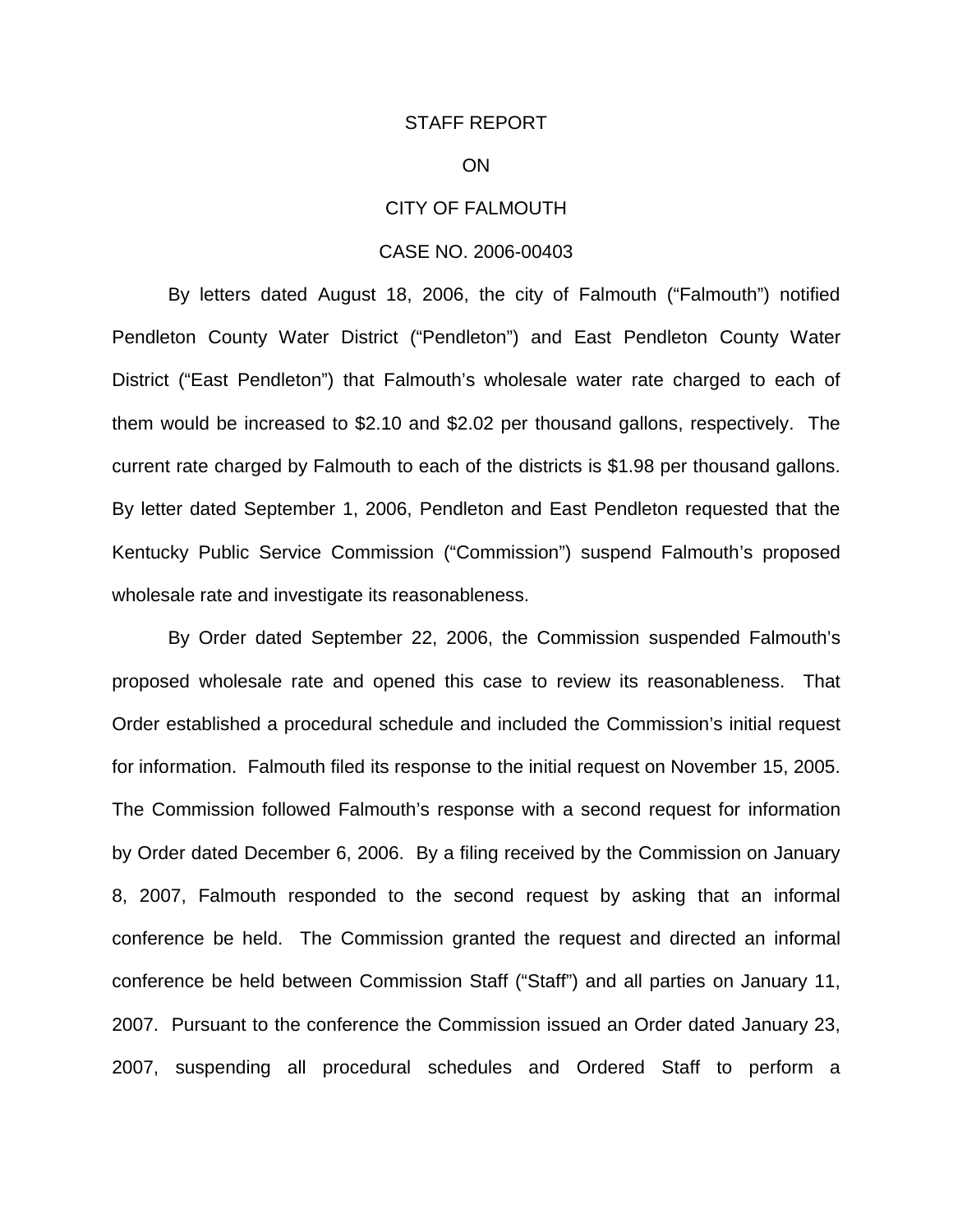#### STAFF REPORT

## ON

### CITY OF FALMOUTH

#### CASE NO. 2006-00403

By letters dated August 18, 2006, the city of Falmouth ("Falmouth") notified Pendleton County Water District ("Pendleton") and East Pendleton County Water District ("East Pendleton") that Falmouth's wholesale water rate charged to each of them would be increased to \$2.10 and \$2.02 per thousand gallons, respectively. The current rate charged by Falmouth to each of the districts is \$1.98 per thousand gallons. By letter dated September 1, 2006, Pendleton and East Pendleton requested that the Kentucky Public Service Commission ("Commission") suspend Falmouth's proposed wholesale rate and investigate its reasonableness.

By Order dated September 22, 2006, the Commission suspended Falmouth's proposed wholesale rate and opened this case to review its reasonableness. That Order established a procedural schedule and included the Commission's initial request for information. Falmouth filed its response to the initial request on November 15, 2005. The Commission followed Falmouth's response with a second request for information by Order dated December 6, 2006. By a filing received by the Commission on January 8, 2007, Falmouth responded to the second request by asking that an informal conference be held. The Commission granted the request and directed an informal conference be held between Commission Staff ("Staff") and all parties on January 11, 2007. Pursuant to the conference the Commission issued an Order dated January 23, 2007, suspending all procedural schedules and Ordered Staff to perform a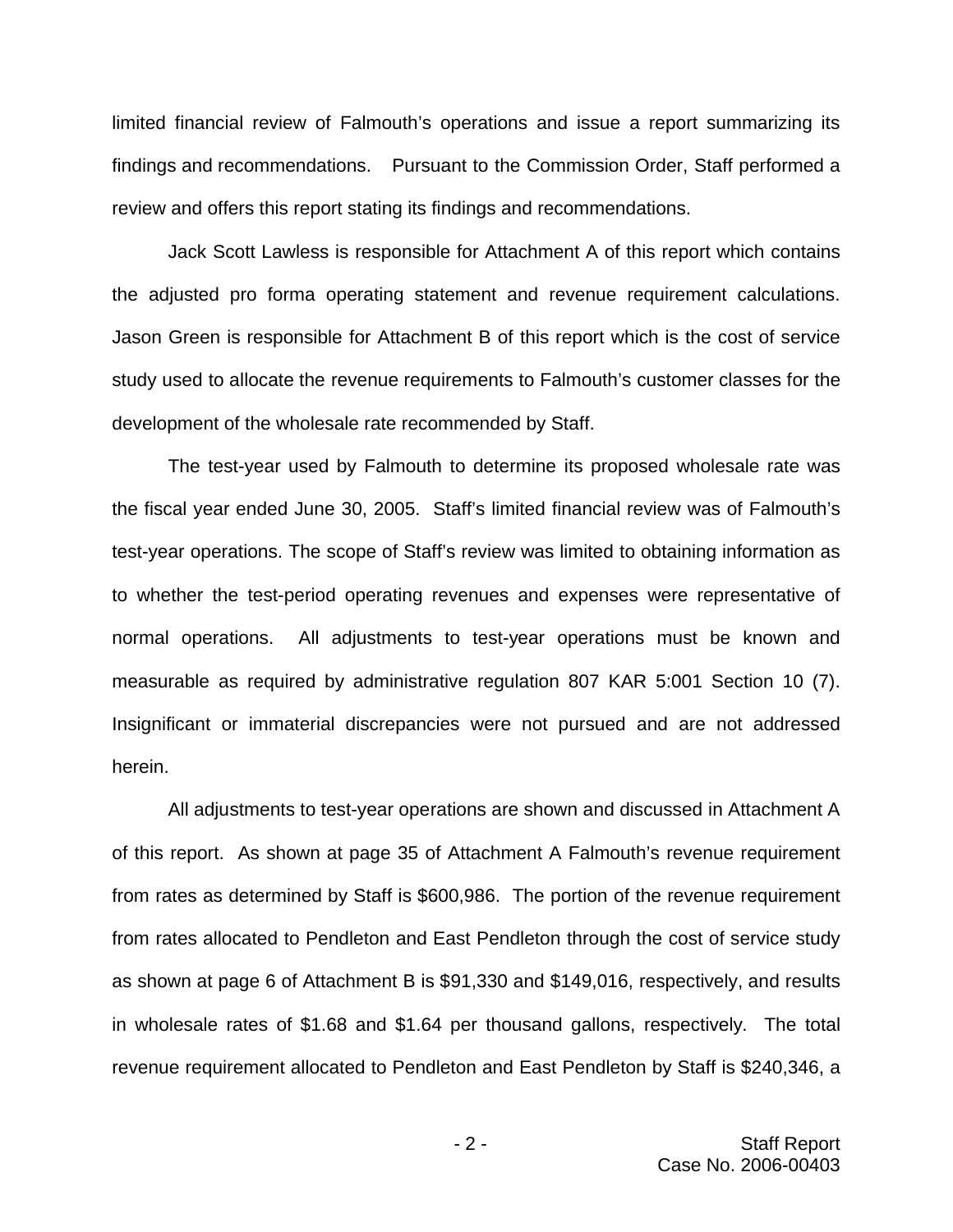limited financial review of Falmouth's operations and issue a report summarizing its findings and recommendations. Pursuant to the Commission Order, Staff performed a review and offers this report stating its findings and recommendations.

Jack Scott Lawless is responsible for Attachment A of this report which contains the adjusted pro forma operating statement and revenue requirement calculations. Jason Green is responsible for Attachment B of this report which is the cost of service study used to allocate the revenue requirements to Falmouth's customer classes for the development of the wholesale rate recommended by Staff.

The test-year used by Falmouth to determine its proposed wholesale rate was the fiscal year ended June 30, 2005. Staff's limited financial review was of Falmouth's test-year operations. The scope of Staff's review was limited to obtaining information as to whether the test-period operating revenues and expenses were representative of normal operations. All adjustments to test-year operations must be known and measurable as required by administrative regulation 807 KAR 5:001 Section 10 (7). Insignificant or immaterial discrepancies were not pursued and are not addressed herein.

All adjustments to test-year operations are shown and discussed in Attachment A of this report. As shown at page 35 of Attachment A Falmouth's revenue requirement from rates as determined by Staff is \$600,986. The portion of the revenue requirement from rates allocated to Pendleton and East Pendleton through the cost of service study as shown at page 6 of Attachment B is \$91,330 and \$149,016, respectively, and results in wholesale rates of \$1.68 and \$1.64 per thousand gallons, respectively. The total revenue requirement allocated to Pendleton and East Pendleton by Staff is \$240,346, a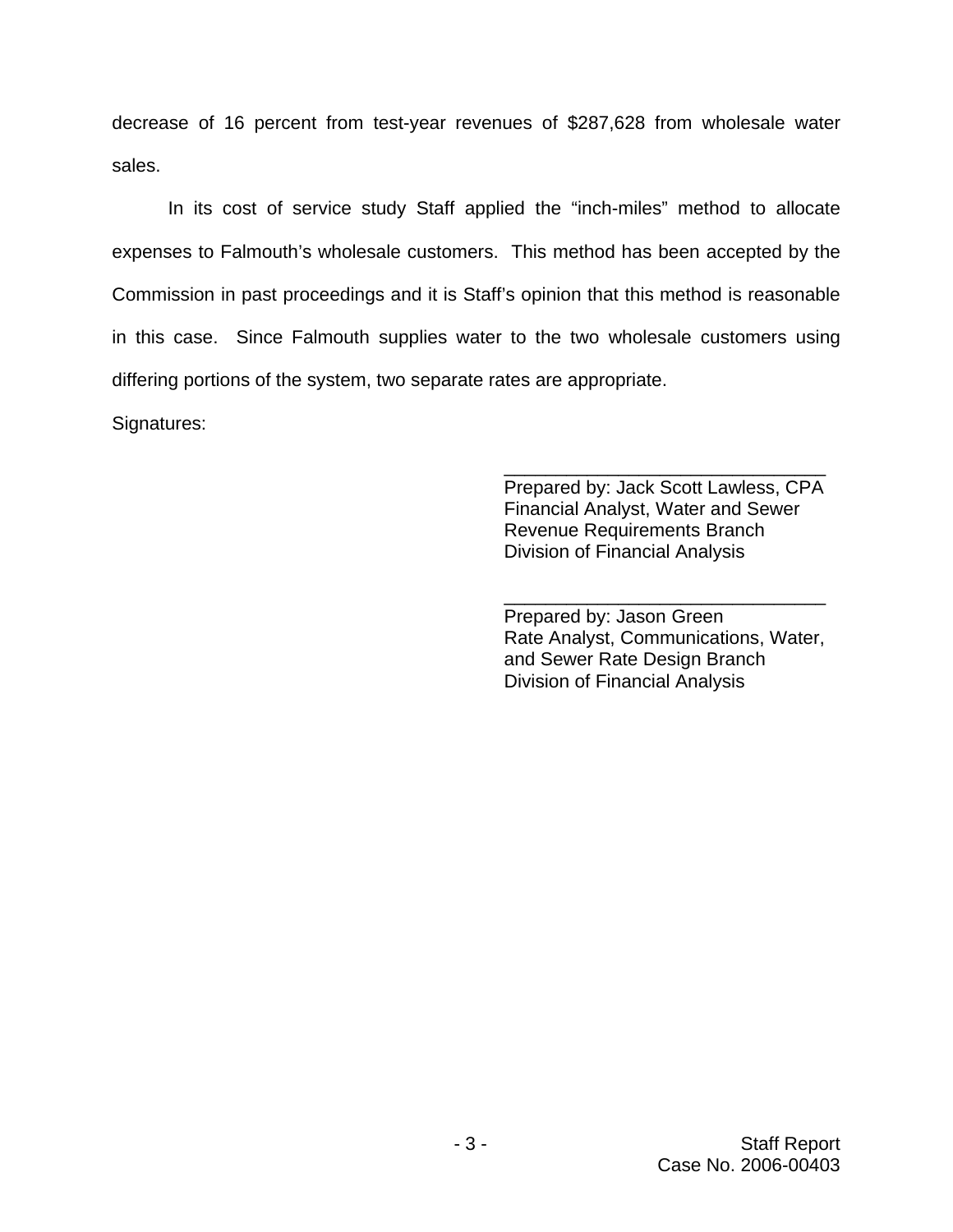decrease of 16 percent from test-year revenues of \$287,628 from wholesale water sales.

In its cost of service study Staff applied the "inch-miles" method to allocate expenses to Falmouth's wholesale customers. This method has been accepted by the Commission in past proceedings and it is Staff's opinion that this method is reasonable in this case. Since Falmouth supplies water to the two wholesale customers using differing portions of the system, two separate rates are appropriate.

Signatures:

Prepared by: Jack Scott Lawless, CPA Financial Analyst, Water and Sewer Revenue Requirements Branch Division of Financial Analysis

\_\_\_\_\_\_\_\_\_\_\_\_\_\_\_\_\_\_\_\_\_\_\_\_\_\_\_\_\_\_\_

Prepared by: Jason Green Rate Analyst, Communications, Water, and Sewer Rate Design Branch Division of Financial Analysis

\_\_\_\_\_\_\_\_\_\_\_\_\_\_\_\_\_\_\_\_\_\_\_\_\_\_\_\_\_\_\_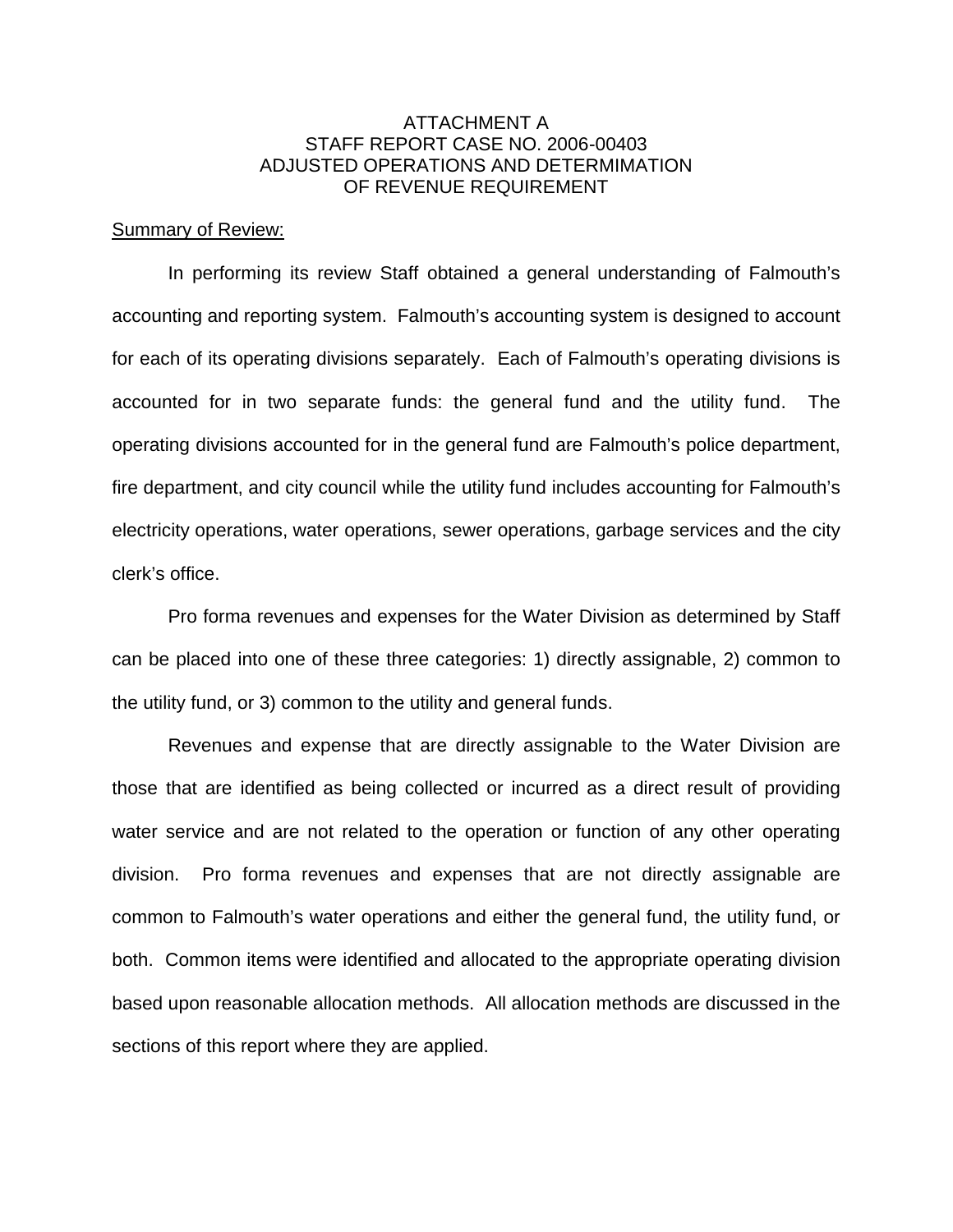## ATTACHMENT A STAFF REPORT CASE NO. 2006-00403 ADJUSTED OPERATIONS AND DETERMIMATION OF REVENUE REQUIREMENT

### Summary of Review:

In performing its review Staff obtained a general understanding of Falmouth's accounting and reporting system. Falmouth's accounting system is designed to account for each of its operating divisions separately. Each of Falmouth's operating divisions is accounted for in two separate funds: the general fund and the utility fund. The operating divisions accounted for in the general fund are Falmouth's police department, fire department, and city council while the utility fund includes accounting for Falmouth's electricity operations, water operations, sewer operations, garbage services and the city clerk's office.

Pro forma revenues and expenses for the Water Division as determined by Staff can be placed into one of these three categories: 1) directly assignable, 2) common to the utility fund, or 3) common to the utility and general funds.

Revenues and expense that are directly assignable to the Water Division are those that are identified as being collected or incurred as a direct result of providing water service and are not related to the operation or function of any other operating division. Pro forma revenues and expenses that are not directly assignable are common to Falmouth's water operations and either the general fund, the utility fund, or both. Common items were identified and allocated to the appropriate operating division based upon reasonable allocation methods. All allocation methods are discussed in the sections of this report where they are applied.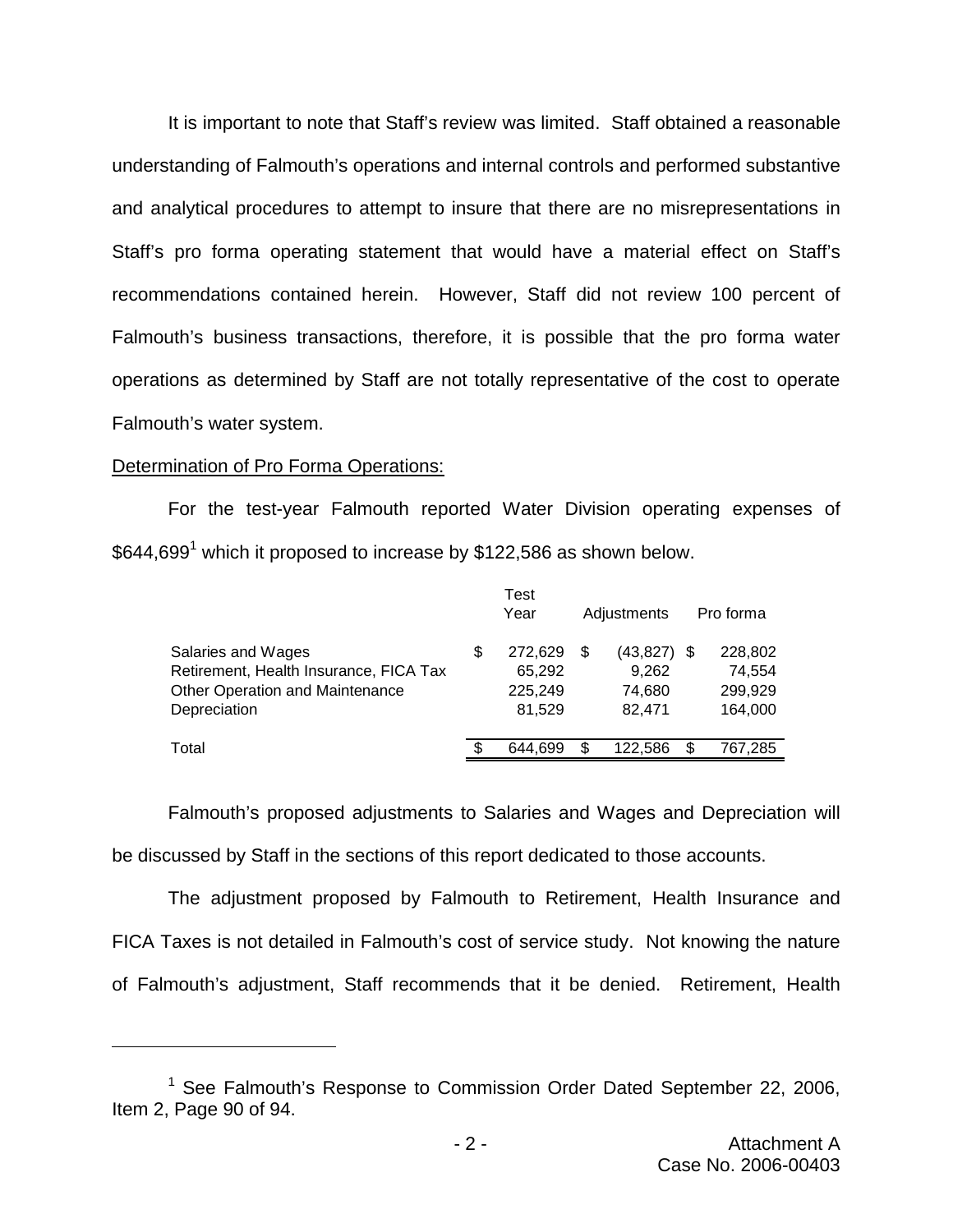It is important to note that Staff's review was limited. Staff obtained a reasonable understanding of Falmouth's operations and internal controls and performed substantive and analytical procedures to attempt to insure that there are no misrepresentations in Staff's pro forma operating statement that would have a material effect on Staff's recommendations contained herein. However, Staff did not review 100 percent of Falmouth's business transactions, therefore, it is possible that the pro forma water operations as determined by Staff are not totally representative of the cost to operate Falmouth's water system.

## Determination of Pro Forma Operations:

For the test-year Falmouth reported Water Division operating expenses of  $$644,699<sup>1</sup>$  which it proposed to increase by \$122,586 as shown below.

|                                        |   | Test    |    |               |   |           |
|----------------------------------------|---|---------|----|---------------|---|-----------|
|                                        |   | Year    |    | Adjustments   |   | Pro forma |
| Salaries and Wages                     | S | 272.629 | S  | $(43,827)$ \$ |   | 228,802   |
| Retirement, Health Insurance, FICA Tax |   | 65,292  |    | 9,262         |   | 74,554    |
| Other Operation and Maintenance        |   | 225,249 |    | 74.680        |   | 299,929   |
| Depreciation                           |   | 81.529  |    | 82,471        |   | 164,000   |
| Total                                  |   | 644.699 | \$ | 122.586       | S | 767,285   |
|                                        |   |         |    |               |   |           |

Falmouth's proposed adjustments to Salaries and Wages and Depreciation will be discussed by Staff in the sections of this report dedicated to those accounts.

The adjustment proposed by Falmouth to Retirement, Health Insurance and FICA Taxes is not detailed in Falmouth's cost of service study. Not knowing the nature of Falmouth's adjustment, Staff recommends that it be denied. Retirement, Health

<sup>&</sup>lt;sup>1</sup> See Falmouth's Response to Commission Order Dated September 22, 2006, Item 2, Page 90 of 94.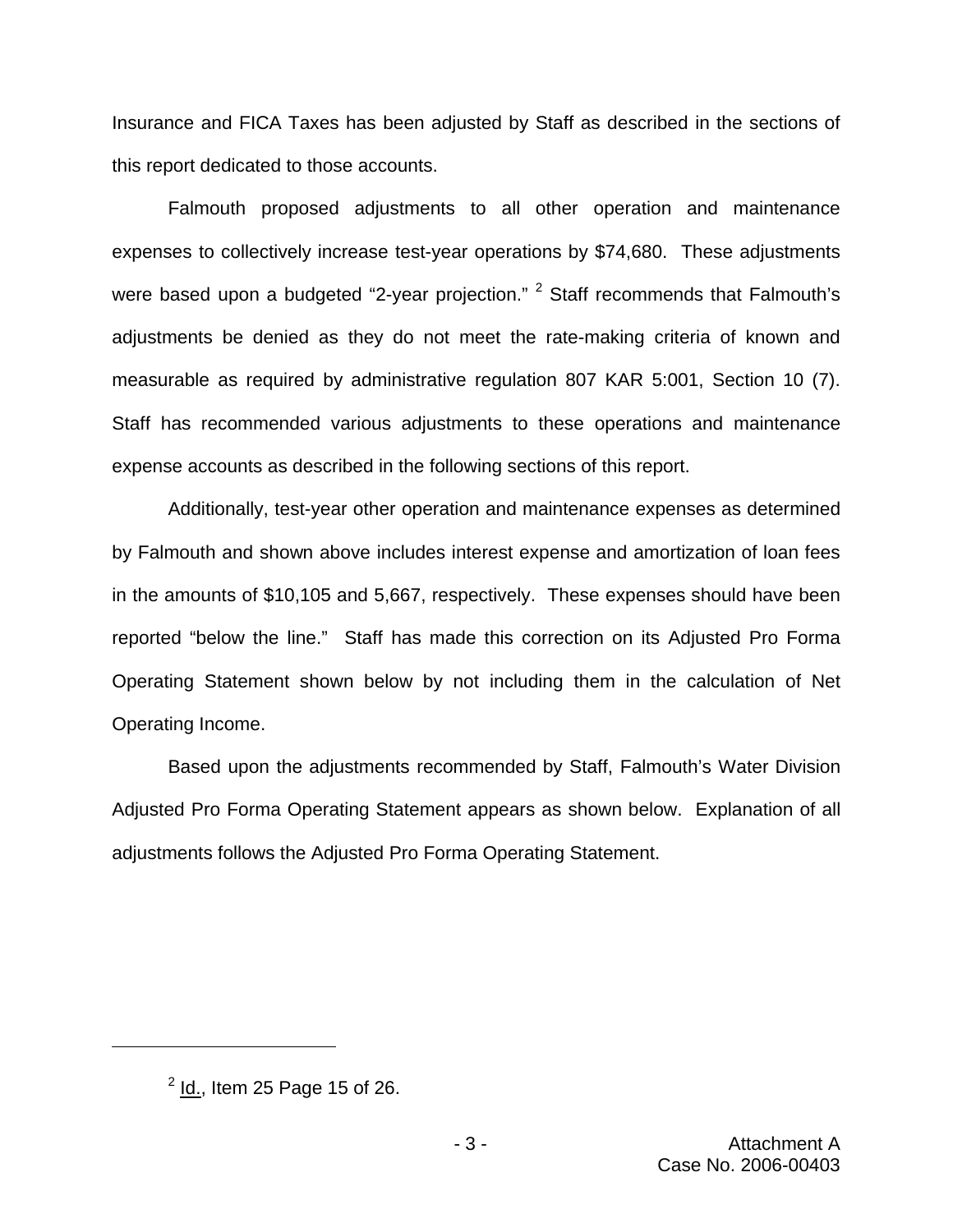Insurance and FICA Taxes has been adjusted by Staff as described in the sections of this report dedicated to those accounts.

Falmouth proposed adjustments to all other operation and maintenance expenses to collectively increase test-year operations by \$74,680. These adjustments were based upon a budgeted "2-year projection."  $2$  Staff recommends that Falmouth's adjustments be denied as they do not meet the rate-making criteria of known and measurable as required by administrative regulation 807 KAR 5:001, Section 10 (7). Staff has recommended various adjustments to these operations and maintenance expense accounts as described in the following sections of this report.

Additionally, test-year other operation and maintenance expenses as determined by Falmouth and shown above includes interest expense and amortization of loan fees in the amounts of \$10,105 and 5,667, respectively. These expenses should have been reported "below the line." Staff has made this correction on its Adjusted Pro Forma Operating Statement shown below by not including them in the calculation of Net Operating Income.

Based upon the adjustments recommended by Staff, Falmouth's Water Division Adjusted Pro Forma Operating Statement appears as shown below. Explanation of all adjustments follows the Adjusted Pro Forma Operating Statement.

 $<sup>2</sup>$  Id., Item 25 Page 15 of 26.</sup>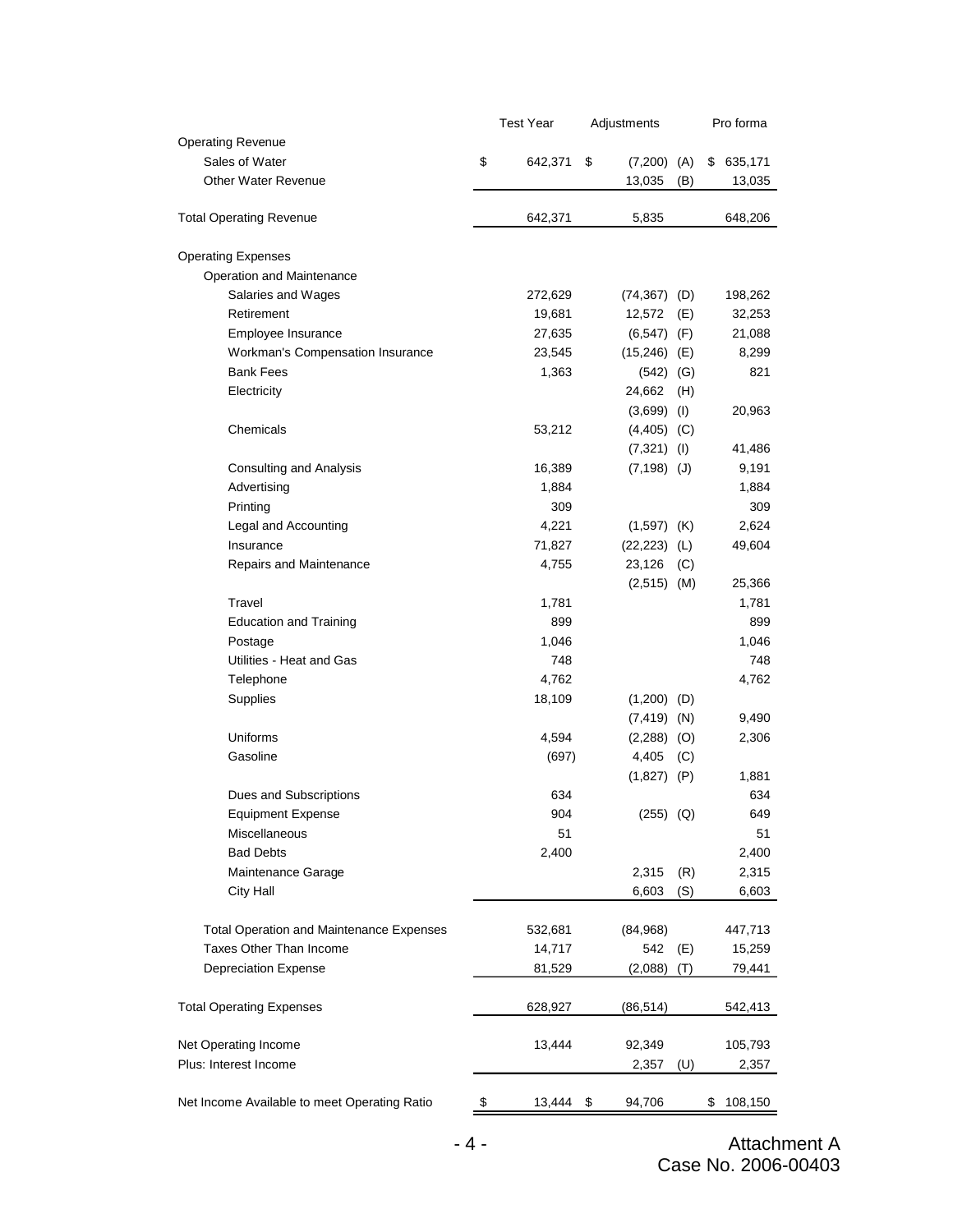|                                                 | <b>Test Year</b> |         | Adjustments           |     | Pro forma     |
|-------------------------------------------------|------------------|---------|-----------------------|-----|---------------|
| <b>Operating Revenue</b>                        |                  |         |                       |     |               |
| Sales of Water                                  | \$               | 642,371 | \$<br>$(7,200)$ $(A)$ |     | \$<br>635,171 |
| <b>Other Water Revenue</b>                      |                  |         | 13,035                | (B) | 13,035        |
| <b>Total Operating Revenue</b>                  |                  | 642,371 | 5,835                 |     | 648,206       |
| <b>Operating Expenses</b>                       |                  |         |                       |     |               |
| Operation and Maintenance                       |                  |         |                       |     |               |
| Salaries and Wages                              |                  | 272,629 | $(74,367)$ (D)        |     | 198,262       |
| Retirement                                      |                  | 19,681  | 12,572                | (E) | 32,253        |
| Employee Insurance                              |                  | 27,635  | $(6,547)$ (F)         |     | 21,088        |
| Workman's Compensation Insurance                |                  | 23,545  | $(15,246)$ (E)        |     | 8,299         |
| <b>Bank Fees</b>                                |                  | 1,363   | $(542)$ (G)           |     | 821           |
| Electricity                                     |                  |         | 24,662                | (H) |               |
|                                                 |                  |         | $(3,699)$ (1)         |     | 20,963        |
| Chemicals                                       |                  | 53,212  | $(4,405)$ (C)         |     |               |
|                                                 |                  |         | $(7,321)$ (I)         |     | 41,486        |
| <b>Consulting and Analysis</b>                  |                  | 16,389  | $(7, 198)$ (J)        |     | 9,191         |
| Advertising                                     |                  | 1,884   |                       |     | 1,884         |
| Printing                                        |                  | 309     |                       |     | 309           |
| Legal and Accounting                            |                  | 4,221   | $(1,597)$ (K)         |     | 2,624         |
| Insurance                                       |                  | 71,827  | (22, 223)             | (L) | 49,604        |
| Repairs and Maintenance                         |                  | 4,755   | 23,126                | (C) |               |
|                                                 |                  |         | $(2,515)$ (M)         |     | 25,366        |
| Travel                                          |                  | 1,781   |                       |     | 1,781         |
| <b>Education and Training</b>                   |                  | 899     |                       |     | 899           |
| Postage                                         |                  | 1,046   |                       |     | 1,046         |
| Utilities - Heat and Gas                        |                  | 748     |                       |     | 748           |
| Telephone                                       |                  | 4,762   |                       |     | 4,762         |
| Supplies                                        |                  | 18,109  | (1,200)               | (D) |               |
|                                                 |                  |         | $(7, 419)$ (N)        |     | 9,490         |
| Uniforms                                        |                  | 4,594   | $(2,288)$ (O)         |     | 2,306         |
| Gasoline                                        |                  | (697)   | 4,405                 | (C) |               |
|                                                 |                  |         | $(1,827)$ (P)         |     | 1,881         |
| Dues and Subscriptions                          |                  | 634     |                       |     | 634           |
| <b>Equipment Expense</b>                        |                  | 904     | $(255)$ $(Q)$         |     | 649           |
| Miscellaneous                                   |                  | 51      |                       |     | 51            |
| <b>Bad Debts</b>                                |                  | 2,400   |                       |     | 2,400         |
| Maintenance Garage                              |                  |         | 2,315                 | (R) | 2,315         |
| <b>City Hall</b>                                |                  |         | 6,603                 | (S) | 6,603         |
| <b>Total Operation and Maintenance Expenses</b> |                  | 532,681 | (84,968)              |     | 447,713       |
| Taxes Other Than Income                         |                  | 14,717  | 542                   | (E) | 15,259        |
| Depreciation Expense                            |                  | 81,529  | (2,088)               | (T) | 79,441        |
|                                                 |                  |         |                       |     |               |
| <b>Total Operating Expenses</b>                 |                  | 628,927 | (86,514)              |     | 542,413       |
| Net Operating Income                            |                  | 13,444  | 92,349                |     | 105,793       |
| Plus: Interest Income                           |                  |         | 2,357                 | (U) | 2,357         |
|                                                 |                  |         |                       |     |               |
| Net Income Available to meet Operating Ratio    | \$               | 13,444  | \$<br>94,706          |     | \$<br>108,150 |

- 4 - Attachment A Case No. 2006-00403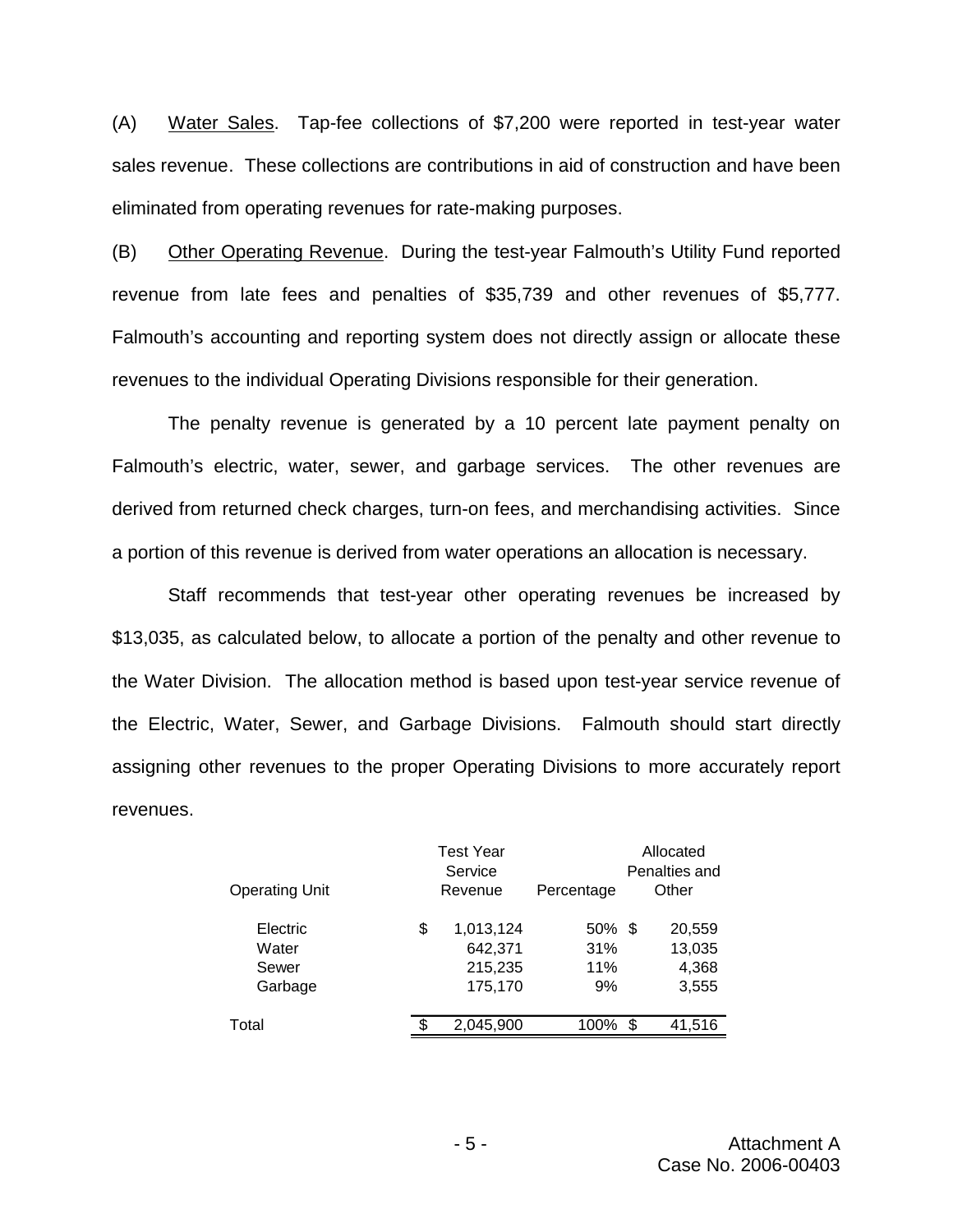(A) Water Sales. Tap-fee collections of \$7,200 were reported in test-year water sales revenue. These collections are contributions in aid of construction and have been eliminated from operating revenues for rate-making purposes.

(B) Other Operating Revenue. During the test-year Falmouth's Utility Fund reported revenue from late fees and penalties of \$35,739 and other revenues of \$5,777. Falmouth's accounting and reporting system does not directly assign or allocate these revenues to the individual Operating Divisions responsible for their generation.

The penalty revenue is generated by a 10 percent late payment penalty on Falmouth's electric, water, sewer, and garbage services. The other revenues are derived from returned check charges, turn-on fees, and merchandising activities. Since a portion of this revenue is derived from water operations an allocation is necessary.

Staff recommends that test-year other operating revenues be increased by \$13,035, as calculated below, to allocate a portion of the penalty and other revenue to the Water Division. The allocation method is based upon test-year service revenue of the Electric, Water, Sewer, and Garbage Divisions. Falmouth should start directly assigning other revenues to the proper Operating Divisions to more accurately report revenues.

| <b>Operating Unit</b>                 | <b>Test Year</b><br>Service<br>Revenue           | Percentage                    | Allocated<br>Penalties and<br>Other |
|---------------------------------------|--------------------------------------------------|-------------------------------|-------------------------------------|
| Electric<br>Water<br>Sewer<br>Garbage | \$<br>1,013,124<br>642,371<br>215,235<br>175,170 | $50\%$ \$<br>31%<br>11%<br>9% | 20,559<br>13,035<br>4,368<br>3,555  |
| Total                                 | 2,045,900                                        | 100%                          | \$<br>41,516                        |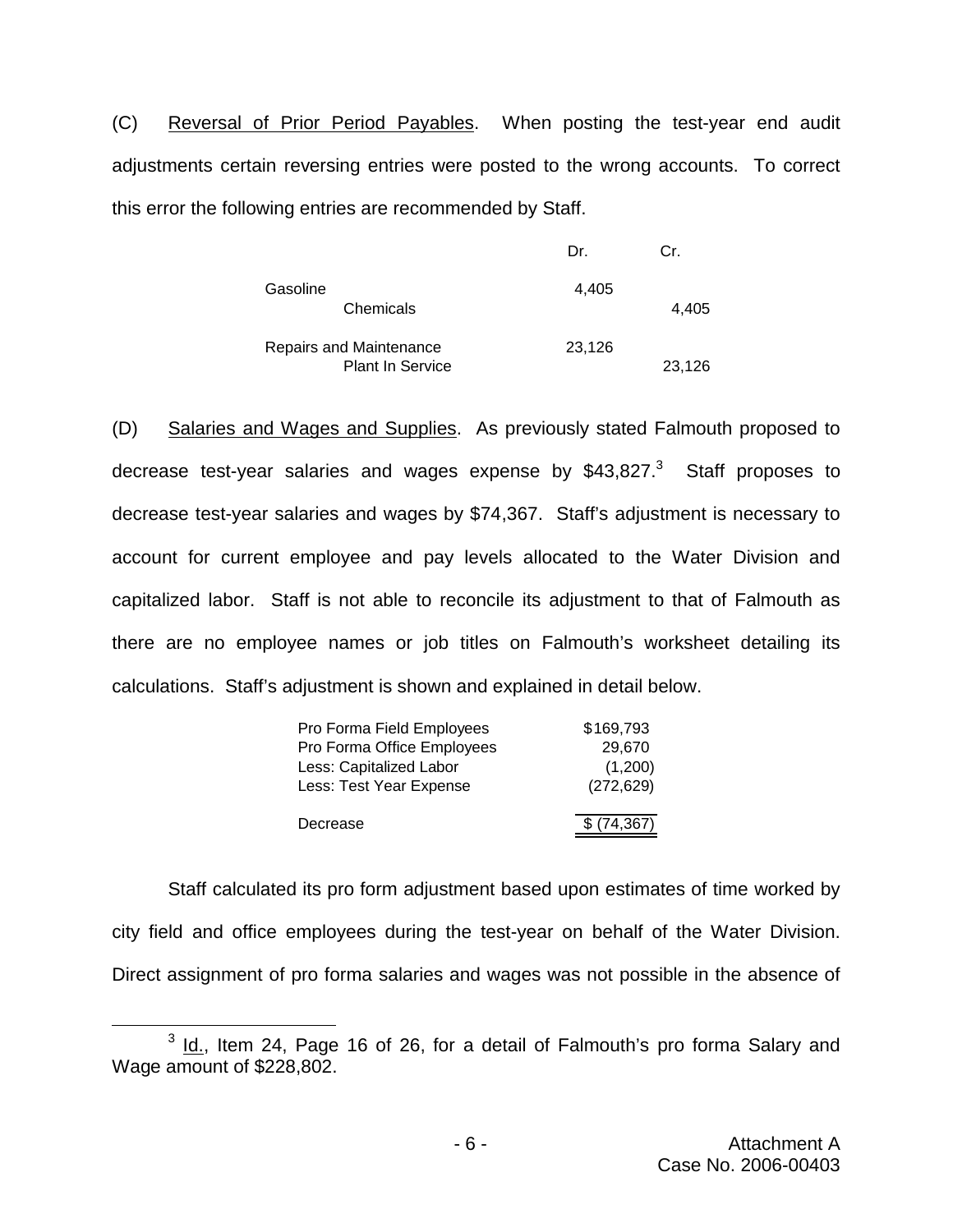(C) Reversal of Prior Period Payables. When posting the test-year end audit adjustments certain reversing entries were posted to the wrong accounts. To correct this error the following entries are recommended by Staff.

|                                                    | Dr.    | Cr.    |
|----------------------------------------------------|--------|--------|
| Gasoline<br>Chemicals                              | 4,405  | 4.405  |
| Repairs and Maintenance<br><b>Plant In Service</b> | 23,126 | 23,126 |

(D) Salaries and Wages and Supplies. As previously stated Falmouth proposed to decrease test-year salaries and wages expense by  $$43,827<sup>3</sup>$  Staff proposes to decrease test-year salaries and wages by \$74,367. Staff's adjustment is necessary to account for current employee and pay levels allocated to the Water Division and capitalized labor. Staff is not able to reconcile its adjustment to that of Falmouth as there are no employee names or job titles on Falmouth's worksheet detailing its calculations. Staff's adjustment is shown and explained in detail below.

| Pro Forma Field Employees  | \$169,793    |
|----------------------------|--------------|
| Pro Forma Office Employees | 29,670       |
| Less: Capitalized Labor    | (1,200)      |
| Less: Test Year Expense    | (272, 629)   |
|                            |              |
| Decrease                   | \$ (74, 367) |

Staff calculated its pro form adjustment based upon estimates of time worked by city field and office employees during the test-year on behalf of the Water Division. Direct assignment of pro forma salaries and wages was not possible in the absence of

 $3$  Id., Item 24, Page 16 of 26, for a detail of Falmouth's pro forma Salary and Wage amount of \$228,802.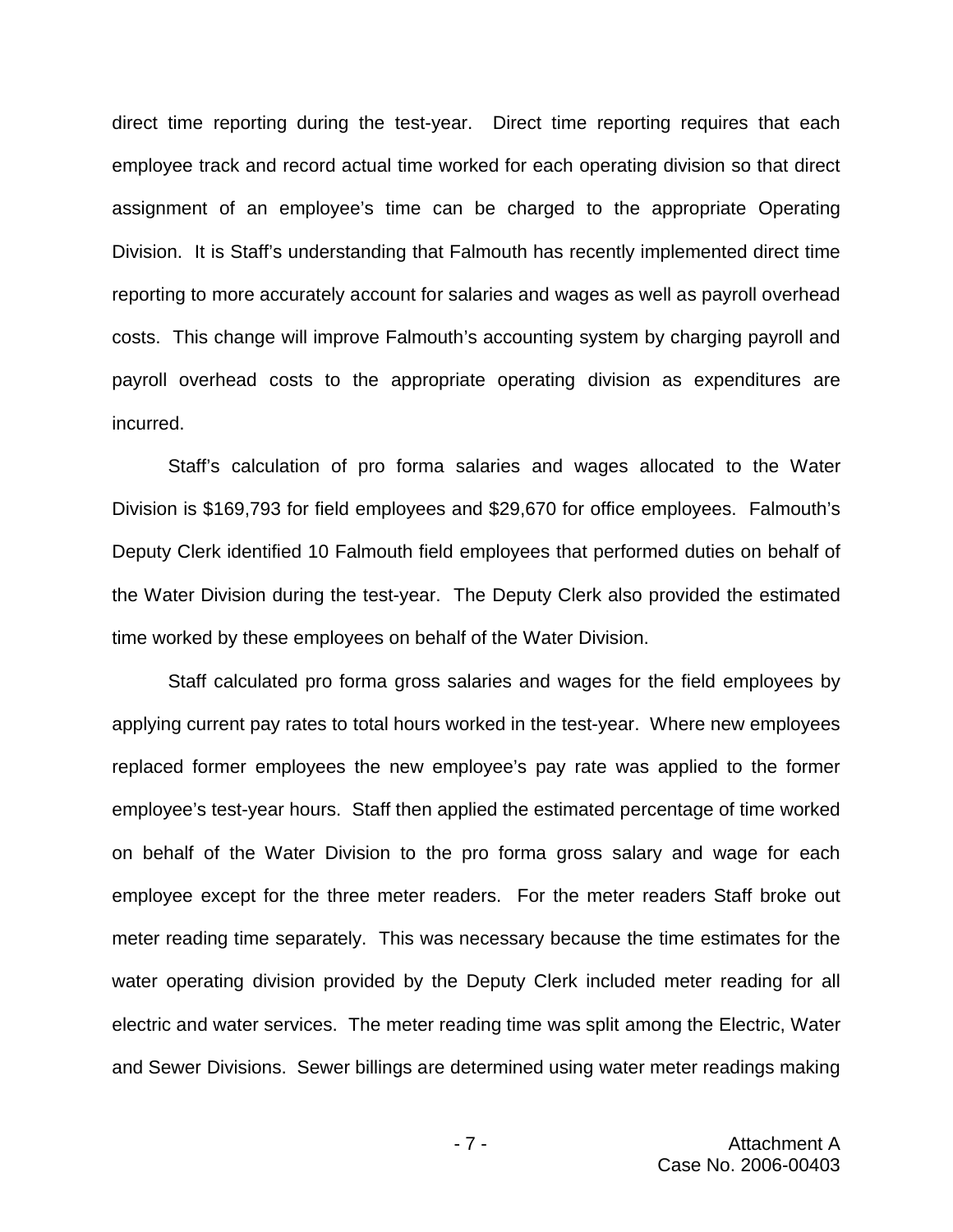direct time reporting during the test-year. Direct time reporting requires that each employee track and record actual time worked for each operating division so that direct assignment of an employee's time can be charged to the appropriate Operating Division. It is Staff's understanding that Falmouth has recently implemented direct time reporting to more accurately account for salaries and wages as well as payroll overhead costs. This change will improve Falmouth's accounting system by charging payroll and payroll overhead costs to the appropriate operating division as expenditures are incurred.

Staff's calculation of pro forma salaries and wages allocated to the Water Division is \$169,793 for field employees and \$29,670 for office employees. Falmouth's Deputy Clerk identified 10 Falmouth field employees that performed duties on behalf of the Water Division during the test-year. The Deputy Clerk also provided the estimated time worked by these employees on behalf of the Water Division.

Staff calculated pro forma gross salaries and wages for the field employees by applying current pay rates to total hours worked in the test-year. Where new employees replaced former employees the new employee's pay rate was applied to the former employee's test-year hours. Staff then applied the estimated percentage of time worked on behalf of the Water Division to the pro forma gross salary and wage for each employee except for the three meter readers. For the meter readers Staff broke out meter reading time separately. This was necessary because the time estimates for the water operating division provided by the Deputy Clerk included meter reading for all electric and water services. The meter reading time was split among the Electric, Water and Sewer Divisions. Sewer billings are determined using water meter readings making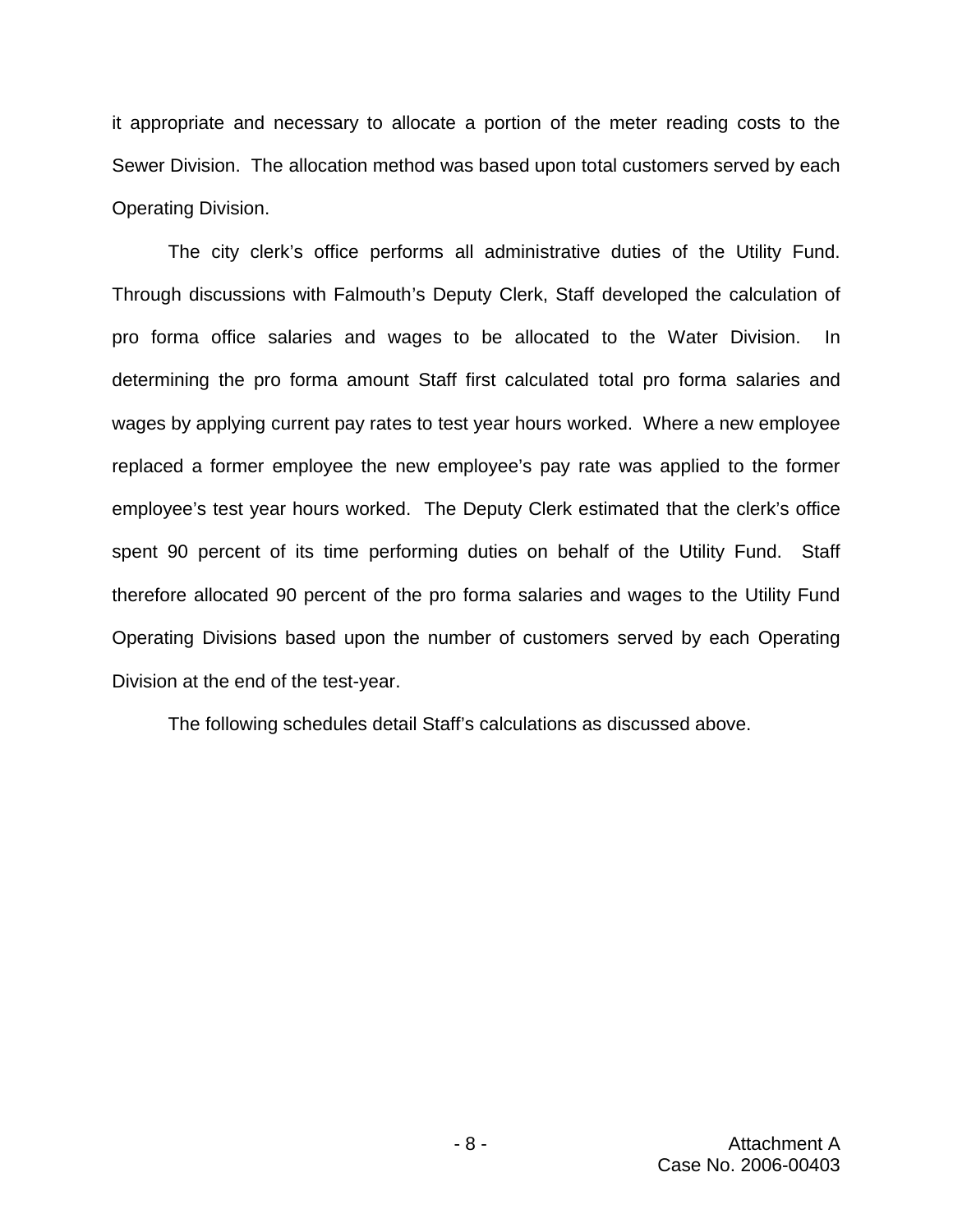it appropriate and necessary to allocate a portion of the meter reading costs to the Sewer Division. The allocation method was based upon total customers served by each Operating Division.

The city clerk's office performs all administrative duties of the Utility Fund. Through discussions with Falmouth's Deputy Clerk, Staff developed the calculation of pro forma office salaries and wages to be allocated to the Water Division. In determining the pro forma amount Staff first calculated total pro forma salaries and wages by applying current pay rates to test year hours worked. Where a new employee replaced a former employee the new employee's pay rate was applied to the former employee's test year hours worked. The Deputy Clerk estimated that the clerk's office spent 90 percent of its time performing duties on behalf of the Utility Fund. Staff therefore allocated 90 percent of the pro forma salaries and wages to the Utility Fund Operating Divisions based upon the number of customers served by each Operating Division at the end of the test-year.

The following schedules detail Staff's calculations as discussed above.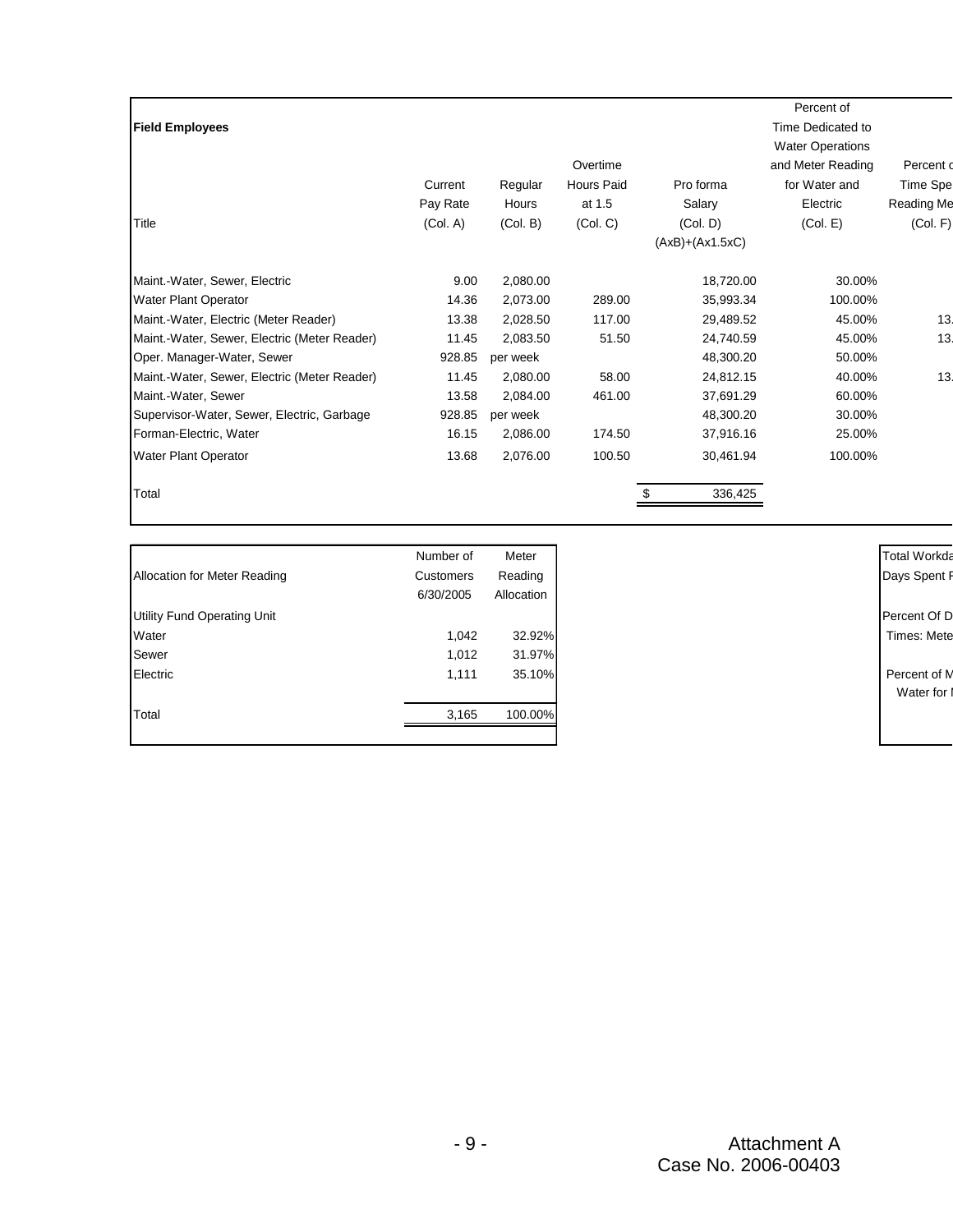| <b>Field Employees</b>                       |          |          | Overtime          |                               | Percent of<br>Time Dedicated to<br><b>Water Operations</b><br>and Meter Reading | Percent o         |
|----------------------------------------------|----------|----------|-------------------|-------------------------------|---------------------------------------------------------------------------------|-------------------|
|                                              | Current  | Regular  | <b>Hours Paid</b> | Pro forma                     | for Water and                                                                   | <b>Time Spe</b>   |
|                                              | Pay Rate | Hours    | at 1.5            | Salary                        | Electric                                                                        | <b>Reading Me</b> |
| Title                                        | (Col. A) | (Col. B) | (Col, C)          | (Col. D)<br>$(AxB)+(Ax1.5xC)$ | (Col. E)                                                                        | (Col. F)          |
| Maint.-Water, Sewer, Electric                | 9.00     | 2,080.00 |                   | 18,720.00                     | 30.00%                                                                          |                   |
| Water Plant Operator                         | 14.36    | 2,073.00 | 289.00            | 35,993.34                     | 100.00%                                                                         |                   |
| Maint.-Water, Electric (Meter Reader)        | 13.38    | 2,028.50 | 117.00            | 29,489.52                     | 45.00%                                                                          | 13                |
| Maint.-Water, Sewer, Electric (Meter Reader) | 11.45    | 2,083.50 | 51.50             | 24,740.59                     | 45.00%                                                                          | 13                |
| Oper. Manager-Water, Sewer                   | 928.85   | per week |                   | 48,300.20                     | 50.00%                                                                          |                   |
| Maint.-Water, Sewer, Electric (Meter Reader) | 11.45    | 2,080.00 | 58.00             | 24,812.15                     | 40.00%                                                                          | 13                |
| Maint.-Water, Sewer                          | 13.58    | 2,084.00 | 461.00            | 37,691.29                     | 60.00%                                                                          |                   |
| Supervisor-Water, Sewer, Electric, Garbage   | 928.85   | per week |                   | 48,300.20                     | 30.00%                                                                          |                   |
| Forman-Electric, Water                       | 16.15    | 2,086.00 | 174.50            | 37,916.16                     | 25.00%                                                                          |                   |
| <b>Water Plant Operator</b>                  | 13.68    | 2,076.00 | 100.50            | 30,461.94                     | 100.00%                                                                         |                   |
| Total                                        |          |          |                   | 336,425                       |                                                                                 |                   |

|                              | Number of | Meter      |
|------------------------------|-----------|------------|
| Allocation for Meter Reading | Customers | Reading    |
|                              | 6/30/2005 | Allocation |
| Utility Fund Operating Unit  |           |            |
| Water                        | 1,042     | 32.92%     |
| Sewer                        | 1,012     | 31.97%     |
| Electric                     | 1,111     | 35.10%     |
|                              |           |            |
| Total                        | 3,165     | 100.00%    |
|                              |           |            |

Total Workda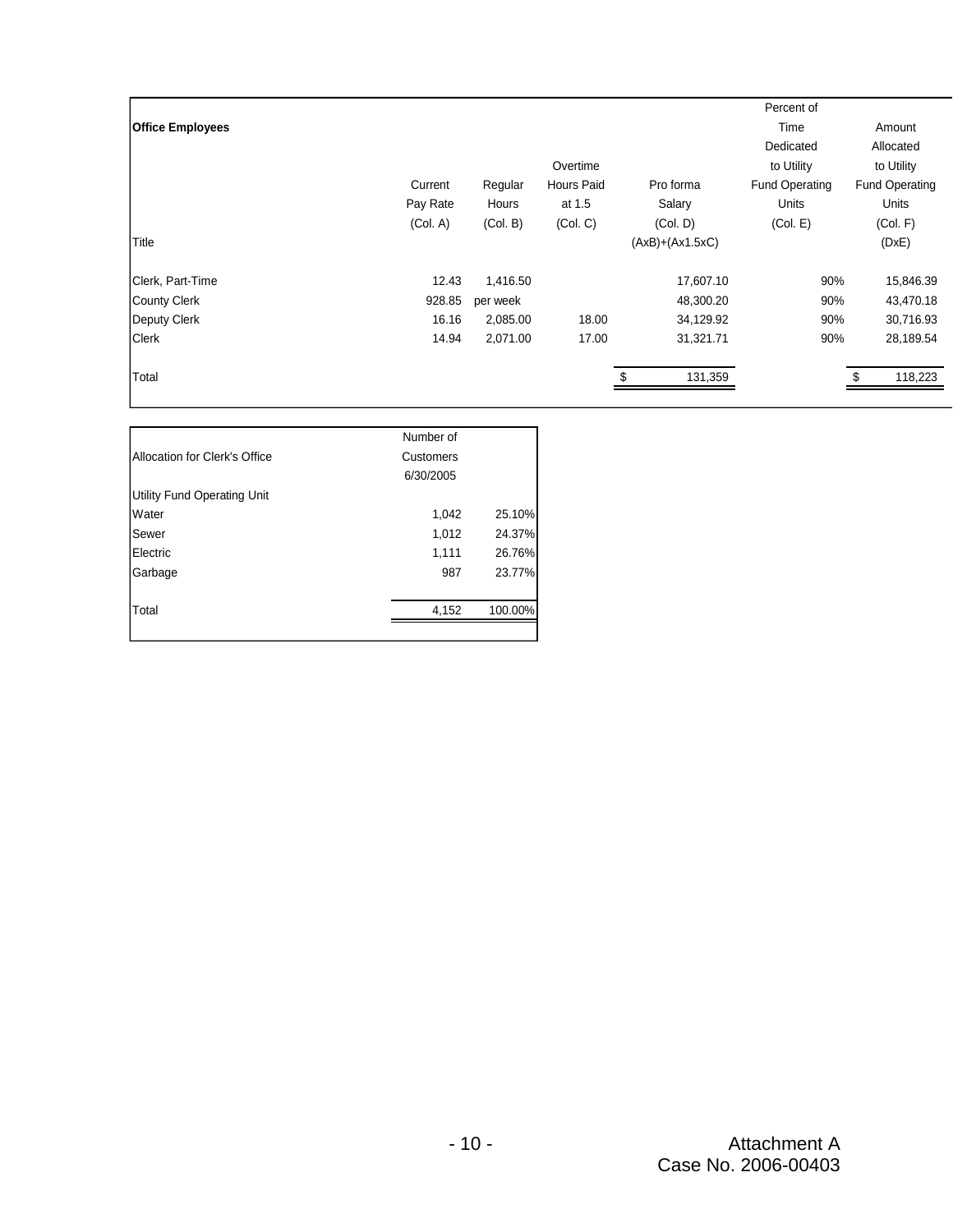|                         |          |          |                   |                   | Percent of            |                       |
|-------------------------|----------|----------|-------------------|-------------------|-----------------------|-----------------------|
| <b>Office Employees</b> |          |          |                   |                   | Time                  | Amount                |
|                         |          |          |                   |                   | Dedicated             | Allocated             |
|                         |          |          | Overtime          |                   | to Utility            | to Utility            |
|                         | Current  | Regular  | <b>Hours Paid</b> | Pro forma         | <b>Fund Operating</b> | <b>Fund Operating</b> |
|                         | Pay Rate | Hours    | at 1.5            | Salary            | <b>Units</b>          | Units                 |
|                         | (Col. A) | (Col. B) | (Col, C)          | (Col. D)          | (Col. E)              | (Col. F)              |
| Title                   |          |          |                   | $(AxB)+(Ax1.5xC)$ |                       | (DxE)                 |
| Clerk, Part-Time        | 12.43    | 1,416.50 |                   | 17,607.10         | 90%                   | 15,846.39             |
| <b>County Clerk</b>     | 928.85   | per week |                   | 48,300.20         | 90%                   | 43,470.18             |
| Deputy Clerk            | 16.16    | 2,085.00 | 18.00             | 34,129.92         | 90%                   | 30,716.93             |
| <b>Clerk</b>            | 14.94    | 2,071.00 | 17.00             | 31,321.71         | 90%                   | 28,189.54             |
| Total                   |          |          |                   | 131,359           |                       | 118,223               |

|                                    | Number of |         |
|------------------------------------|-----------|---------|
| Allocation for Clerk's Office      | Customers |         |
|                                    | 6/30/2005 |         |
| <b>Utility Fund Operating Unit</b> |           |         |
| Water                              | 1,042     | 25.10%  |
| Sewer                              | 1,012     | 24.37%  |
| Electric                           | 1,111     | 26.76%  |
| Garbage                            | 987       | 23.77%  |
|                                    |           |         |
| Total                              | 4.152     | 100.00% |
|                                    |           |         |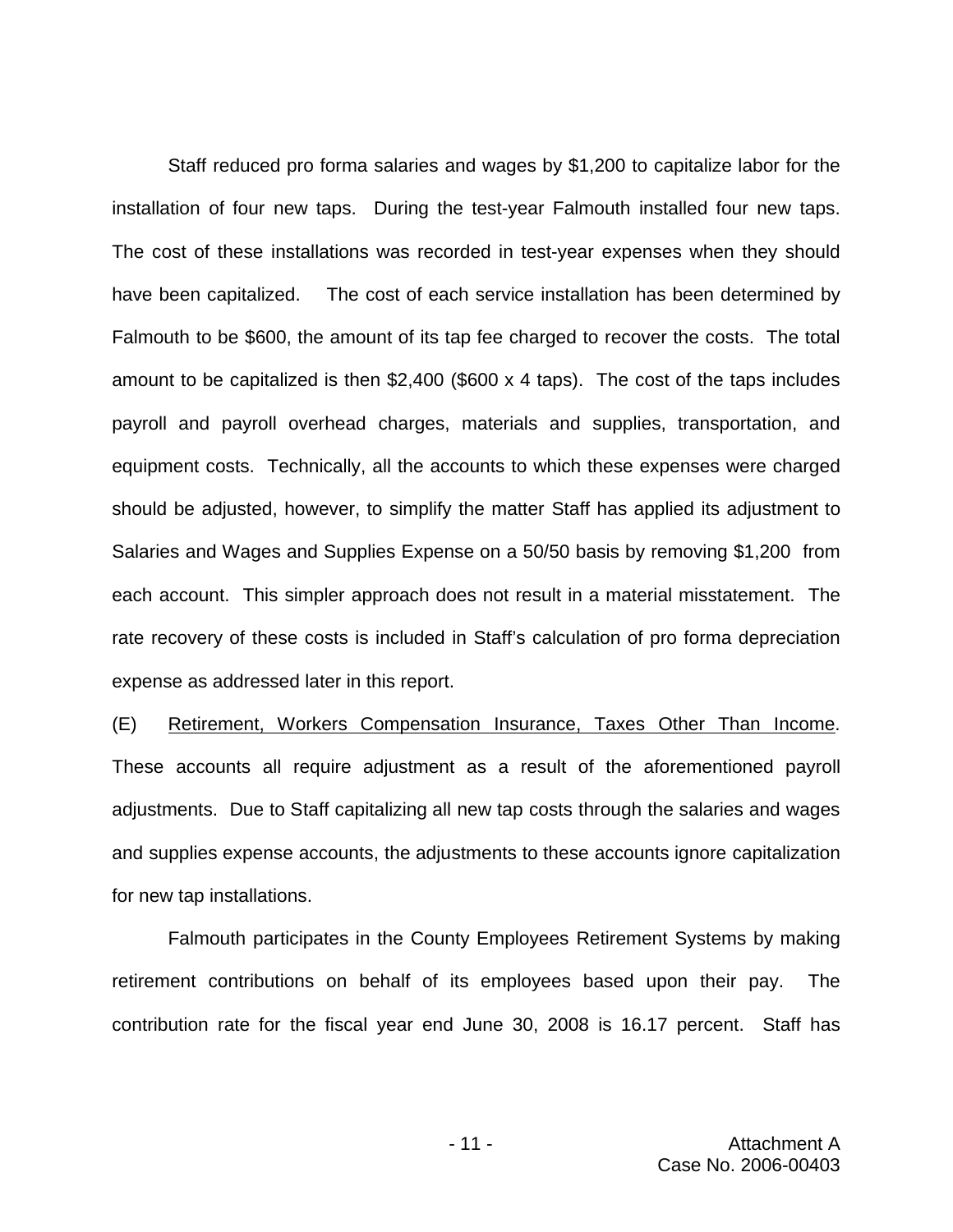Staff reduced pro forma salaries and wages by \$1,200 to capitalize labor for the installation of four new taps. During the test-year Falmouth installed four new taps. The cost of these installations was recorded in test-year expenses when they should have been capitalized. The cost of each service installation has been determined by Falmouth to be \$600, the amount of its tap fee charged to recover the costs. The total amount to be capitalized is then \$2,400 (\$600 x 4 taps). The cost of the taps includes payroll and payroll overhead charges, materials and supplies, transportation, and equipment costs. Technically, all the accounts to which these expenses were charged should be adjusted, however, to simplify the matter Staff has applied its adjustment to Salaries and Wages and Supplies Expense on a 50/50 basis by removing \$1,200 from each account. This simpler approach does not result in a material misstatement. The rate recovery of these costs is included in Staff's calculation of pro forma depreciation expense as addressed later in this report.

(E) Retirement, Workers Compensation Insurance, Taxes Other Than Income. These accounts all require adjustment as a result of the aforementioned payroll adjustments. Due to Staff capitalizing all new tap costs through the salaries and wages and supplies expense accounts, the adjustments to these accounts ignore capitalization for new tap installations.

Falmouth participates in the County Employees Retirement Systems by making retirement contributions on behalf of its employees based upon their pay. The contribution rate for the fiscal year end June 30, 2008 is 16.17 percent. Staff has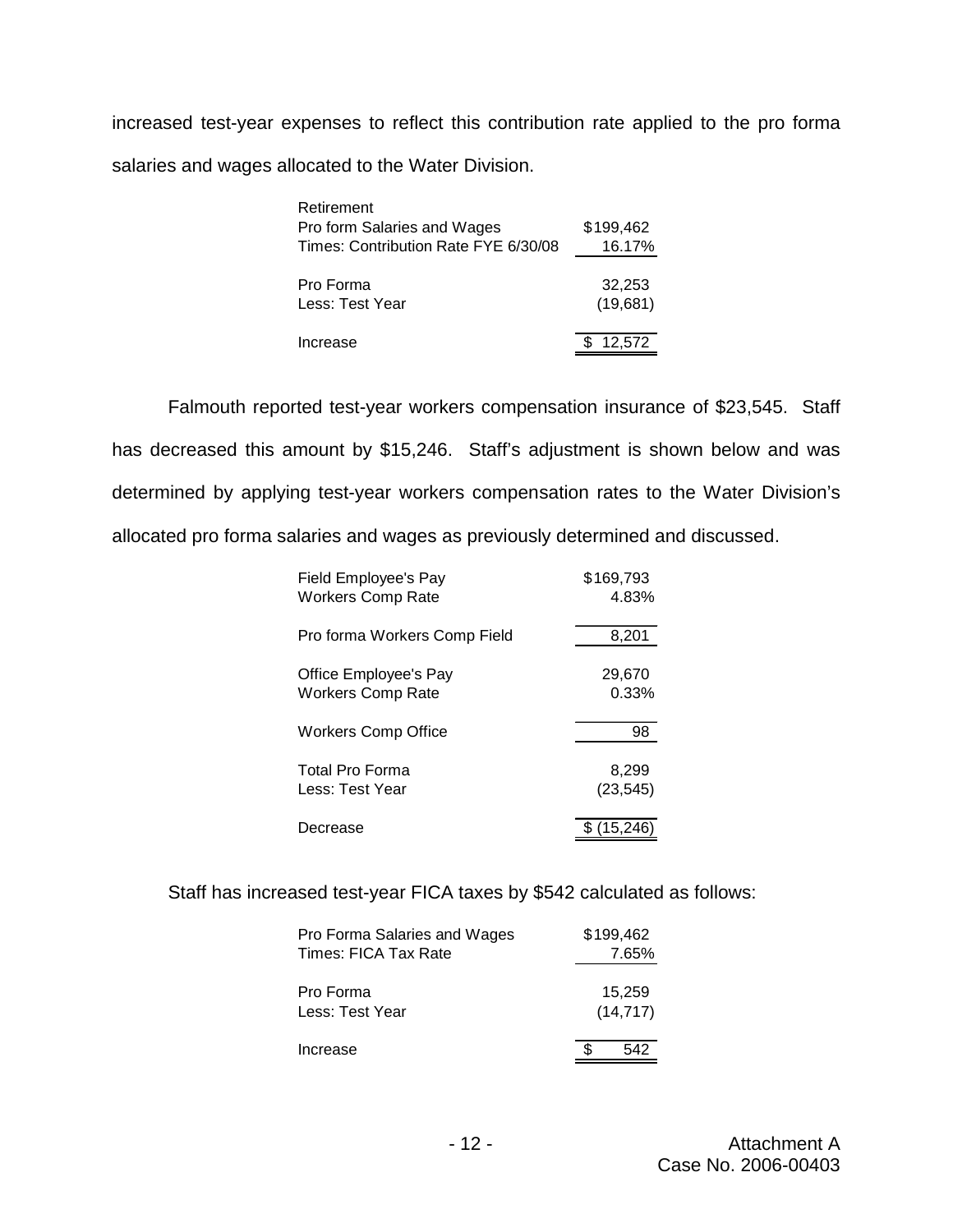increased test-year expenses to reflect this contribution rate applied to the pro forma salaries and wages allocated to the Water Division.

| Retirement                           |           |
|--------------------------------------|-----------|
| Pro form Salaries and Wages          | \$199.462 |
| Times: Contribution Rate FYE 6/30/08 | 16.17%    |
|                                      |           |
| Pro Forma                            | 32,253    |
| Less: Test Year                      | (19,681)  |
|                                      |           |
| Increase                             | 12,572    |

Falmouth reported test-year workers compensation insurance of \$23,545. Staff has decreased this amount by \$15,246. Staff's adjustment is shown below and was determined by applying test-year workers compensation rates to the Water Division's allocated pro forma salaries and wages as previously determined and discussed.

| Field Employee's Pay         | \$169.793 |
|------------------------------|-----------|
| <b>Workers Comp Rate</b>     | 4.83%     |
| Pro forma Workers Comp Field | 8,201     |
| Office Employee's Pay        | 29,670    |
| <b>Workers Comp Rate</b>     | 0.33%     |
| Workers Comp Office          | 98        |
| Total Pro Forma              | 8,299     |
| Less: Test Year              | (23, 545) |
| Decrease                     | (15.246)  |

Staff has increased test-year FICA taxes by \$542 calculated as follows:

| Pro Forma Salaries and Wages<br>Times: FICA Tax Rate | \$199.462<br>7.65%  |
|------------------------------------------------------|---------------------|
| Pro Forma<br>Less: Test Year                         | 15,259<br>(14, 717) |
| Increase                                             | 542                 |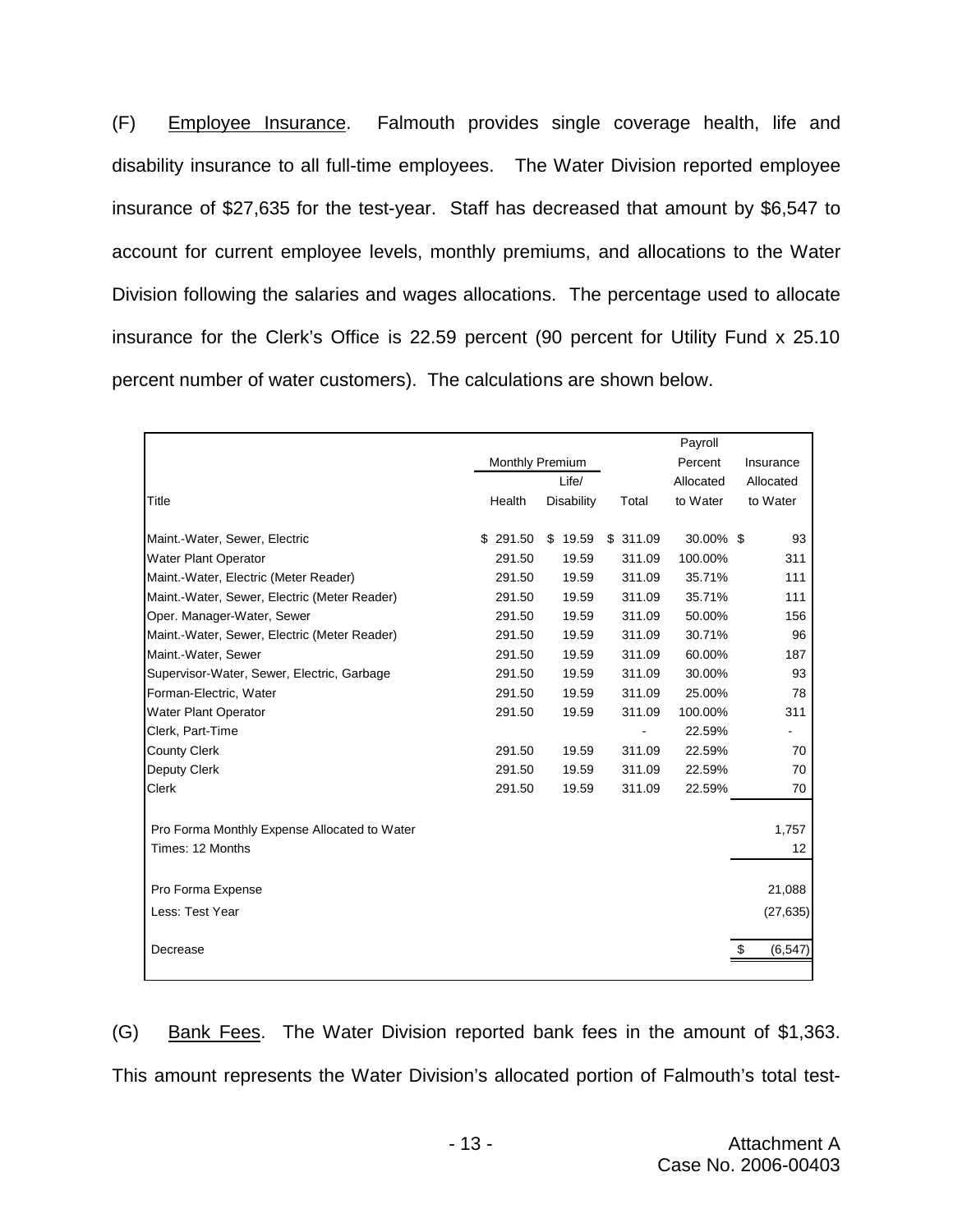(F) Employee Insurance. Falmouth provides single coverage health, life and disability insurance to all full-time employees. The Water Division reported employee insurance of \$27,635 for the test-year. Staff has decreased that amount by \$6,547 to account for current employee levels, monthly premiums, and allocations to the Water Division following the salaries and wages allocations. The percentage used to allocate insurance for the Clerk's Office is 22.59 percent (90 percent for Utility Fund x 25.10 percent number of water customers). The calculations are shown below.

|                                              |                 |            |          | Payroll   |                 |
|----------------------------------------------|-----------------|------------|----------|-----------|-----------------|
|                                              | Monthly Premium |            |          | Percent   | Insurance       |
|                                              |                 | Life/      |          | Allocated | Allocated       |
| Title                                        | Health          | Disability | Total    | to Water  | to Water        |
| Maint.-Water, Sewer, Electric                | \$291.50        | \$19.59    | \$311.09 | 30.00% \$ | 93              |
| <b>Water Plant Operator</b>                  | 291.50          | 19.59      | 311.09   | 100.00%   | 311             |
|                                              |                 | 19.59      | 311.09   | 35.71%    | 111             |
| Maint.-Water, Electric (Meter Reader)        | 291.50          |            |          |           |                 |
| Maint.-Water, Sewer, Electric (Meter Reader) | 291.50          | 19.59      | 311.09   | 35.71%    | 111             |
| Oper. Manager-Water, Sewer                   | 291.50          | 19.59      | 311.09   | 50.00%    | 156             |
| Maint.-Water, Sewer, Electric (Meter Reader) | 291.50          | 19.59      | 311.09   | 30.71%    | 96              |
| Maint.-Water, Sewer                          | 291.50          | 19.59      | 311.09   | 60.00%    | 187             |
| Supervisor-Water, Sewer, Electric, Garbage   | 291.50          | 19.59      | 311.09   | 30.00%    | 93              |
| Forman-Electric, Water                       | 291.50          | 19.59      | 311.09   | 25.00%    | 78              |
| <b>Water Plant Operator</b>                  | 291.50          | 19.59      | 311.09   | 100.00%   | 311             |
| Clerk, Part-Time                             |                 |            |          | 22.59%    |                 |
| County Clerk                                 | 291.50          | 19.59      | 311.09   | 22.59%    | 70              |
| Deputy Clerk                                 | 291.50          | 19.59      | 311.09   | 22.59%    | 70              |
| Clerk                                        | 291.50          | 19.59      | 311.09   | 22.59%    | 70              |
| Pro Forma Monthly Expense Allocated to Water |                 |            |          |           | 1,757           |
| Times: 12 Months                             |                 |            |          |           | 12              |
|                                              |                 |            |          |           |                 |
| Pro Forma Expense                            |                 |            |          |           | 21,088          |
| Less: Test Year                              |                 |            |          |           | (27, 635)       |
| Decrease                                     |                 |            |          |           | \$.<br>(6, 547) |
|                                              |                 |            |          |           |                 |

(G) Bank Fees. The Water Division reported bank fees in the amount of \$1,363. This amount represents the Water Division's allocated portion of Falmouth's total test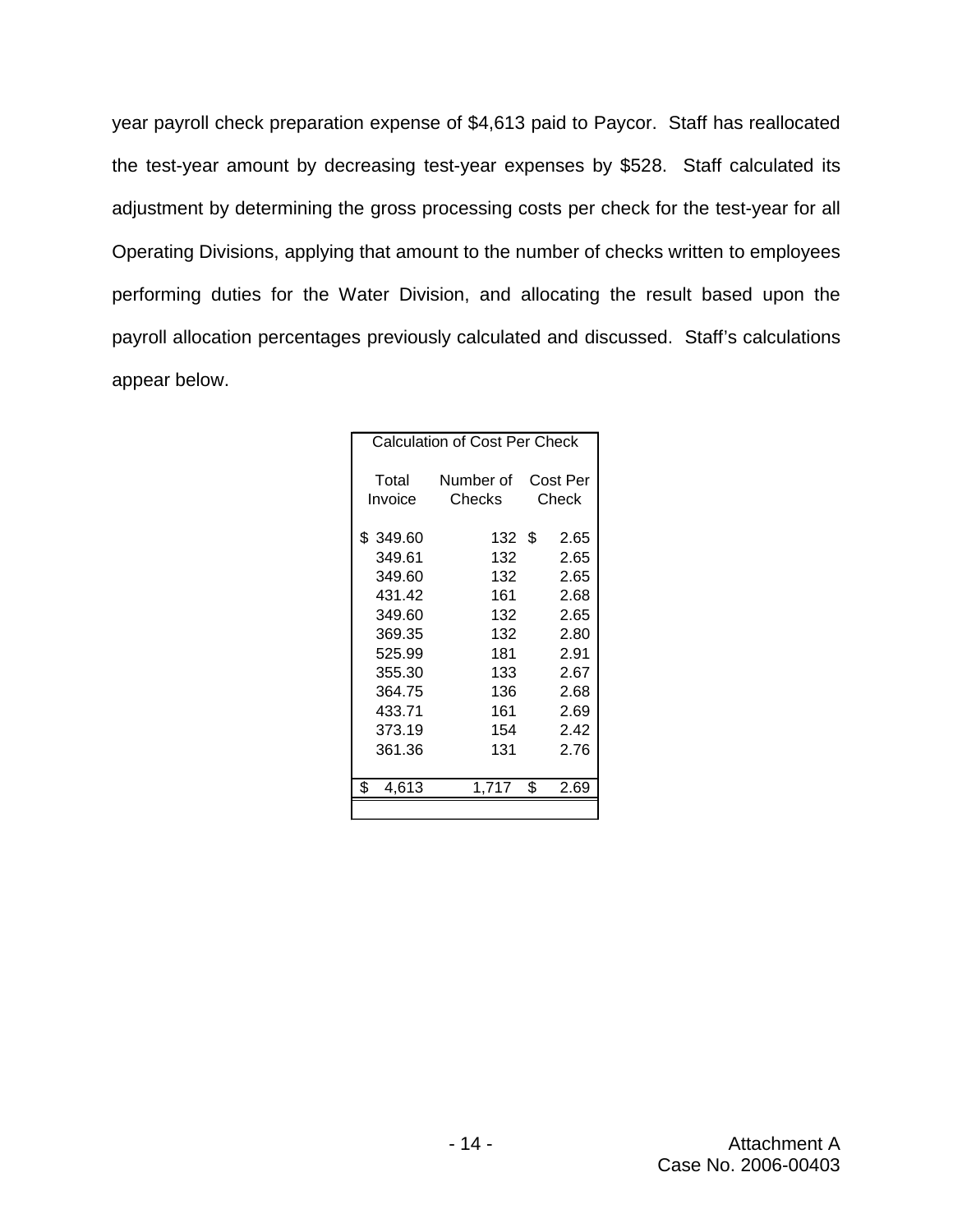year payroll check preparation expense of \$4,613 paid to Paycor. Staff has reallocated the test-year amount by decreasing test-year expenses by \$528. Staff calculated its adjustment by determining the gross processing costs per check for the test-year for all Operating Divisions, applying that amount to the number of checks written to employees performing duties for the Water Division, and allocating the result based upon the payroll allocation percentages previously calculated and discussed. Staff's calculations appear below.

| <b>Calculation of Cost Per Check</b> |           |          |  |  |  |  |
|--------------------------------------|-----------|----------|--|--|--|--|
| Total                                | Number of | Cost Per |  |  |  |  |
| Invoice                              | Checks:   | Check    |  |  |  |  |
| \$349.60                             | 132 S     | 2.65     |  |  |  |  |
| 349.61                               | 132       | 2.65     |  |  |  |  |
| 349.60                               | 132       | 2.65     |  |  |  |  |
| 431.42                               | 161       | 2.68     |  |  |  |  |
| 349.60                               | 132       | 2.65     |  |  |  |  |
| 369.35                               | 132       | 2.80     |  |  |  |  |
| 525.99                               | 181       | 2.91     |  |  |  |  |
| 355.30                               | 133       | 2.67     |  |  |  |  |
| 364.75                               | 136       | 2.68     |  |  |  |  |
| 433.71                               | 161       | 2.69     |  |  |  |  |
| 373.19                               | 154       | 2.42     |  |  |  |  |
| 361.36                               | 131       | 2.76     |  |  |  |  |
| \$                                   | 1.717     | ዩ        |  |  |  |  |
| 4,613                                |           | 2.69     |  |  |  |  |
|                                      |           |          |  |  |  |  |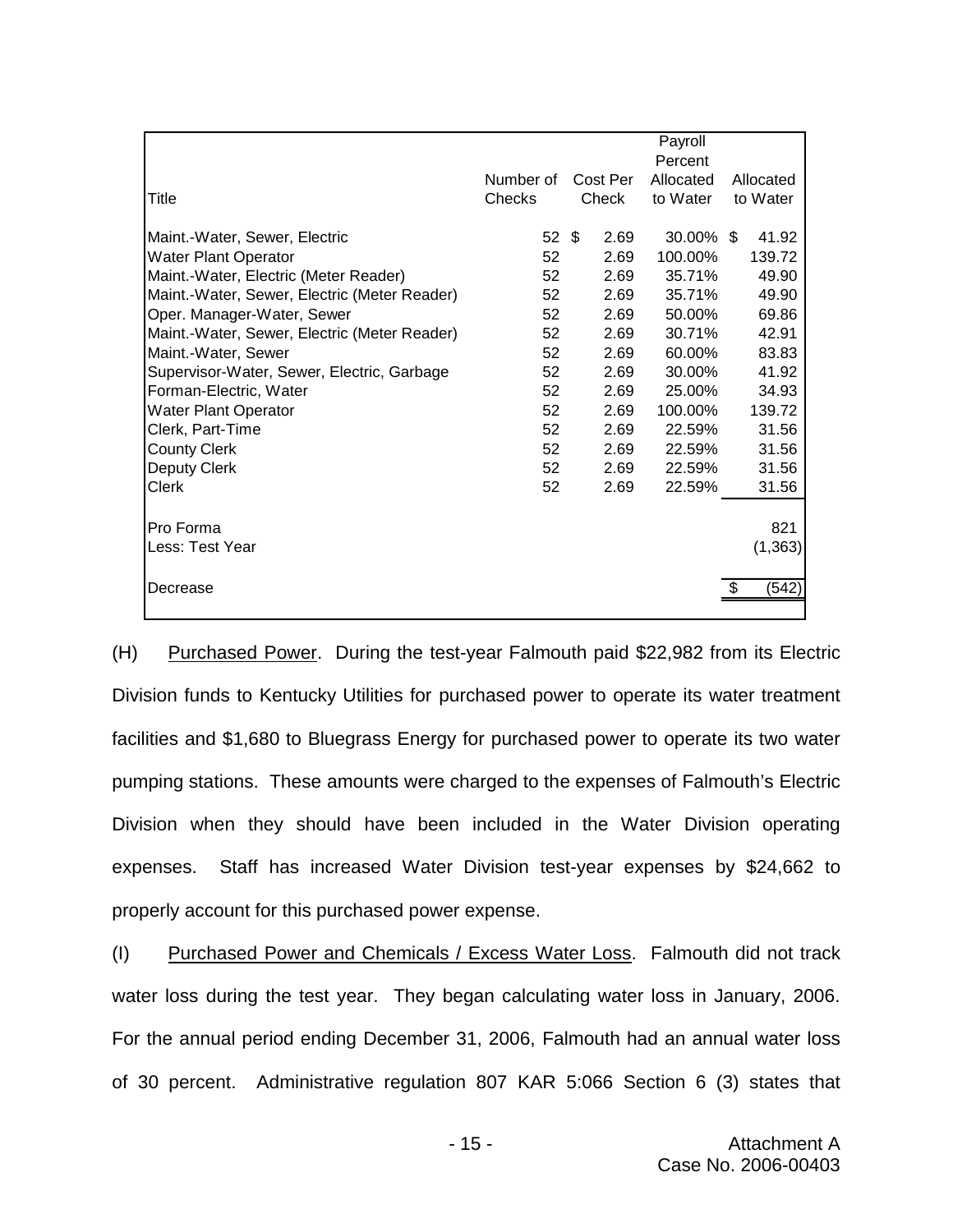|                                              |           |          | Payroll      |            |
|----------------------------------------------|-----------|----------|--------------|------------|
|                                              |           |          | Percent      |            |
|                                              | Number of | Cost Per | Allocated    | Allocated  |
| Title                                        | Checks    | Check    | to Water     | to Water   |
|                                              |           |          |              |            |
| Maint.-Water, Sewer, Electric                | $52$ \$   | 2.69     | $30.00\%$ \$ | 41.92      |
| <b>Water Plant Operator</b>                  | 52        | 2.69     | 100.00%      | 139.72     |
| Maint.-Water, Electric (Meter Reader)        | 52        | 2.69     | 35.71%       | 49.90      |
| Maint.-Water, Sewer, Electric (Meter Reader) | 52        | 2.69     | 35.71%       | 49.90      |
| Oper. Manager-Water, Sewer                   | 52        | 2.69     | 50.00%       | 69.86      |
| Maint.-Water, Sewer, Electric (Meter Reader) | 52        | 2.69     | 30.71%       | 42.91      |
| Maint.-Water, Sewer                          | 52        | 2.69     | 60.00%       | 83.83      |
| Supervisor-Water, Sewer, Electric, Garbage   | 52        | 2.69     | 30.00%       | 41.92      |
| Forman-Electric, Water                       | 52        | 2.69     | 25.00%       | 34.93      |
| Water Plant Operator                         | 52        | 2.69     | 100.00%      | 139.72     |
| Clerk, Part-Time                             | 52        | 2.69     | 22.59%       | 31.56      |
| <b>County Clerk</b>                          | 52        | 2.69     | 22.59%       | 31.56      |
| Deputy Clerk                                 | 52        | 2.69     | 22.59%       | 31.56      |
| <b>Clerk</b>                                 | 52        | 2.69     | 22.59%       | 31.56      |
|                                              |           |          |              |            |
| Pro Forma                                    |           |          |              | 821        |
| Less: Test Year                              |           |          |              | (1, 363)   |
|                                              |           |          |              |            |
| Decrease                                     |           |          |              | (542)<br>S |
|                                              |           |          |              |            |

(H) Purchased Power. During the test-year Falmouth paid \$22,982 from its Electric Division funds to Kentucky Utilities for purchased power to operate its water treatment facilities and \$1,680 to Bluegrass Energy for purchased power to operate its two water pumping stations. These amounts were charged to the expenses of Falmouth's Electric Division when they should have been included in the Water Division operating expenses. Staff has increased Water Division test-year expenses by \$24,662 to properly account for this purchased power expense.

(I) Purchased Power and Chemicals / Excess Water Loss. Falmouth did not track water loss during the test year. They began calculating water loss in January, 2006. For the annual period ending December 31, 2006, Falmouth had an annual water loss of 30 percent. Administrative regulation 807 KAR 5:066 Section 6 (3) states that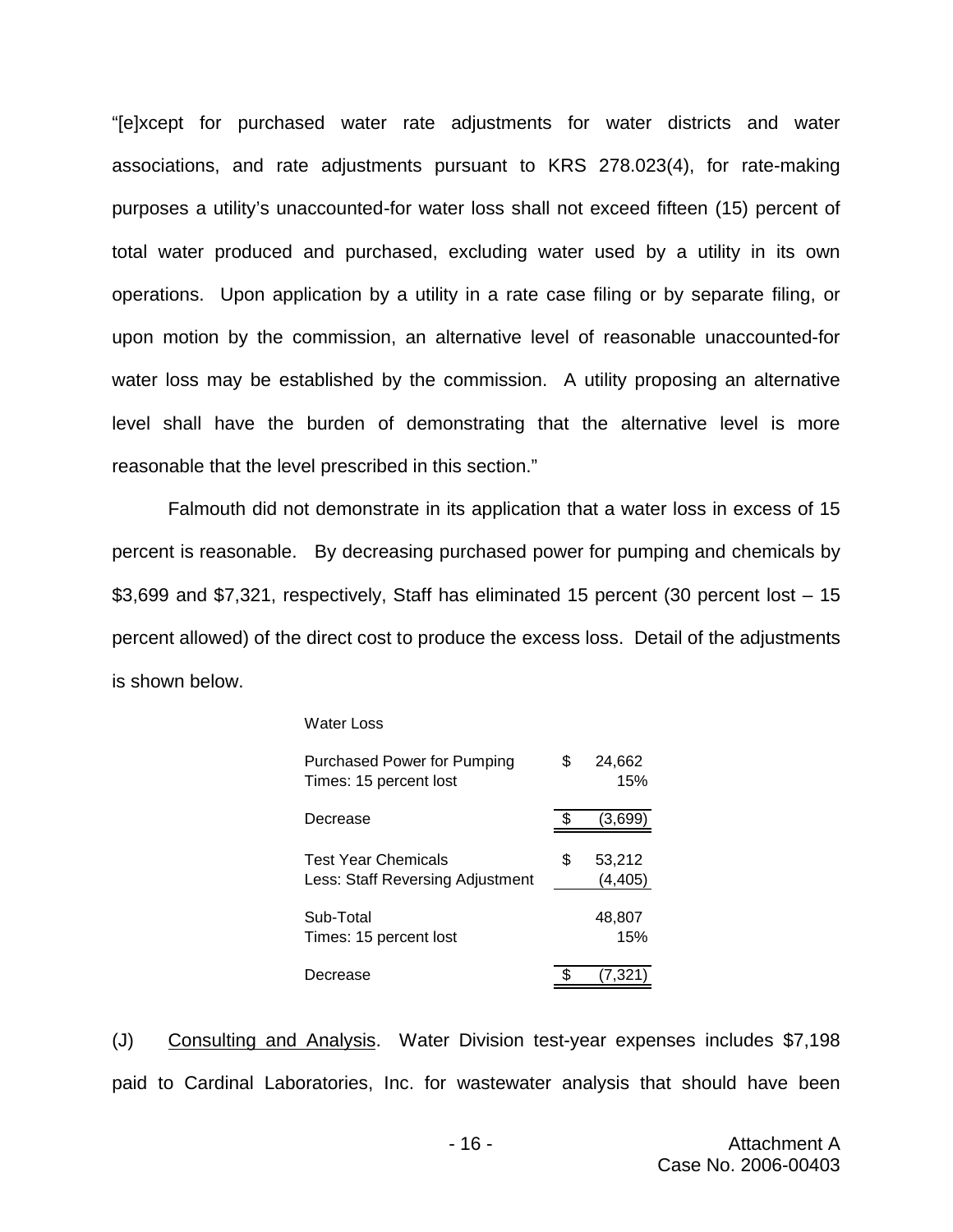"[e]xcept for purchased water rate adjustments for water districts and water associations, and rate adjustments pursuant to KRS 278.023(4), for rate-making purposes a utility's unaccounted-for water loss shall not exceed fifteen (15) percent of total water produced and purchased, excluding water used by a utility in its own operations. Upon application by a utility in a rate case filing or by separate filing, or upon motion by the commission, an alternative level of reasonable unaccounted-for water loss may be established by the commission. A utility proposing an alternative level shall have the burden of demonstrating that the alternative level is more reasonable that the level prescribed in this section."

Falmouth did not demonstrate in its application that a water loss in excess of 15 percent is reasonable. By decreasing purchased power for pumping and chemicals by \$3,699 and \$7,321, respectively, Staff has eliminated 15 percent (30 percent lost – 15 percent allowed) of the direct cost to produce the excess loss. Detail of the adjustments is shown below.

#### Water Loss

| Purchased Power for Pumping<br>Times: 15 percent lost          | \$ | 24,662<br>15%      |
|----------------------------------------------------------------|----|--------------------|
| Decrease                                                       |    | (3,699             |
| <b>Test Year Chemicals</b><br>Less: Staff Reversing Adjustment | S  | 53,212<br>(4, 405) |
| Sub-Total<br>Times: 15 percent lost                            |    | 48,807<br>15%      |
| ecrease                                                        |    | 7,321              |

(J) Consulting and Analysis. Water Division test-year expenses includes \$7,198 paid to Cardinal Laboratories, Inc. for wastewater analysis that should have been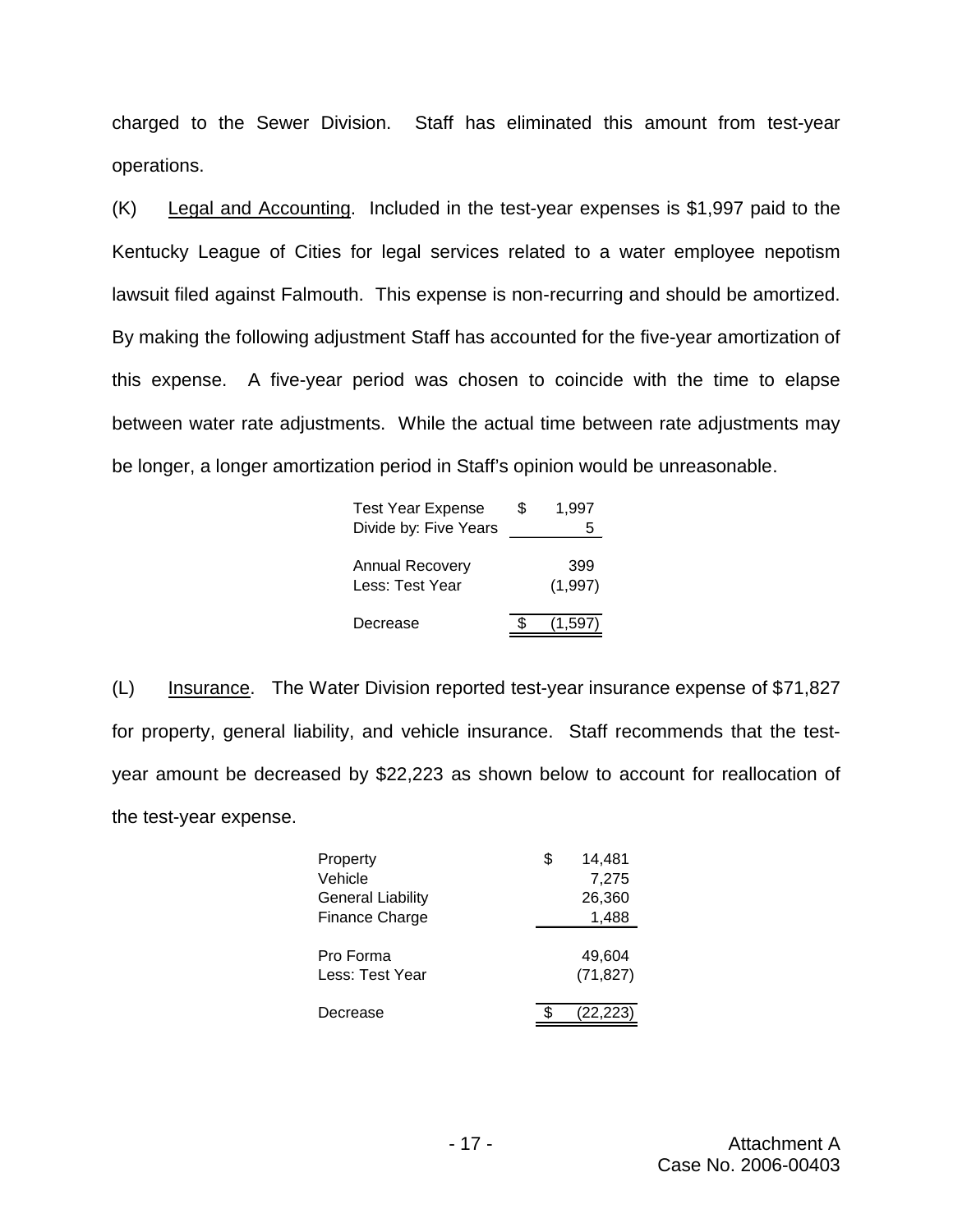charged to the Sewer Division. Staff has eliminated this amount from test-year operations.

(K) Legal and Accounting. Included in the test-year expenses is \$1,997 paid to the Kentucky League of Cities for legal services related to a water employee nepotism lawsuit filed against Falmouth. This expense is non-recurring and should be amortized. By making the following adjustment Staff has accounted for the five-year amortization of this expense. A five-year period was chosen to coincide with the time to elapse between water rate adjustments. While the actual time between rate adjustments may be longer, a longer amortization period in Staff's opinion would be unreasonable.

| <b>Test Year Expense</b><br>Divide by: Five Years | \$<br>1.997<br>5 |
|---------------------------------------------------|------------------|
| <b>Annual Recovery</b><br>Less: Test Year         | 399<br>(1,997)   |
| Decrease                                          | (1.597)          |

(L) Insurance. The Water Division reported test-year insurance expense of \$71,827 for property, general liability, and vehicle insurance. Staff recommends that the testyear amount be decreased by \$22,223 as shown below to account for reallocation of the test-year expense.

| Property                 | \$<br>14,481 |
|--------------------------|--------------|
| Vehicle                  | 7,275        |
| <b>General Liability</b> | 26,360       |
| Finance Charge           | 1,488        |
|                          |              |
| Pro Forma                | 49.604       |
| Less: Test Year          | (71, 827)    |
|                          |              |
| Decrease                 | (22, 223)    |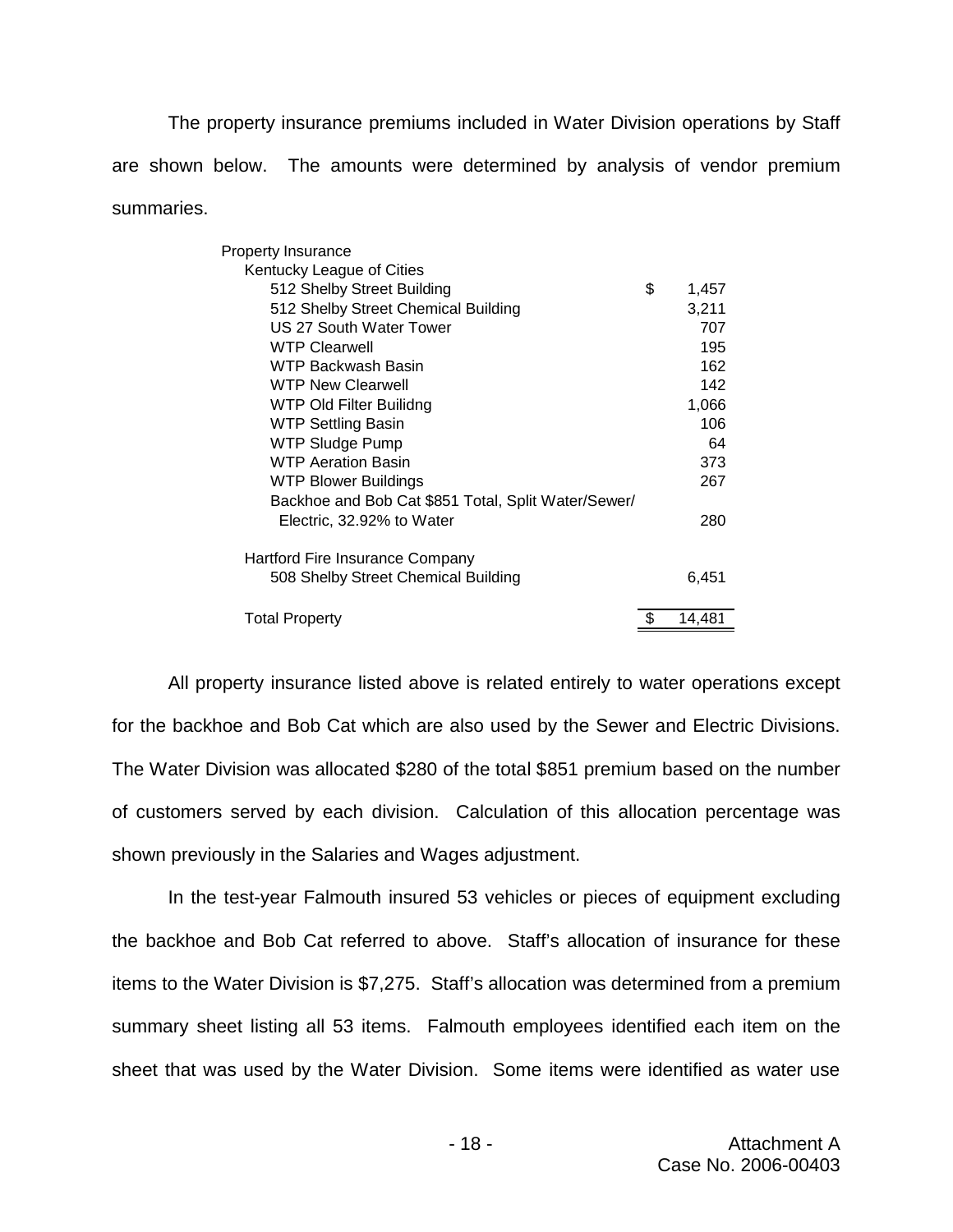The property insurance premiums included in Water Division operations by Staff are shown below. The amounts were determined by analysis of vendor premium summaries.

| <b>Property Insurance</b>                           |    |        |
|-----------------------------------------------------|----|--------|
| Kentucky League of Cities                           |    |        |
| 512 Shelby Street Building                          | \$ | 1,457  |
| 512 Shelby Street Chemical Building                 |    | 3,211  |
| US 27 South Water Tower                             |    | 707    |
| <b>WTP Clearwell</b>                                |    | 195    |
| WTP Backwash Basin                                  |    | 162    |
| <b>WTP New Clearwell</b>                            |    | 142    |
| WTP Old Filter Builidng                             |    | 1,066  |
| <b>WTP Settling Basin</b>                           |    | 106    |
| <b>WTP Sludge Pump</b>                              |    | 64     |
| <b>WTP Aeration Basin</b>                           |    | 373    |
| WTP Blower Buildings                                |    | 267    |
| Backhoe and Bob Cat \$851 Total, Split Water/Sewer/ |    |        |
| Electric, 32.92% to Water                           |    | 280    |
| Hartford Fire Insurance Company                     |    |        |
| 508 Shelby Street Chemical Building                 |    | 6,451  |
|                                                     |    |        |
| <b>Total Property</b>                               | S  | 14,481 |

All property insurance listed above is related entirely to water operations except for the backhoe and Bob Cat which are also used by the Sewer and Electric Divisions. The Water Division was allocated \$280 of the total \$851 premium based on the number of customers served by each division. Calculation of this allocation percentage was shown previously in the Salaries and Wages adjustment.

In the test-year Falmouth insured 53 vehicles or pieces of equipment excluding the backhoe and Bob Cat referred to above. Staff's allocation of insurance for these items to the Water Division is \$7,275. Staff's allocation was determined from a premium summary sheet listing all 53 items. Falmouth employees identified each item on the sheet that was used by the Water Division. Some items were identified as water use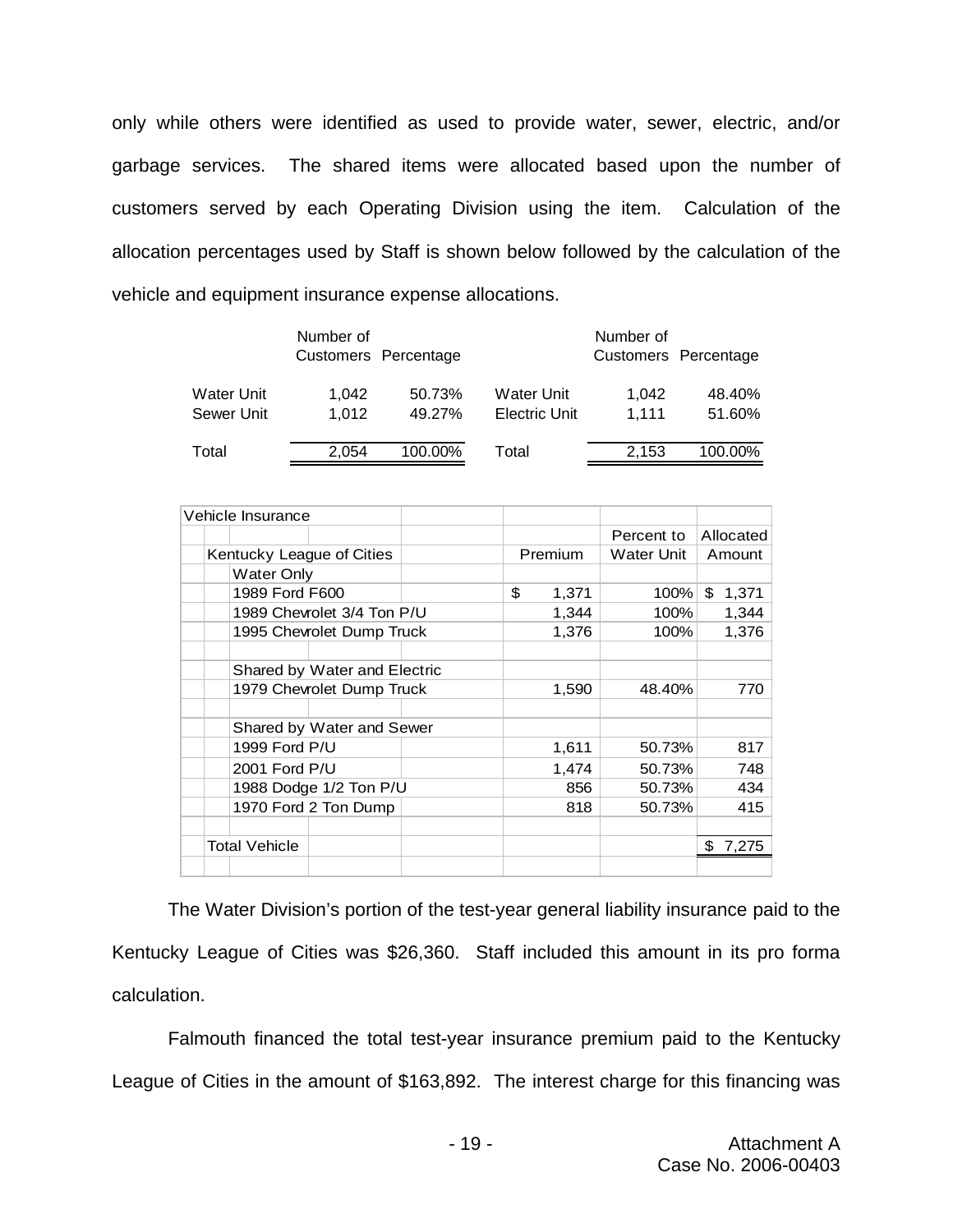only while others were identified as used to provide water, sewer, electric, and/or garbage services. The shared items were allocated based upon the number of customers served by each Operating Division using the item. Calculation of the allocation percentages used by Staff is shown below followed by the calculation of the vehicle and equipment insurance expense allocations.

|                                 | Number of      | Customers Percentage |                             | Number of      | Customers Percentage |
|---------------------------------|----------------|----------------------|-----------------------------|----------------|----------------------|
| <b>Water Unit</b><br>Sewer Unit | 1.042<br>1.012 | 50.73%<br>49.27%     | Water Unit<br>Electric Unit | 1.042<br>1.111 | 48.40%<br>51.60%     |
| Total                           | 2.054          | 100.00%              | Total                       | 2,153          | 100.00%              |

|                      |  | Vehicle Insurance |                              |    |              |            |             |
|----------------------|--|-------------------|------------------------------|----|--------------|------------|-------------|
|                      |  |                   |                              |    |              | Percent to | Allocated   |
|                      |  |                   | Kentucky League of Cities    |    | Premium      | Water Unit | Amount      |
|                      |  | Water Only        |                              |    |              |            |             |
|                      |  | 1989 Ford F600    |                              | \$ | 1,371        | 100%       | \$<br>1,371 |
|                      |  |                   | 1989 Chevrolet 3/4 Ton P/U   |    | 1,344        | 100%       | 1,344       |
|                      |  |                   | 1995 Chevrolet Dump Truck    |    | 1,376        | 100%       | 1,376       |
|                      |  |                   |                              |    |              |            |             |
|                      |  |                   | Shared by Water and Electric |    |              |            |             |
|                      |  |                   | 1979 Chevrolet Dump Truck    |    | 1,590        | 48.40%     | 770         |
|                      |  |                   |                              |    |              |            |             |
|                      |  |                   | Shared by Water and Sewer    |    |              |            |             |
|                      |  | 1999 Ford P/U     |                              |    | 1,611        | 50.73%     | 817         |
|                      |  | 2001 Ford P/U     |                              |    | 1,474        | 50.73%     | 748         |
|                      |  |                   | 1988 Dodge 1/2 Ton P/U       |    | 856          | 50.73%     | 434         |
|                      |  |                   | 1970 Ford 2 Ton Dump         |    | 818          | 50.73%     | 415         |
|                      |  |                   |                              |    |              |            |             |
| <b>Total Vehicle</b> |  |                   |                              |    | 7,275<br>\$. |            |             |
|                      |  |                   |                              |    |              |            |             |

The Water Division's portion of the test-year general liability insurance paid to the Kentucky League of Cities was \$26,360. Staff included this amount in its pro forma calculation.

Falmouth financed the total test-year insurance premium paid to the Kentucky League of Cities in the amount of \$163,892. The interest charge for this financing was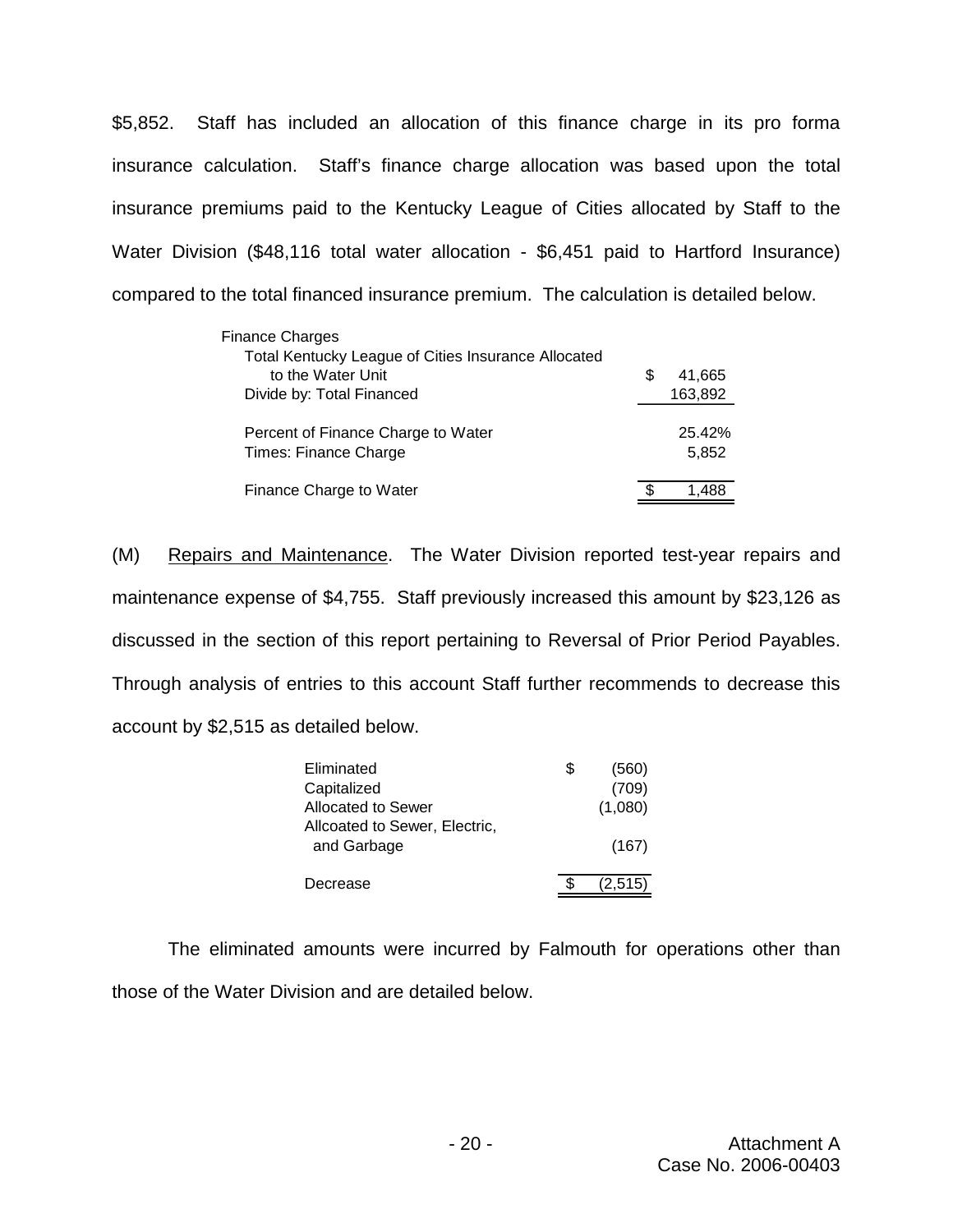\$5,852. Staff has included an allocation of this finance charge in its pro forma insurance calculation. Staff's finance charge allocation was based upon the total insurance premiums paid to the Kentucky League of Cities allocated by Staff to the Water Division (\$48,116 total water allocation - \$6,451 paid to Hartford Insurance) compared to the total financed insurance premium. The calculation is detailed below.

| <b>Finance Charges</b>                              |   |         |
|-----------------------------------------------------|---|---------|
| Total Kentucky League of Cities Insurance Allocated |   |         |
| to the Water Unit                                   | S | 41.665  |
| Divide by: Total Financed                           |   | 163,892 |
|                                                     |   |         |
| Percent of Finance Charge to Water                  |   | 25.42%  |
| Times: Finance Charge                               |   | 5,852   |
|                                                     |   |         |
| Finance Charge to Water                             |   |         |

(M) Repairs and Maintenance. The Water Division reported test-year repairs and maintenance expense of \$4,755. Staff previously increased this amount by \$23,126 as discussed in the section of this report pertaining to Reversal of Prior Period Payables. Through analysis of entries to this account Staff further recommends to decrease this account by \$2,515 as detailed below.

| Eliminated                                   | Ъ. | (560)   |
|----------------------------------------------|----|---------|
| Capitalized                                  |    | (709)   |
| Allocated to Sewer                           |    | (1,080) |
| Allcoated to Sewer, Electric,<br>and Garbage |    | (167)   |
| Decrease                                     |    | (2,515) |

The eliminated amounts were incurred by Falmouth for operations other than those of the Water Division and are detailed below.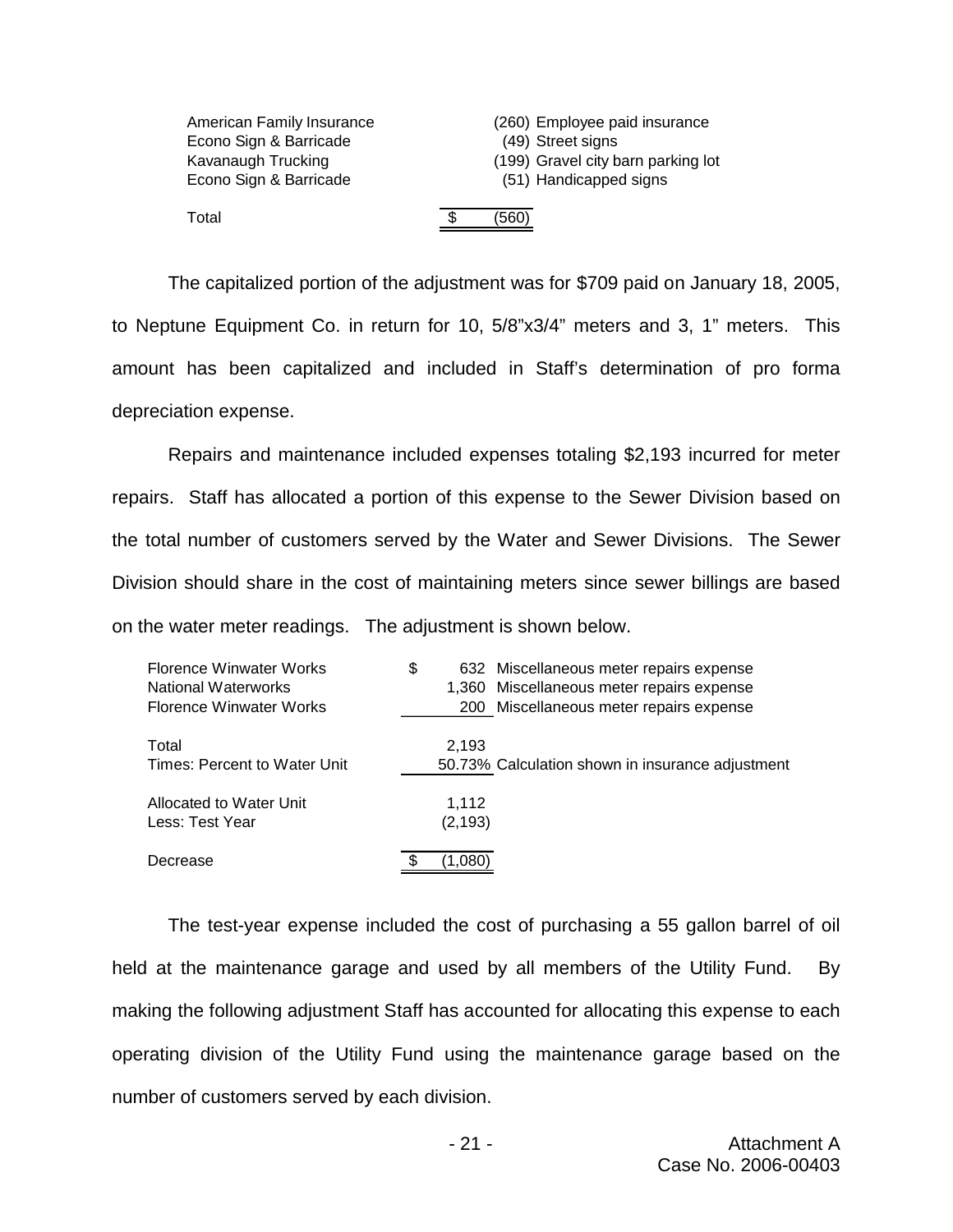| American Family Insurance<br>Econo Sign & Barricade<br>Kavanaugh Trucking<br>Econo Sign & Barricade |   | (260) Employee paid insurance<br>(49) Street signs<br>(199) Gravel city barn parking lot<br>(51) Handicapped signs |
|-----------------------------------------------------------------------------------------------------|---|--------------------------------------------------------------------------------------------------------------------|
| Total                                                                                               | S | (560)                                                                                                              |

The capitalized portion of the adjustment was for \$709 paid on January 18, 2005, to Neptune Equipment Co. in return for 10, 5/8"x3/4" meters and 3, 1" meters. This amount has been capitalized and included in Staff's determination of pro forma depreciation expense.

Repairs and maintenance included expenses totaling \$2,193 incurred for meter repairs. Staff has allocated a portion of this expense to the Sewer Division based on the total number of customers served by the Water and Sewer Divisions. The Sewer Division should share in the cost of maintaining meters since sewer billings are based on the water meter readings. The adjustment is shown below.

| Florence Winwater Works<br>National Waterworks<br>Florence Winwater Works | \$                | 632 Miscellaneous meter repairs expense<br>1,360 Miscellaneous meter repairs expense<br>200 Miscellaneous meter repairs expense |
|---------------------------------------------------------------------------|-------------------|---------------------------------------------------------------------------------------------------------------------------------|
| Total<br>Times: Percent to Water Unit                                     | 2,193             | 50.73% Calculation shown in insurance adjustment                                                                                |
| Allocated to Water Unit<br>Less: Test Year                                | 1,112<br>(2, 193) |                                                                                                                                 |
| Decrease                                                                  |                   |                                                                                                                                 |

The test-year expense included the cost of purchasing a 55 gallon barrel of oil held at the maintenance garage and used by all members of the Utility Fund. By making the following adjustment Staff has accounted for allocating this expense to each operating division of the Utility Fund using the maintenance garage based on the number of customers served by each division.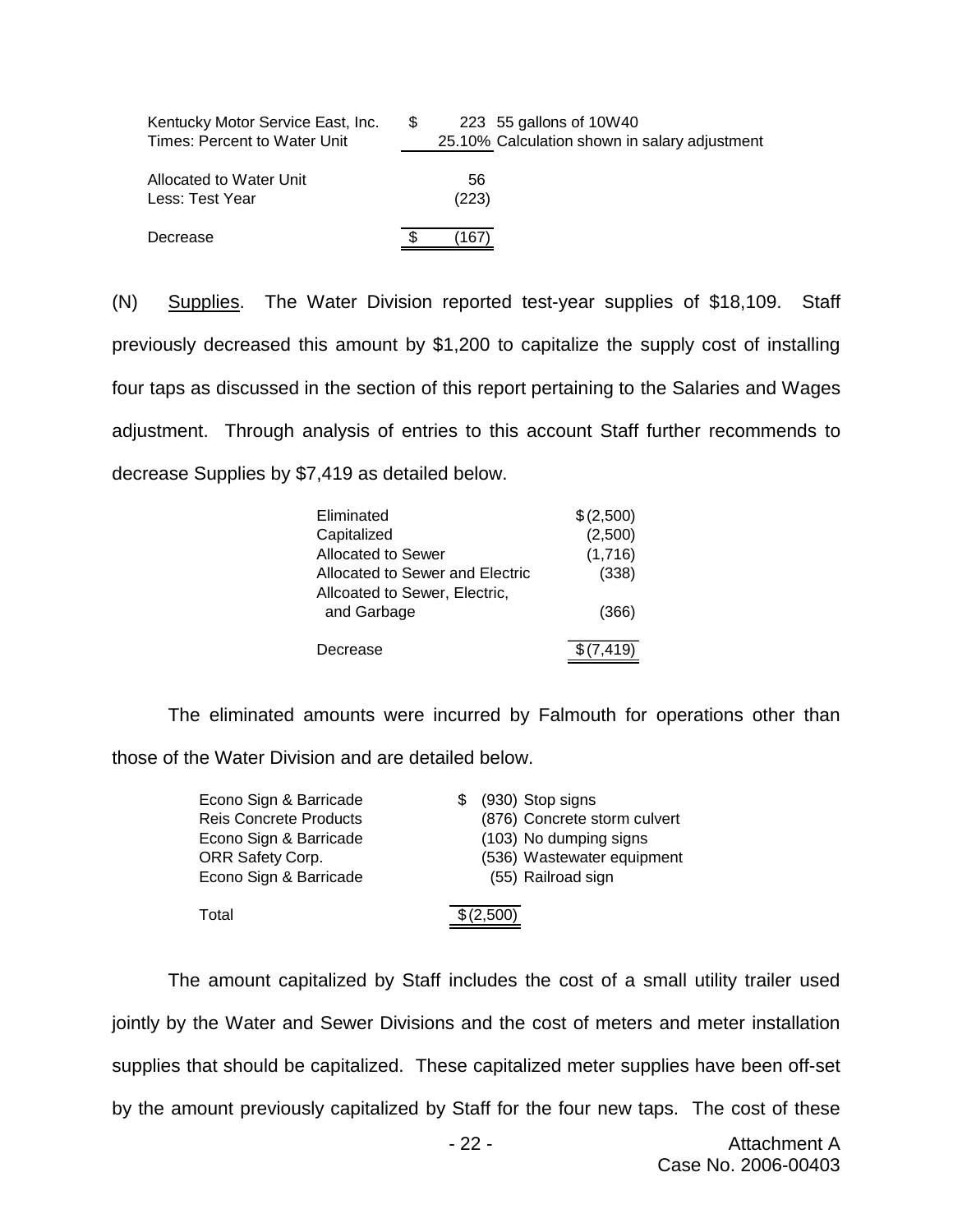| Kentucky Motor Service East, Inc.<br>Times: Percent to Water Unit | \$. | 223 55 gallons of 10W40<br>25.10% Calculation shown in salary adjustment |
|-------------------------------------------------------------------|-----|--------------------------------------------------------------------------|
| Allocated to Water Unit<br>Less: Test Year                        |     | 56<br>(223)                                                              |
| Decrease                                                          |     | 167                                                                      |

(N) Supplies. The Water Division reported test-year supplies of \$18,109. Staff previously decreased this amount by \$1,200 to capitalize the supply cost of installing four taps as discussed in the section of this report pertaining to the Salaries and Wages adjustment. Through analysis of entries to this account Staff further recommends to decrease Supplies by \$7,419 as detailed below.

| Eliminated                                   | \$(2,500) |
|----------------------------------------------|-----------|
| Capitalized                                  | (2,500)   |
| Allocated to Sewer                           | (1,716)   |
| Allocated to Sewer and Electric              | (338)     |
| Allcoated to Sewer, Electric,<br>and Garbage | (366)     |
| Decrease                                     | \$(7.419) |

The eliminated amounts were incurred by Falmouth for operations other than those of the Water Division and are detailed below.

| Econo Sign & Barricade        | (930) Stop signs<br>SS.      |
|-------------------------------|------------------------------|
| <b>Reis Concrete Products</b> | (876) Concrete storm culvert |
| Econo Sign & Barricade        | (103) No dumping signs       |
| ORR Safety Corp.              | (536) Wastewater equipment   |
| Econo Sign & Barricade        | (55) Railroad sign           |
|                               |                              |
| Total                         | \$(2,500)                    |

The amount capitalized by Staff includes the cost of a small utility trailer used jointly by the Water and Sewer Divisions and the cost of meters and meter installation supplies that should be capitalized. These capitalized meter supplies have been off-set by the amount previously capitalized by Staff for the four new taps. The cost of these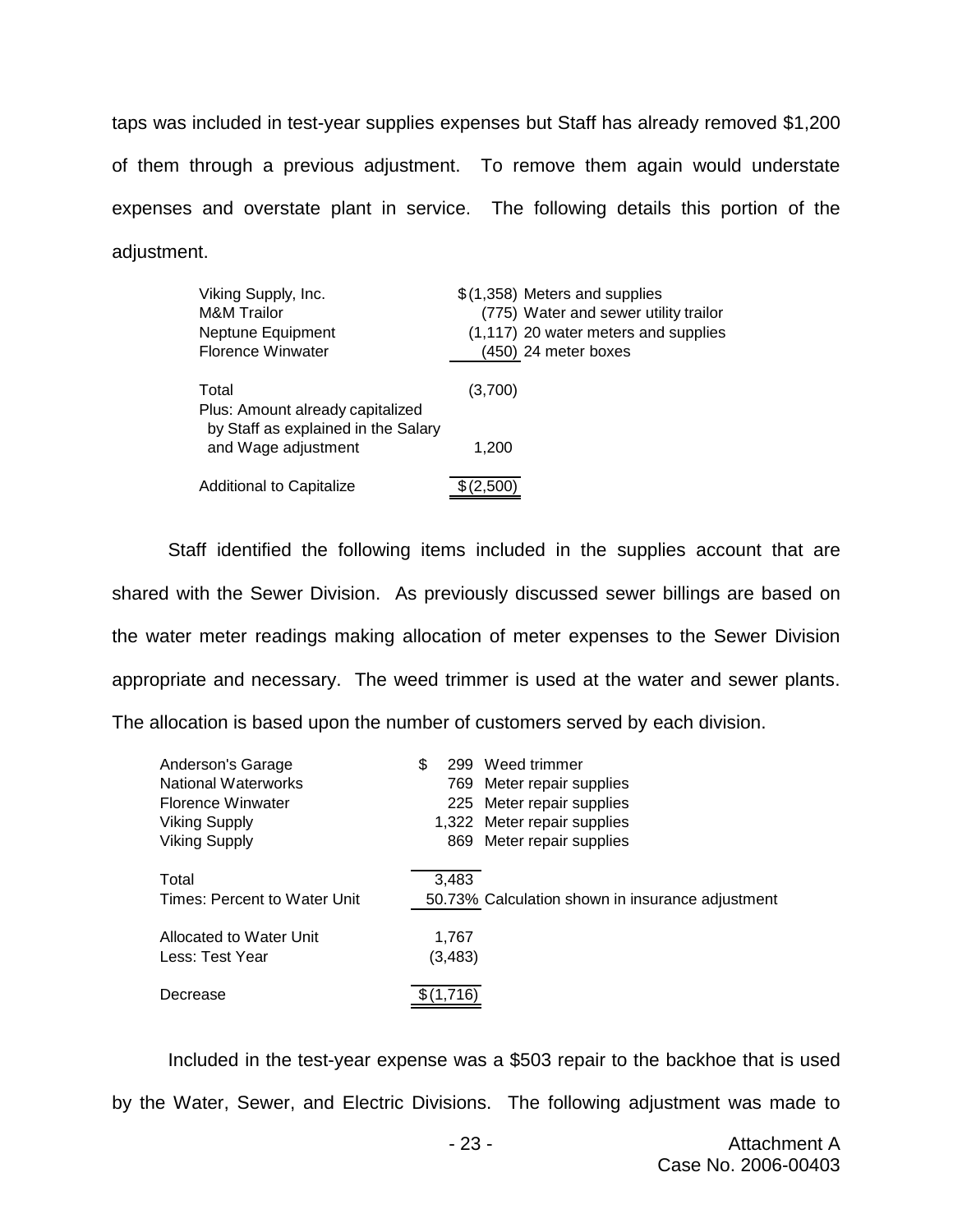taps was included in test-year supplies expenses but Staff has already removed \$1,200 of them through a previous adjustment. To remove them again would understate expenses and overstate plant in service. The following details this portion of the adjustment.

| Viking Supply, Inc.<br><b>M&amp;M</b> Trailor<br>Neptune Equipment<br><b>Florence Winwater</b> | \$(1,358) Meters and supplies<br>(775) Water and sewer utility trailor<br>(1,117) 20 water meters and supplies<br>(450) 24 meter boxes |
|------------------------------------------------------------------------------------------------|----------------------------------------------------------------------------------------------------------------------------------------|
| Total<br>Plus: Amount already capitalized<br>by Staff as explained in the Salary               | (3,700)                                                                                                                                |
| and Wage adjustment                                                                            | 1,200                                                                                                                                  |
| Additional to Capitalize                                                                       | \$(2,500)                                                                                                                              |

Staff identified the following items included in the supplies account that are shared with the Sewer Division. As previously discussed sewer billings are based on the water meter readings making allocation of meter expenses to the Sewer Division appropriate and necessary. The weed trimmer is used at the water and sewer plants. The allocation is based upon the number of customers served by each division.

| Anderson's Garage<br>National Waterworks<br><b>Florence Winwater</b><br>Viking Supply<br><b>Viking Supply</b> | S | 299               | Weed trimmer<br>769 Meter repair supplies<br>225 Meter repair supplies<br>1,322 Meter repair supplies<br>869 Meter repair supplies |
|---------------------------------------------------------------------------------------------------------------|---|-------------------|------------------------------------------------------------------------------------------------------------------------------------|
| Total<br>Times: Percent to Water Unit                                                                         |   | 3,483             | 50.73% Calculation shown in insurance adjustment                                                                                   |
| Allocated to Water Unit<br>Less: Test Year                                                                    |   | 1.767<br>(3, 483) |                                                                                                                                    |
| Decrease                                                                                                      |   |                   |                                                                                                                                    |

Included in the test-year expense was a \$503 repair to the backhoe that is used by the Water, Sewer, and Electric Divisions. The following adjustment was made to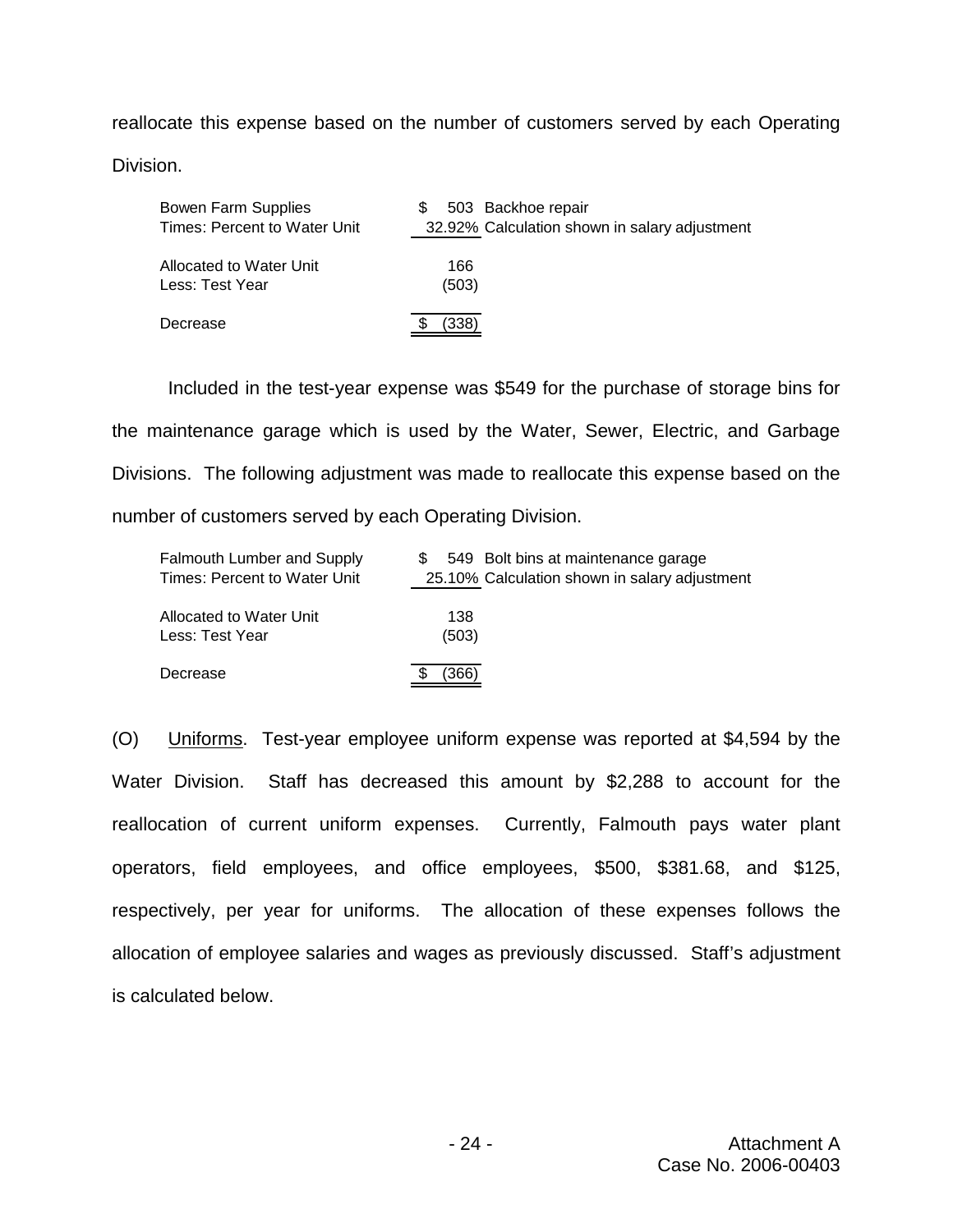reallocate this expense based on the number of customers served by each Operating

Division.

| Bowen Farm Supplies          | 503 Backhoe repair                            |
|------------------------------|-----------------------------------------------|
| Times: Percent to Water Unit | 32.92% Calculation shown in salary adjustment |
| Allocated to Water Unit      | 166                                           |
| Less: Test Year              | (503)                                         |
| Decrease                     | (338)                                         |

Included in the test-year expense was \$549 for the purchase of storage bins for the maintenance garage which is used by the Water, Sewer, Electric, and Garbage Divisions. The following adjustment was made to reallocate this expense based on the number of customers served by each Operating Division.

| <b>Falmouth Lumber and Supply</b> | 549 Bolt bins at maintenance garage           |
|-----------------------------------|-----------------------------------------------|
| Times: Percent to Water Unit      | 25.10% Calculation shown in salary adjustment |
| Allocated to Water Unit           | 138                                           |
| Less: Test Year                   | (503)                                         |
| Decrease                          | (366)                                         |

(O) Uniforms. Test-year employee uniform expense was reported at \$4,594 by the Water Division. Staff has decreased this amount by \$2,288 to account for the reallocation of current uniform expenses. Currently, Falmouth pays water plant operators, field employees, and office employees, \$500, \$381.68, and \$125, respectively, per year for uniforms. The allocation of these expenses follows the allocation of employee salaries and wages as previously discussed. Staff's adjustment is calculated below.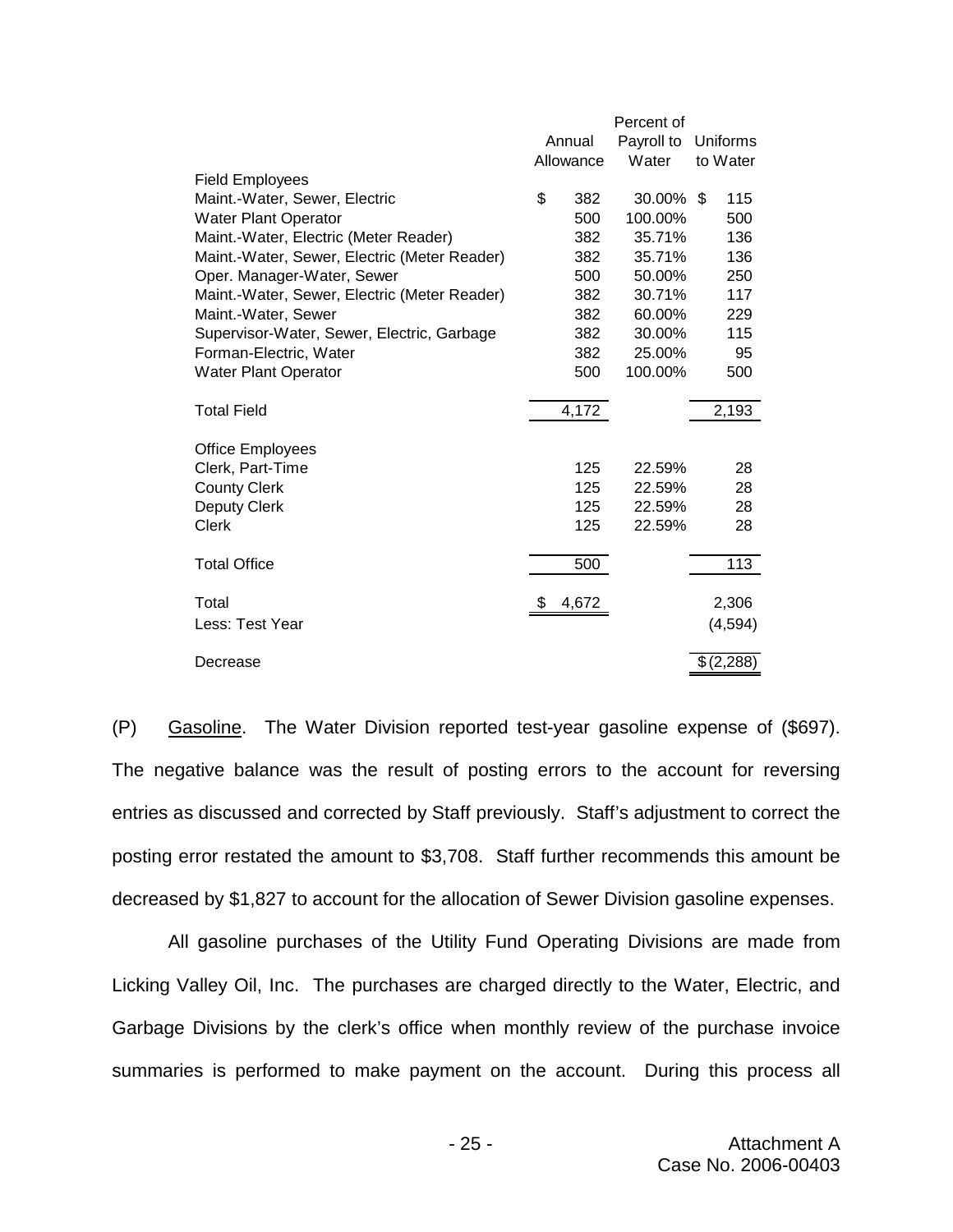|                                              |           | Percent of |           |
|----------------------------------------------|-----------|------------|-----------|
|                                              | Annual    | Payroll to | Uniforms  |
|                                              | Allowance | Water      | to Water  |
| <b>Field Employees</b>                       |           |            |           |
| Maint.-Water, Sewer, Electric                | \$<br>382 | 30.00%     | 115<br>\$ |
| <b>Water Plant Operator</b>                  | 500       | 100.00%    | 500       |
| Maint.-Water, Electric (Meter Reader)        | 382       | 35.71%     | 136       |
| Maint.-Water, Sewer, Electric (Meter Reader) | 382       | 35.71%     | 136       |
| Oper. Manager-Water, Sewer                   | 500       | 50.00%     | 250       |
| Maint.-Water, Sewer, Electric (Meter Reader) | 382       | 30.71%     | 117       |
| Maint.-Water, Sewer                          | 382       | 60.00%     | 229       |
| Supervisor-Water, Sewer, Electric, Garbage   | 382       | 30.00%     | 115       |
| Forman-Electric, Water                       | 382       | 25.00%     | 95        |
| <b>Water Plant Operator</b>                  | 500       | 100.00%    | 500       |
| <b>Total Field</b>                           | 4,172     |            | 2,193     |
| <b>Office Employees</b>                      |           |            |           |
| Clerk, Part-Time                             | 125       | 22.59%     | 28        |
| <b>County Clerk</b>                          | 125       | 22.59%     | 28        |
| Deputy Clerk                                 | 125       | 22.59%     | 28        |
| Clerk                                        | 125       | 22.59%     | 28        |
| <b>Total Office</b>                          | 500       |            | 113       |
|                                              |           |            |           |
| Total                                        | 4,672     |            | 2,306     |
| Less: Test Year                              |           |            | (4, 594)  |
| Decrease                                     |           |            | \$(2,288) |

(P) Gasoline. The Water Division reported test-year gasoline expense of (\$697). The negative balance was the result of posting errors to the account for reversing entries as discussed and corrected by Staff previously. Staff's adjustment to correct the posting error restated the amount to \$3,708. Staff further recommends this amount be decreased by \$1,827 to account for the allocation of Sewer Division gasoline expenses.

All gasoline purchases of the Utility Fund Operating Divisions are made from Licking Valley Oil, Inc. The purchases are charged directly to the Water, Electric, and Garbage Divisions by the clerk's office when monthly review of the purchase invoice summaries is performed to make payment on the account. During this process all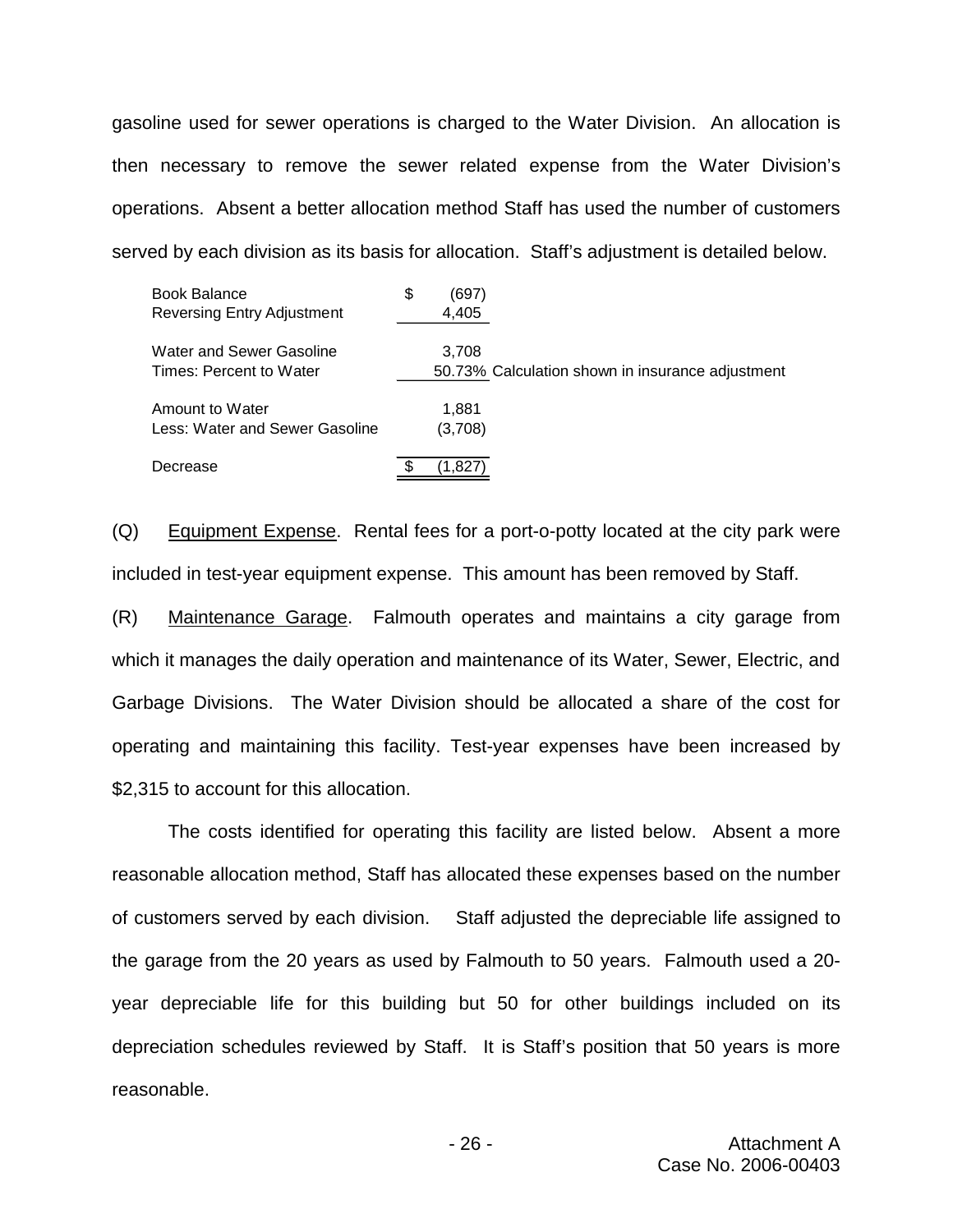gasoline used for sewer operations is charged to the Water Division. An allocation is then necessary to remove the sewer related expense from the Water Division's operations. Absent a better allocation method Staff has used the number of customers served by each division as its basis for allocation. Staff's adjustment is detailed below.

| <b>Book Balance</b><br><b>Reversing Entry Adjustment</b> | \$<br>(697)<br>4,405 |                                                  |
|----------------------------------------------------------|----------------------|--------------------------------------------------|
| Water and Sewer Gasoline<br>Times: Percent to Water      | 3,708                | 50.73% Calculation shown in insurance adjustment |
| Amount to Water<br>Less: Water and Sewer Gasoline        | 1.881<br>(3,708)     |                                                  |
| Decrease                                                 | 1.827                |                                                  |

(Q) Equipment Expense. Rental fees for a port-o-potty located at the city park were included in test-year equipment expense. This amount has been removed by Staff.

(R) Maintenance Garage. Falmouth operates and maintains a city garage from which it manages the daily operation and maintenance of its Water, Sewer, Electric, and Garbage Divisions. The Water Division should be allocated a share of the cost for operating and maintaining this facility. Test-year expenses have been increased by \$2,315 to account for this allocation.

The costs identified for operating this facility are listed below. Absent a more reasonable allocation method, Staff has allocated these expenses based on the number of customers served by each division. Staff adjusted the depreciable life assigned to the garage from the 20 years as used by Falmouth to 50 years. Falmouth used a 20 year depreciable life for this building but 50 for other buildings included on its depreciation schedules reviewed by Staff. It is Staff's position that 50 years is more reasonable.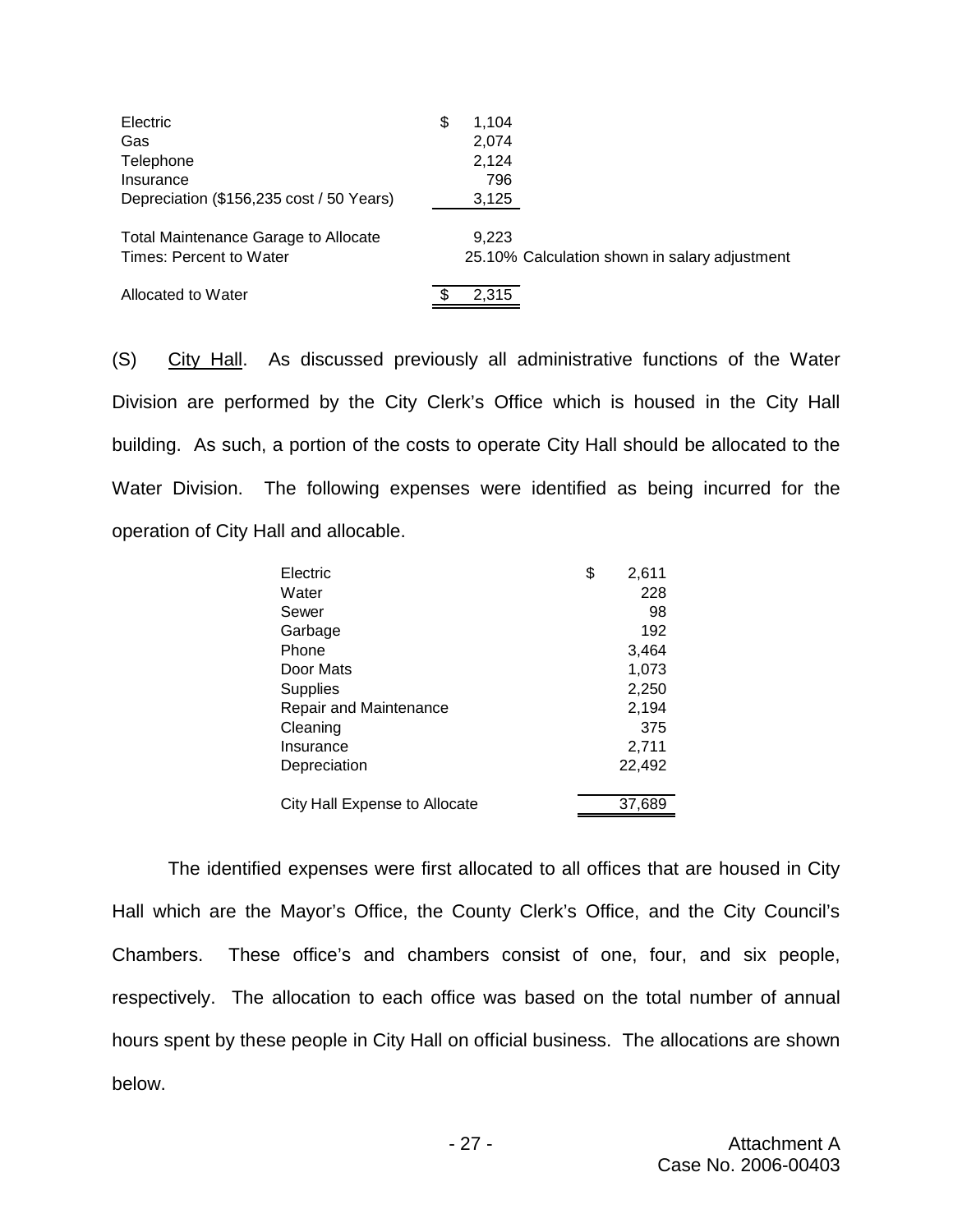| Electric                                    | \$<br>1.104 |                                               |
|---------------------------------------------|-------------|-----------------------------------------------|
| Gas                                         | 2.074       |                                               |
| Telephone                                   | 2.124       |                                               |
| Insurance                                   | 796         |                                               |
| Depreciation (\$156,235 cost / 50 Years)    | 3,125       |                                               |
| <b>Total Maintenance Garage to Allocate</b> | 9.223       |                                               |
| Times: Percent to Water                     |             | 25.10% Calculation shown in salary adjustment |
| Allocated to Water                          | 2,315       |                                               |

(S) City Hall. As discussed previously all administrative functions of the Water Division are performed by the City Clerk's Office which is housed in the City Hall building. As such, a portion of the costs to operate City Hall should be allocated to the Water Division. The following expenses were identified as being incurred for the operation of City Hall and allocable.

| 228<br>Water<br>98<br>Sewer<br>192<br>Garbage<br>Phone<br>3,464<br>1,073<br>Door Mats<br>2,250<br><b>Supplies</b><br>2,194<br>Repair and Maintenance<br>375<br>Cleaning<br>2,711<br>Insurance<br>22,492<br>Depreciation<br>City Hall Expense to Allocate<br>37,689 | Electric | \$<br>2,611 |
|--------------------------------------------------------------------------------------------------------------------------------------------------------------------------------------------------------------------------------------------------------------------|----------|-------------|
|                                                                                                                                                                                                                                                                    |          |             |
|                                                                                                                                                                                                                                                                    |          |             |
|                                                                                                                                                                                                                                                                    |          |             |
|                                                                                                                                                                                                                                                                    |          |             |
|                                                                                                                                                                                                                                                                    |          |             |
|                                                                                                                                                                                                                                                                    |          |             |
|                                                                                                                                                                                                                                                                    |          |             |
|                                                                                                                                                                                                                                                                    |          |             |
|                                                                                                                                                                                                                                                                    |          |             |
|                                                                                                                                                                                                                                                                    |          |             |
|                                                                                                                                                                                                                                                                    |          |             |
|                                                                                                                                                                                                                                                                    |          |             |

The identified expenses were first allocated to all offices that are housed in City Hall which are the Mayor's Office, the County Clerk's Office, and the City Council's Chambers. These office's and chambers consist of one, four, and six people, respectively. The allocation to each office was based on the total number of annual hours spent by these people in City Hall on official business. The allocations are shown below.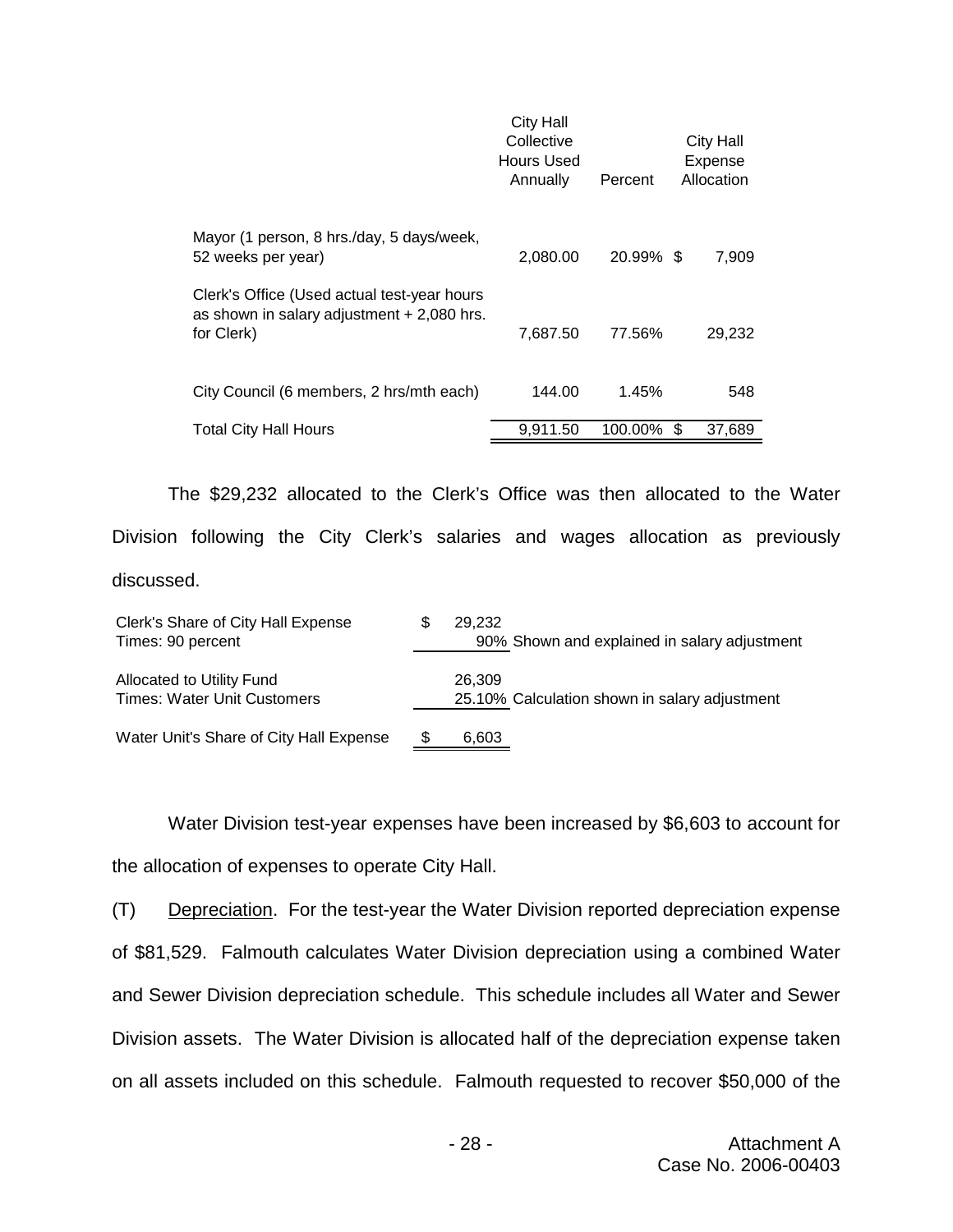|                                                                                                          | <b>City Hall</b><br>Collective<br>Hours Used<br>Annually | Percent   | <b>City Hall</b><br>Expense<br>Allocation |
|----------------------------------------------------------------------------------------------------------|----------------------------------------------------------|-----------|-------------------------------------------|
| Mayor (1 person, 8 hrs./day, 5 days/week,<br>52 weeks per year)                                          | 2,080.00                                                 | 20.99% \$ | 7,909                                     |
| Clerk's Office (Used actual test-year hours<br>as shown in salary adjustment $+2,080$ hrs.<br>for Clerk) | 7,687.50                                                 | 77.56%    | 29,232                                    |
| City Council (6 members, 2 hrs/mth each)                                                                 | 144.00                                                   | 1.45%     | 548                                       |
| <b>Total City Hall Hours</b>                                                                             | 9.911.50                                                 | 100.00%   | \$.<br>37,689                             |

The \$29,232 allocated to the Clerk's Office was then allocated to the Water Division following the City Clerk's salaries and wages allocation as previously discussed.

| Clerk's Share of City Hall Expense<br>Times: 90 percent         |    | 29.232<br>90% Shown and explained in salary adjustment  |
|-----------------------------------------------------------------|----|---------------------------------------------------------|
| Allocated to Utility Fund<br><b>Times: Water Unit Customers</b> |    | 26.309<br>25.10% Calculation shown in salary adjustment |
| Water Unit's Share of City Hall Expense                         | S. | 6,603                                                   |

Water Division test-year expenses have been increased by \$6,603 to account for the allocation of expenses to operate City Hall.

(T) Depreciation. For the test-year the Water Division reported depreciation expense of \$81,529. Falmouth calculates Water Division depreciation using a combined Water and Sewer Division depreciation schedule. This schedule includes all Water and Sewer Division assets. The Water Division is allocated half of the depreciation expense taken on all assets included on this schedule. Falmouth requested to recover \$50,000 of the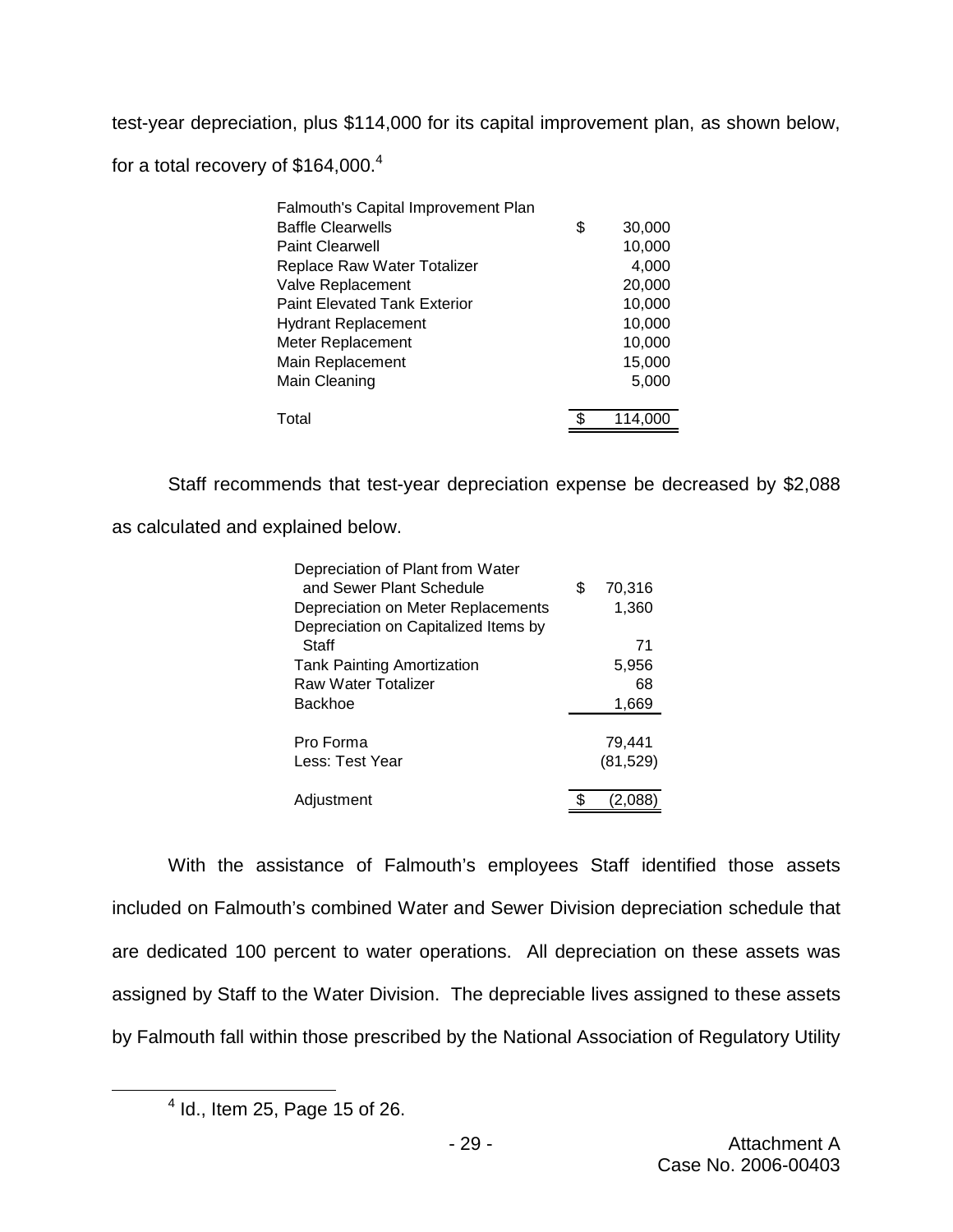test-year depreciation, plus \$114,000 for its capital improvement plan, as shown below, for a total recovery of \$164,000.<sup>4</sup>

| Falmouth's Capital Improvement Plan |              |
|-------------------------------------|--------------|
| <b>Baffle Clearwells</b>            | \$<br>30,000 |
| <b>Paint Clearwell</b>              | 10,000       |
| Replace Raw Water Totalizer         | 4,000        |
| Valve Replacement                   | 20,000       |
| <b>Paint Elevated Tank Exterior</b> | 10,000       |
| <b>Hydrant Replacement</b>          | 10,000       |
| Meter Replacement                   | 10,000       |
| Main Replacement                    | 15,000       |
| Main Cleaning                       | 5,000        |
|                                     |              |
| Total                               | 114.00       |

Staff recommends that test-year depreciation expense be decreased by \$2,088

as calculated and explained below.

| Depreciation of Plant from Water     |   |           |
|--------------------------------------|---|-----------|
| and Sewer Plant Schedule             | S | 70,316    |
| Depreciation on Meter Replacements   |   | 1,360     |
| Depreciation on Capitalized Items by |   |           |
| Staff                                |   | 71        |
| <b>Tank Painting Amortization</b>    |   | 5,956     |
| <b>Raw Water Totalizer</b>           |   | 68        |
| Backhoe                              |   | 1,669     |
|                                      |   |           |
| Pro Forma                            |   | 79.441    |
| Less: Test Year                      |   | (81, 529) |
|                                      |   |           |
| Adjustment                           |   | (2,u      |

With the assistance of Falmouth's employees Staff identified those assets included on Falmouth's combined Water and Sewer Division depreciation schedule that are dedicated 100 percent to water operations. All depreciation on these assets was assigned by Staff to the Water Division. The depreciable lives assigned to these assets by Falmouth fall within those prescribed by the National Association of Regulatory Utility

<sup>4</sup> Id., Item 25, Page 15 of 26.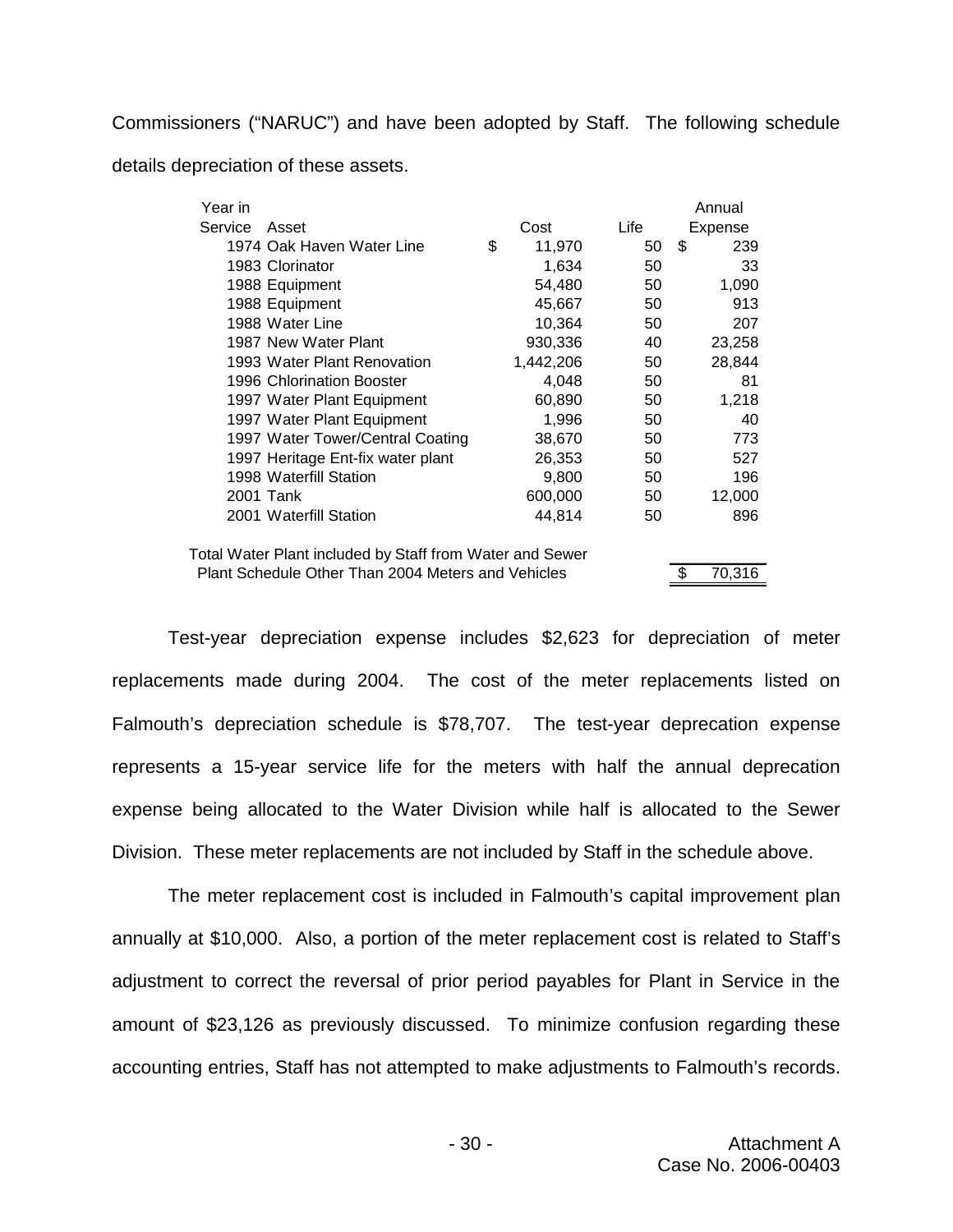Commissioners ("NARUC") and have been adopted by Staff. The following schedule details depreciation of these assets.

| Year in                                                  |              |      | Annual       |
|----------------------------------------------------------|--------------|------|--------------|
| Service<br>Asset                                         | Cost         | Life | Expense      |
| 1974 Oak Haven Water Line                                | \$<br>11,970 | 50   | \$<br>239    |
| 1983 Clorinator                                          | 1,634        | 50   | 33           |
| 1988 Equipment                                           | 54,480       | 50   | 1,090        |
| 1988 Equipment                                           | 45,667       | 50   | 913          |
| 1988 Water Line                                          | 10,364       | 50   | 207          |
| 1987 New Water Plant                                     | 930,336      | 40   | 23,258       |
| 1993 Water Plant Renovation                              | 1,442,206    | 50   | 28,844       |
| 1996 Chlorination Booster                                | 4,048        | 50   | 81           |
| 1997 Water Plant Equipment                               | 60,890       | 50   | 1,218        |
| 1997 Water Plant Equipment                               | 1,996        | 50   | 40           |
| 1997 Water Tower/Central Coating                         | 38,670       | 50   | 773          |
| 1997 Heritage Ent-fix water plant                        | 26,353       | 50   | 527          |
| 1998 Waterfill Station                                   | 9,800        | 50   | 196          |
| 2001 Tank                                                | 600,000      | 50   | 12,000       |
| 2001 Waterfill Station                                   | 44,814       | 50   | 896          |
| Total Water Plant included by Staff from Water and Sewer |              |      |              |
| Plant Schedule Other Than 2004 Meters and Vehicles       |              |      | 70,316<br>\$ |

Test-year depreciation expense includes \$2,623 for depreciation of meter replacements made during 2004. The cost of the meter replacements listed on Falmouth's depreciation schedule is \$78,707. The test-year deprecation expense represents a 15-year service life for the meters with half the annual deprecation expense being allocated to the Water Division while half is allocated to the Sewer Division. These meter replacements are not included by Staff in the schedule above.

The meter replacement cost is included in Falmouth's capital improvement plan annually at \$10,000. Also, a portion of the meter replacement cost is related to Staff's adjustment to correct the reversal of prior period payables for Plant in Service in the amount of \$23,126 as previously discussed. To minimize confusion regarding these accounting entries, Staff has not attempted to make adjustments to Falmouth's records.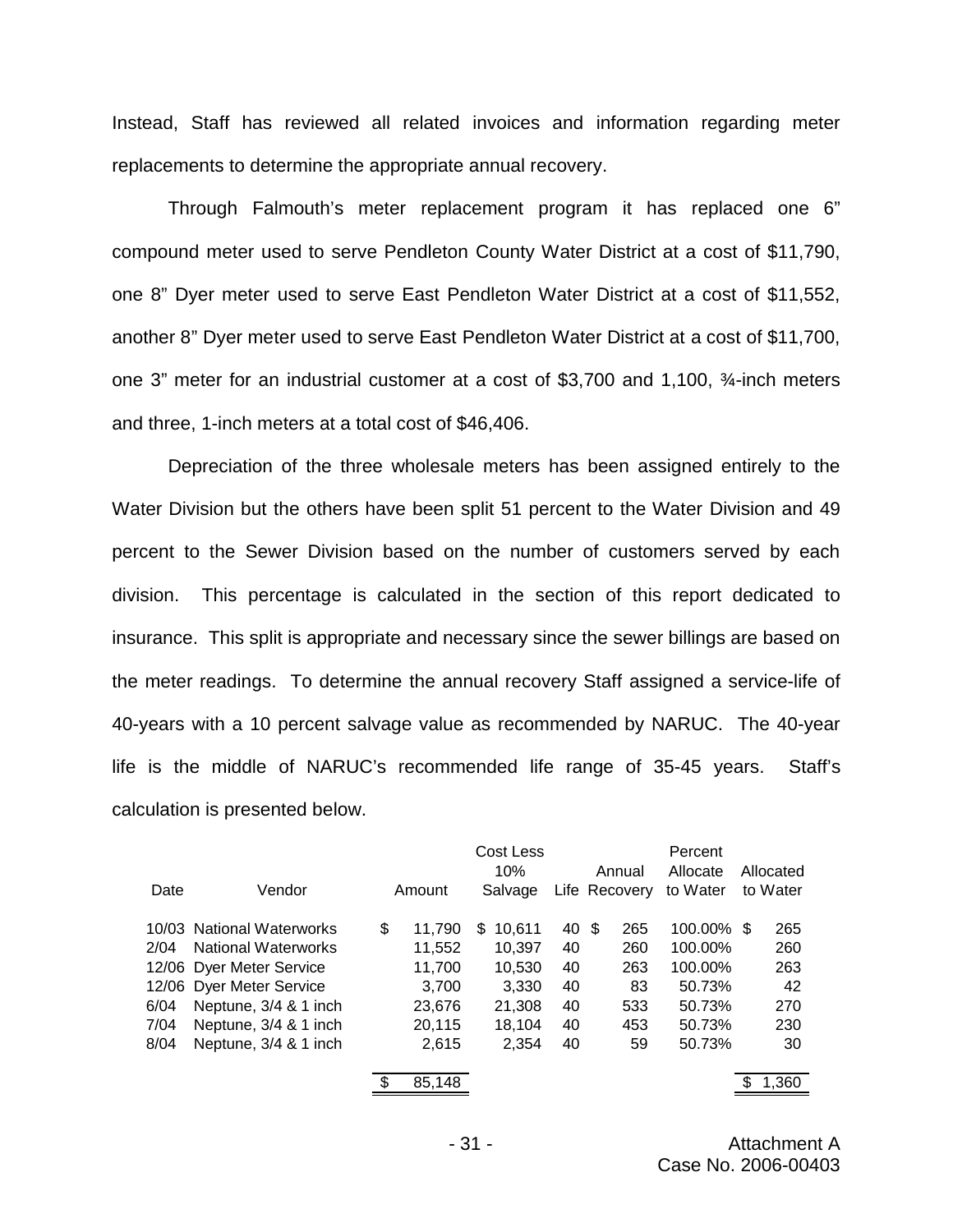Instead, Staff has reviewed all related invoices and information regarding meter replacements to determine the appropriate annual recovery.

Through Falmouth's meter replacement program it has replaced one 6" compound meter used to serve Pendleton County Water District at a cost of \$11,790, one 8" Dyer meter used to serve East Pendleton Water District at a cost of \$11,552, another 8" Dyer meter used to serve East Pendleton Water District at a cost of \$11,700, one 3" meter for an industrial customer at a cost of \$3,700 and 1,100, ¾-inch meters and three, 1-inch meters at a total cost of \$46,406.

Depreciation of the three wholesale meters has been assigned entirely to the Water Division but the others have been split 51 percent to the Water Division and 49 percent to the Sewer Division based on the number of customers served by each division. This percentage is calculated in the section of this report dedicated to insurance. This split is appropriate and necessary since the sewer billings are based on the meter readings. To determine the annual recovery Staff assigned a service-life of 40-years with a 10 percent salvage value as recommended by NARUC. The 40-year life is the middle of NARUC's recommended life range of 35-45 years. Staff's calculation is presented below.

|      |                            |              | Cost Less   |       |               | Percent    |           |
|------|----------------------------|--------------|-------------|-------|---------------|------------|-----------|
|      |                            |              | 10%         |       | Annual        | Allocate   | Allocated |
| Date | Vendor                     | Amount       | Salvage     |       | Life Recovery | to Water   | to Water  |
|      | 10/03 National Waterworks  | \$<br>11,790 | 10.611<br>S | 40 \$ | 265           | 100.00% \$ | 265       |
| 2/04 | <b>National Waterworks</b> | 11,552       | 10.397      | 40    | 260           | 100.00%    | 260       |
|      | 12/06 Dyer Meter Service   | 11,700       | 10,530      | 40    | 263           | 100.00%    | 263       |
|      | 12/06 Dyer Meter Service   | 3,700        | 3,330       | 40    | 83            | 50.73%     | 42        |
| 6/04 | Neptune, 3/4 & 1 inch      | 23,676       | 21,308      | 40    | 533           | 50.73%     | 270       |
| 7/04 | Neptune, 3/4 & 1 inch      | 20,115       | 18,104      | 40    | 453           | 50.73%     | 230       |
| 8/04 | Neptune, 3/4 & 1 inch      | 2,615        | 2,354       | 40    | 59            | 50.73%     | 30        |
|      |                            |              |             |       |               |            |           |
|      |                            | 85,148       |             |       |               |            | 1,360     |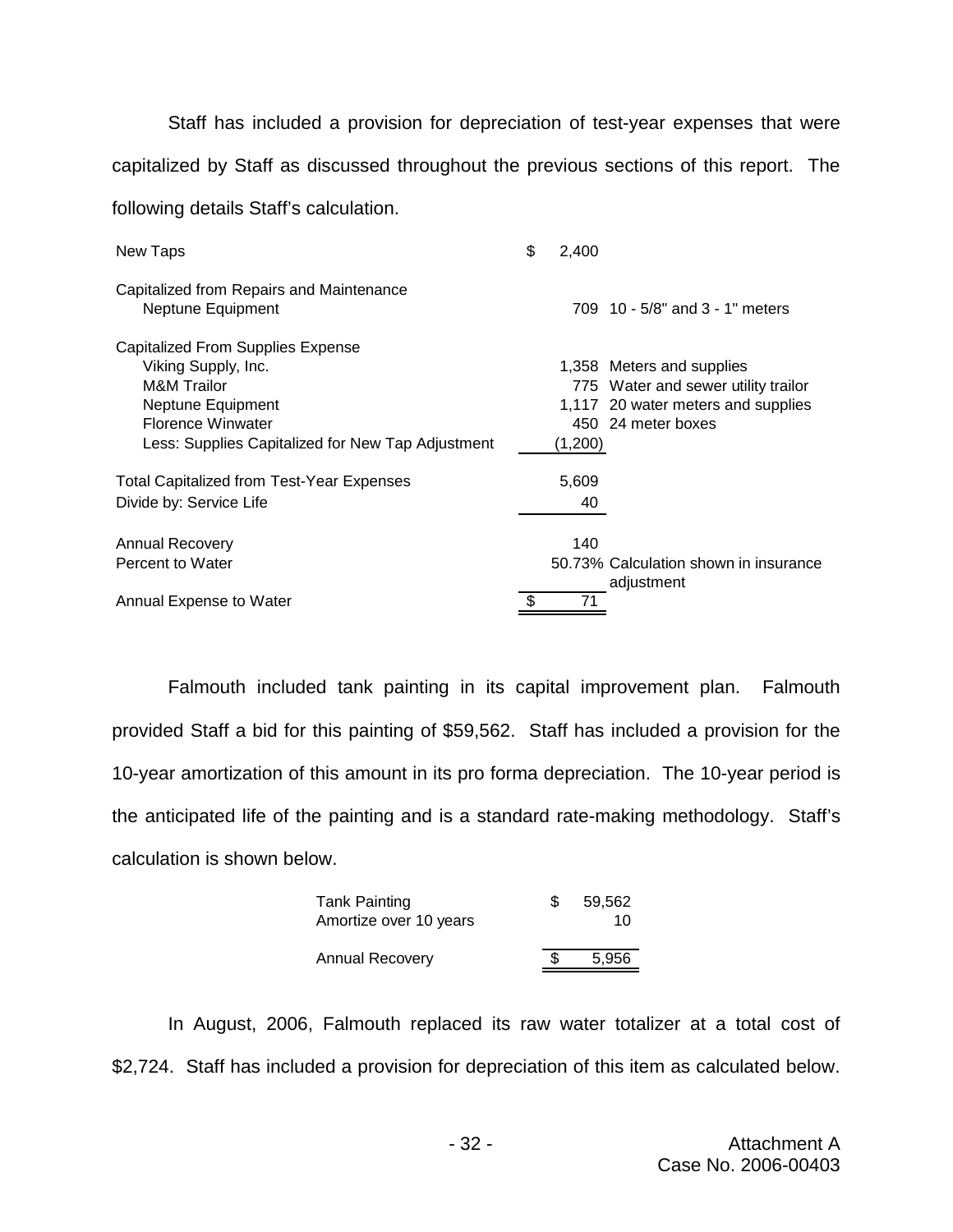Staff has included a provision for depreciation of test-year expenses that were capitalized by Staff as discussed throughout the previous sections of this report. The following details Staff's calculation.

| New Taps                                          | \$<br>2,400 |                                       |
|---------------------------------------------------|-------------|---------------------------------------|
| Capitalized from Repairs and Maintenance          |             |                                       |
| Neptune Equipment                                 |             | 709 10 - 5/8" and 3 - 1" meters       |
| Capitalized From Supplies Expense                 |             |                                       |
| Viking Supply, Inc.                               |             | 1,358 Meters and supplies             |
| <b>M&amp;M</b> Trailor                            |             | 775 Water and sewer utility trailor   |
| Neptune Equipment                                 |             | 1,117 20 water meters and supplies    |
| <b>Florence Winwater</b>                          |             | 450 24 meter boxes                    |
| Less: Supplies Capitalized for New Tap Adjustment | (1,200)     |                                       |
| <b>Total Capitalized from Test-Year Expenses</b>  | 5,609       |                                       |
| Divide by: Service Life                           | 40          |                                       |
| <b>Annual Recovery</b>                            | 140         |                                       |
| Percent to Water                                  |             | 50.73% Calculation shown in insurance |
| Annual Expense to Water                           | 71          | adjustment                            |

Falmouth included tank painting in its capital improvement plan. Falmouth provided Staff a bid for this painting of \$59,562. Staff has included a provision for the 10-year amortization of this amount in its pro forma depreciation. The 10-year period is the anticipated life of the painting and is a standard rate-making methodology. Staff's calculation is shown below.

| <b>Tank Painting</b><br>Amortize over 10 years | \$. | 59,562<br>10 |
|------------------------------------------------|-----|--------------|
| <b>Annual Recovery</b>                         |     | 5,956        |

In August, 2006, Falmouth replaced its raw water totalizer at a total cost of \$2,724. Staff has included a provision for depreciation of this item as calculated below.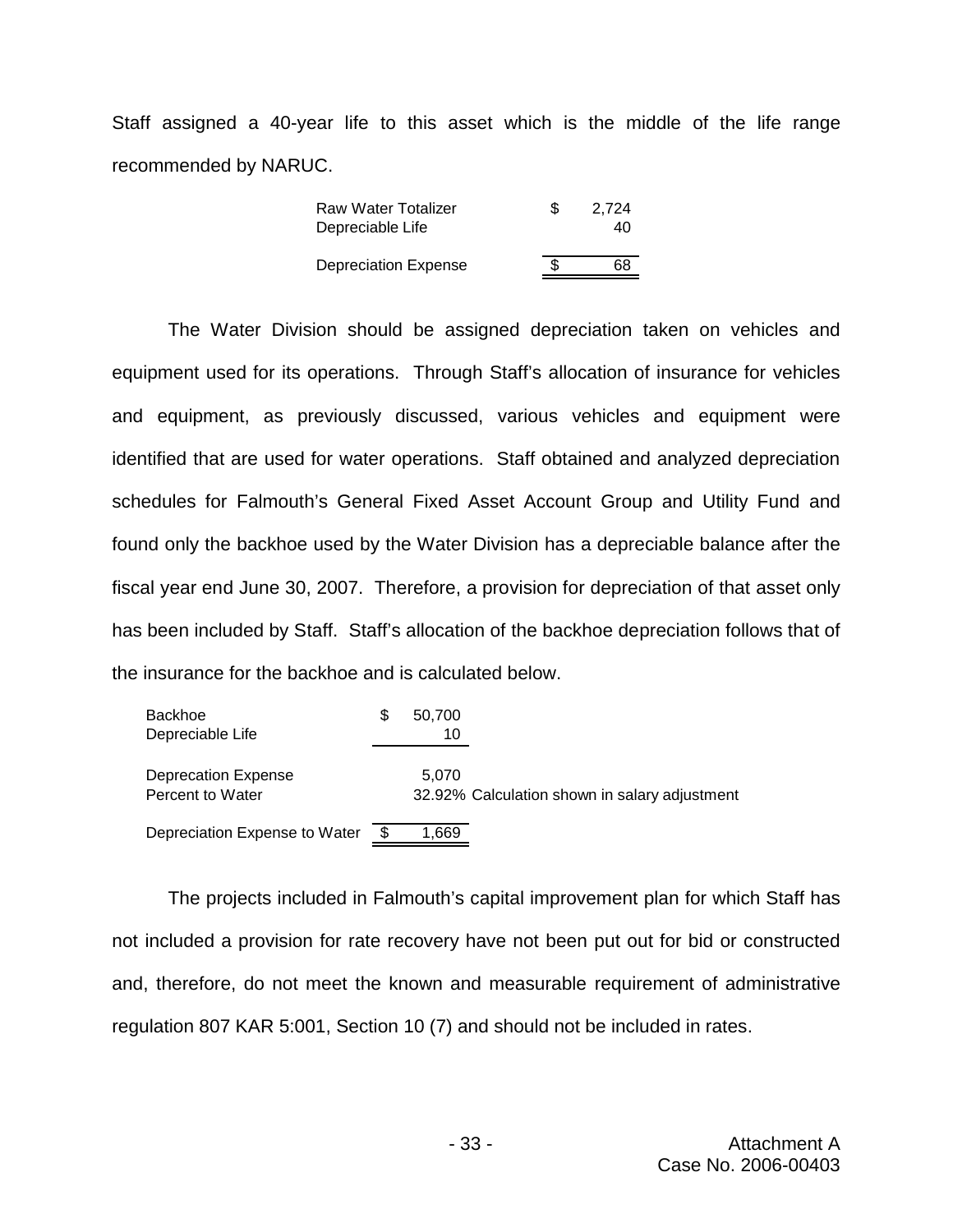Staff assigned a 40-year life to this asset which is the middle of the life range recommended by NARUC.

| Raw Water Totalizer         | \$  | 2.724 |
|-----------------------------|-----|-------|
| Depreciable Life            |     | 40    |
|                             |     |       |
| <b>Depreciation Expense</b> | \$. | 68    |

The Water Division should be assigned depreciation taken on vehicles and equipment used for its operations. Through Staff's allocation of insurance for vehicles and equipment, as previously discussed, various vehicles and equipment were identified that are used for water operations. Staff obtained and analyzed depreciation schedules for Falmouth's General Fixed Asset Account Group and Utility Fund and found only the backhoe used by the Water Division has a depreciable balance after the fiscal year end June 30, 2007. Therefore, a provision for depreciation of that asset only has been included by Staff. Staff's allocation of the backhoe depreciation follows that of the insurance for the backhoe and is calculated below.

| <b>Backhoe</b><br>Depreciable Life             | S | 50,700<br>10 |                                               |
|------------------------------------------------|---|--------------|-----------------------------------------------|
| <b>Deprecation Expense</b><br>Percent to Water |   | 5.070        | 32.92% Calculation shown in salary adjustment |
| Depreciation Expense to Water                  |   | 1,669        |                                               |

The projects included in Falmouth's capital improvement plan for which Staff has not included a provision for rate recovery have not been put out for bid or constructed and, therefore, do not meet the known and measurable requirement of administrative regulation 807 KAR 5:001, Section 10 (7) and should not be included in rates.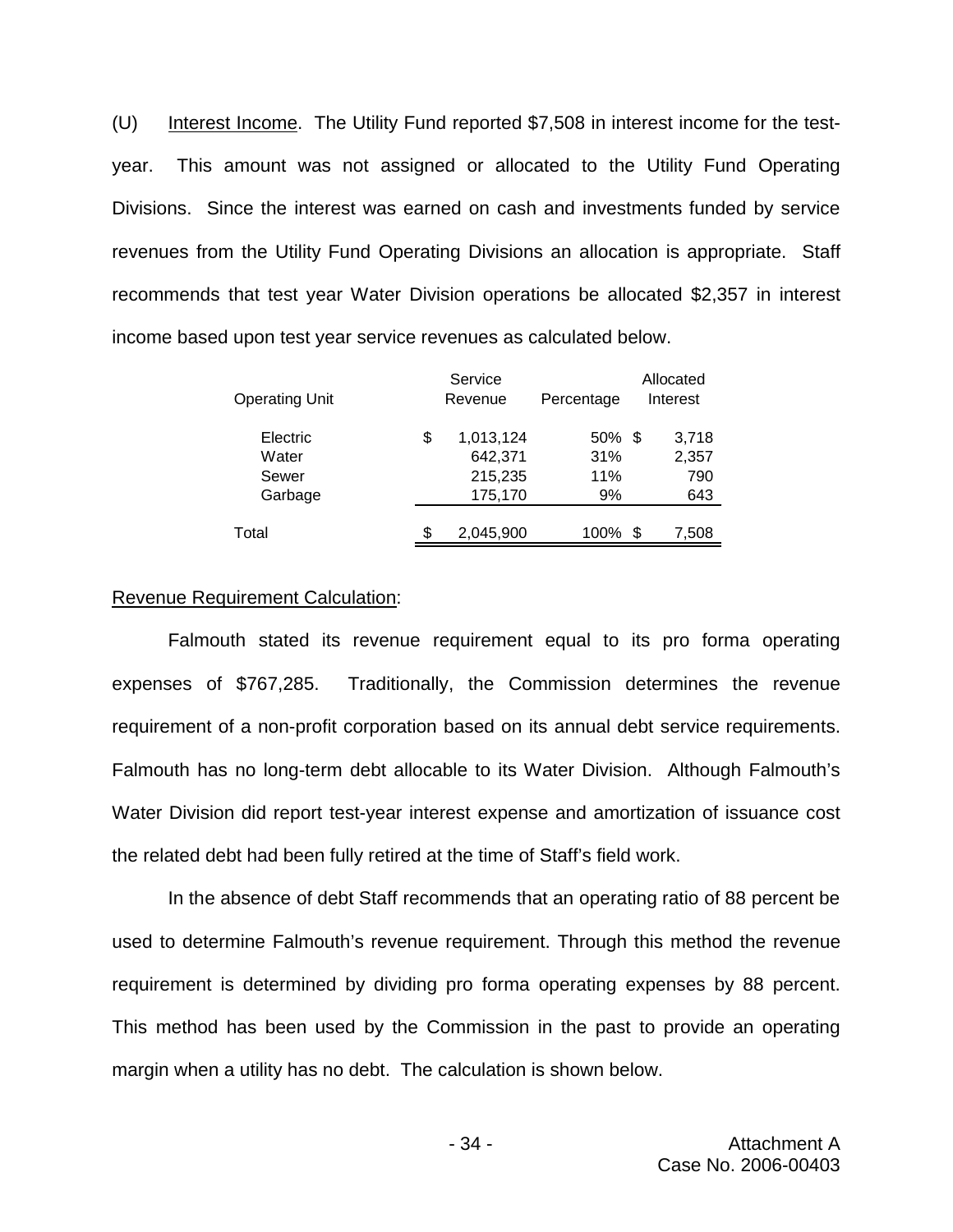(U) Interest Income. The Utility Fund reported \$7,508 in interest income for the testyear. This amount was not assigned or allocated to the Utility Fund Operating Divisions. Since the interest was earned on cash and investments funded by service revenues from the Utility Fund Operating Divisions an allocation is appropriate. Staff recommends that test year Water Division operations be allocated \$2,357 in interest income based upon test year service revenues as calculated below.

|                       | Service         |            |   | Allocated |
|-----------------------|-----------------|------------|---|-----------|
| <b>Operating Unit</b> | Revenue         | Percentage |   | Interest  |
| Electric              | \$<br>1,013,124 | $50\%$ \$  |   | 3,718     |
| Water                 | 642,371         | 31%        |   | 2,357     |
| Sewer                 | 215,235         | 11%        |   | 790       |
| Garbage               | 175,170         | 9%         |   | 643       |
|                       |                 |            |   |           |
| Total                 | \$<br>2,045,900 | 100%       | S | 7,508     |
|                       |                 |            |   |           |

#### Revenue Requirement Calculation:

Falmouth stated its revenue requirement equal to its pro forma operating expenses of \$767,285. Traditionally, the Commission determines the revenue requirement of a non-profit corporation based on its annual debt service requirements. Falmouth has no long-term debt allocable to its Water Division. Although Falmouth's Water Division did report test-year interest expense and amortization of issuance cost the related debt had been fully retired at the time of Staff's field work.

In the absence of debt Staff recommends that an operating ratio of 88 percent be used to determine Falmouth's revenue requirement. Through this method the revenue requirement is determined by dividing pro forma operating expenses by 88 percent. This method has been used by the Commission in the past to provide an operating margin when a utility has no debt. The calculation is shown below.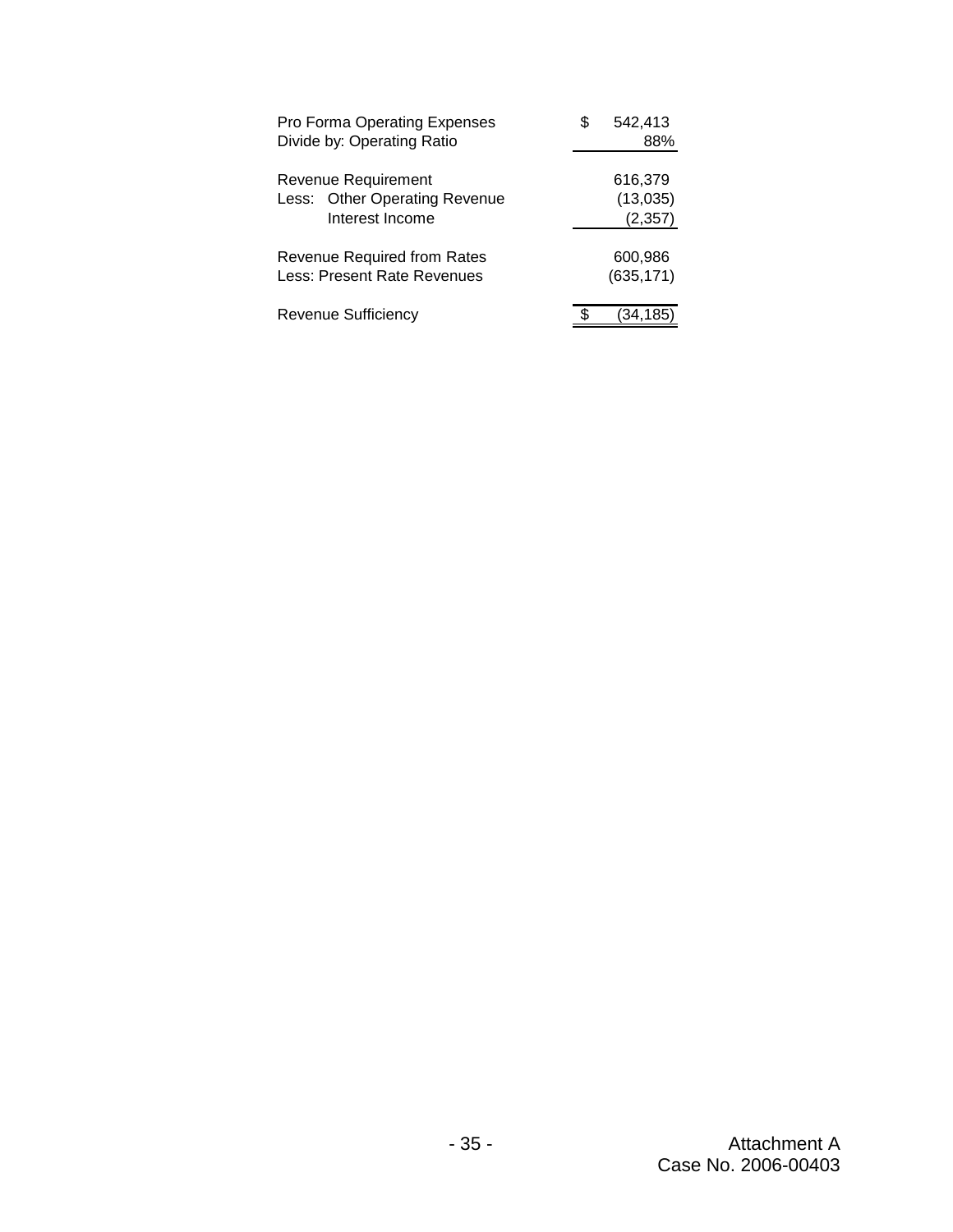| Pro Forma Operating Expenses<br>Divide by: Operating Ratio        | 542,413<br>88%        |
|-------------------------------------------------------------------|-----------------------|
| Revenue Requirement<br>Less: Other Operating Revenue              | 616,379<br>(13,035)   |
| Interest Income                                                   | (2, 357)              |
| <b>Revenue Required from Rates</b><br>Less: Present Rate Revenues | 600,986<br>(635, 171) |
| <b>Revenue Sufficiency</b>                                        | 134,185               |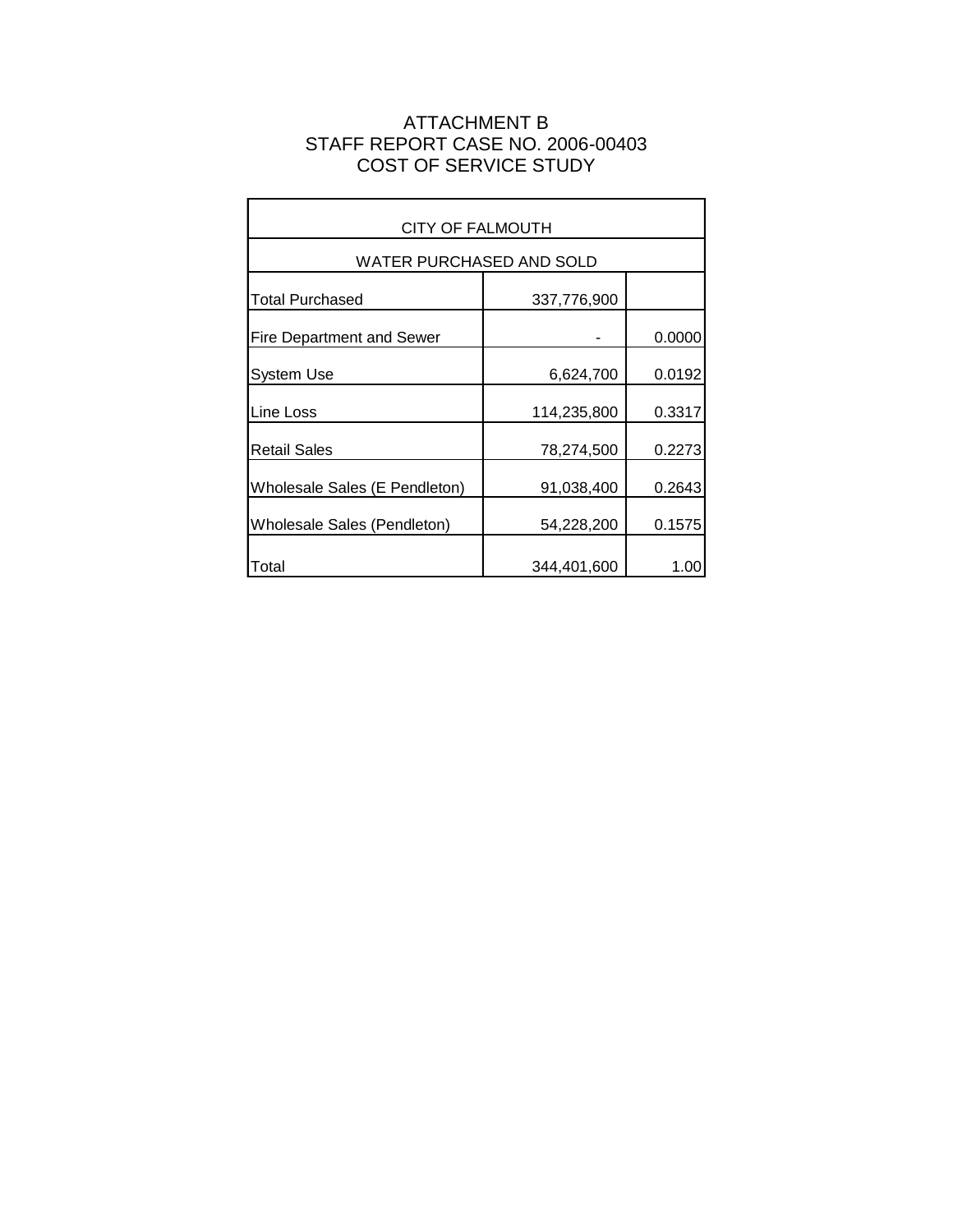# ATTACHMENT B STAFF REPORT CASE NO. 2006-00403 COST OF SERVICE STUDY

 $\blacksquare$ 

| <b>CITY OF FALMOUTH</b>            |             |        |  |  |  |  |  |
|------------------------------------|-------------|--------|--|--|--|--|--|
| WATER PURCHASED AND SOLD           |             |        |  |  |  |  |  |
| Total Purchased                    | 337,776,900 |        |  |  |  |  |  |
| <b>Fire Department and Sewer</b>   |             | 0.0000 |  |  |  |  |  |
| <b>System Use</b>                  | 6,624,700   | 0.0192 |  |  |  |  |  |
| Line Loss                          | 114,235,800 | 0.3317 |  |  |  |  |  |
| <b>Retail Sales</b>                | 78,274,500  | 0.2273 |  |  |  |  |  |
| Wholesale Sales (E Pendleton)      | 91,038,400  | 0.2643 |  |  |  |  |  |
| <b>Wholesale Sales (Pendleton)</b> | 54,228,200  | 0.1575 |  |  |  |  |  |
| Total                              | 344,401,600 | 1.00   |  |  |  |  |  |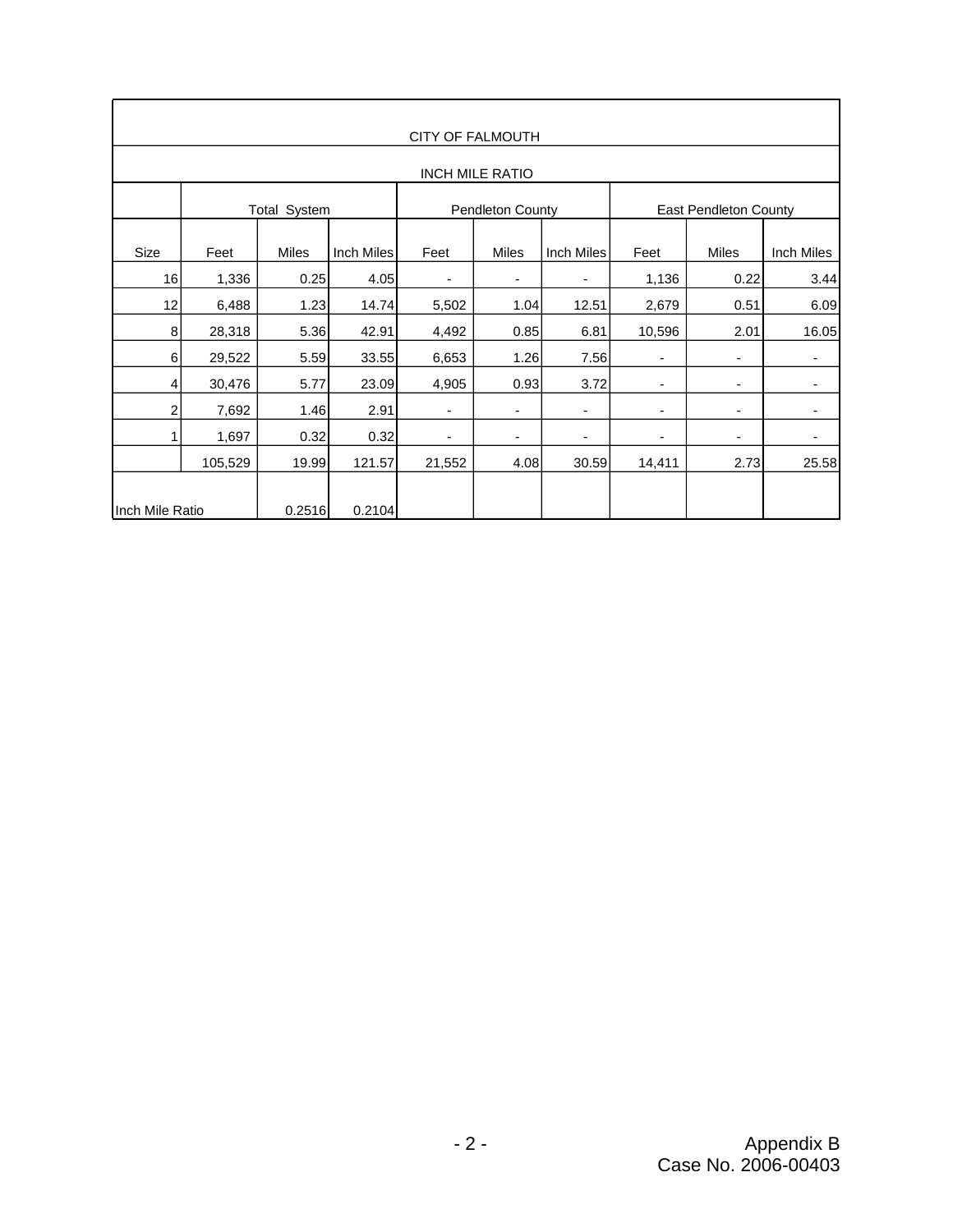| <b>CITY OF FALMOUTH</b> |                     |              |            |                         |              |                          |                          |              |            |
|-------------------------|---------------------|--------------|------------|-------------------------|--------------|--------------------------|--------------------------|--------------|------------|
| <b>INCH MILE RATIO</b>  |                     |              |            |                         |              |                          |                          |              |            |
|                         | <b>Total System</b> |              |            | <b>Pendleton County</b> |              |                          | East Pendleton County    |              |            |
| Size                    | Feet                | <b>Miles</b> | Inch Miles | Feet                    | <b>Miles</b> | Inch Miles               | Feet                     | <b>Miles</b> | Inch Miles |
| 16                      | 1,336               | 0.25         | 4.05       | ٠                       |              | $\overline{\phantom{a}}$ | 1,136                    | 0.22         | 3.44       |
| 12                      | 6,488               | 1.23         | 14.74      | 5,502                   | 1.04         | 12.51                    | 2,679                    | 0.51         | 6.09       |
| 8                       | 28,318              | 5.36         | 42.91      | 4,492                   | 0.85         | 6.81                     | 10,596                   | 2.01         | 16.05      |
| $6 \mid$                | 29,522              | 5.59         | 33.55      | 6,653                   | 1.26         | 7.56                     | ٠                        | ٠            | ۰          |
| $\overline{4}$          | 30,476              | 5.77         | 23.09      | 4,905                   | 0.93         | 3.72                     | ٠                        | ٠            |            |
| $\overline{2}$          | 7,692               | 1.46         | 2.91       | ٠                       | -            | -                        | $\overline{\phantom{a}}$ | ٠            | ٠          |
|                         | 1,697               | 0.32         | 0.32       | ٠                       |              | -                        | ٠                        | ۰            | -          |
|                         | 105,529             | 19.99        | 121.57     | 21,552                  | 4.08         | 30.59                    | 14,411                   | 2.73         | 25.58      |
| Inch Mile Ratio         |                     | 0.2516       | 0.2104     |                         |              |                          |                          |              |            |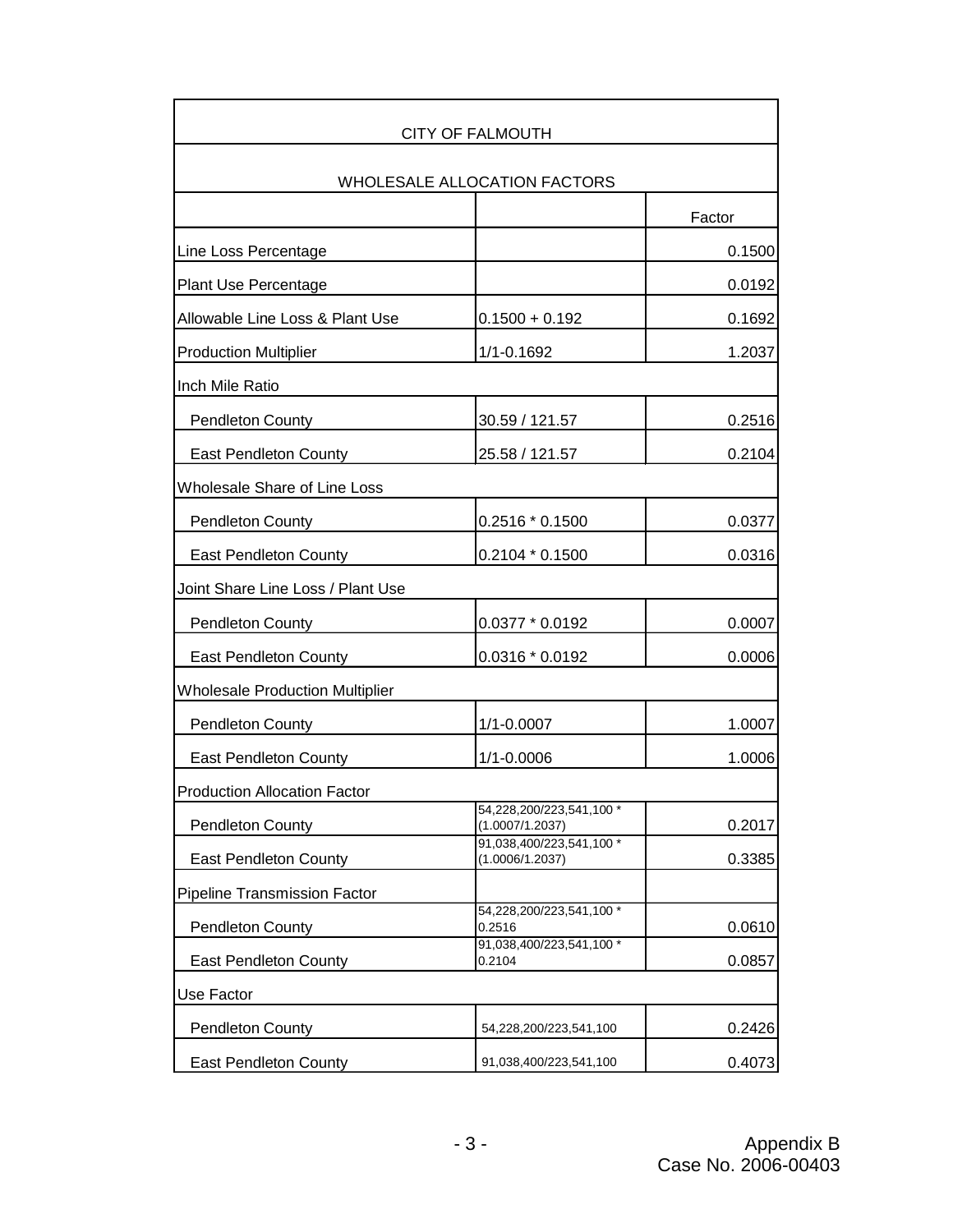|                                        | CITY OF FALMOUTH                            |        |
|----------------------------------------|---------------------------------------------|--------|
|                                        | WHOLESALE ALLOCATION FACTORS                |        |
|                                        |                                             | Factor |
| Line Loss Percentage                   |                                             | 0.1500 |
| <b>Plant Use Percentage</b>            |                                             | 0.0192 |
| Allowable Line Loss & Plant Use        | $0.1500 + 0.192$                            | 0.1692 |
| <b>Production Multiplier</b>           | 1/1-0.1692                                  | 1.2037 |
| Inch Mile Ratio                        |                                             |        |
| <b>Pendleton County</b>                | 30.59 / 121.57                              | 0.2516 |
| East Pendleton County                  | 25.58 / 121.57                              | 0.2104 |
| Wholesale Share of Line Loss           |                                             |        |
| <b>Pendleton County</b>                | $0.2516 * 0.1500$                           | 0.0377 |
| East Pendleton County                  | 0.2104 * 0.1500                             | 0.0316 |
| Joint Share Line Loss / Plant Use      |                                             |        |
| <b>Pendleton County</b>                | 0.0377 * 0.0192                             | 0.0007 |
| East Pendleton County                  | 0.0316 * 0.0192                             | 0.0006 |
| <b>Wholesale Production Multiplier</b> |                                             |        |
| <b>Pendleton County</b>                | $1/1 - 0.0007$                              | 1.0007 |
| <b>East Pendleton County</b>           | 1/1-0.0006                                  | 1.0006 |
| <b>Production Allocation Factor</b>    |                                             |        |
| <b>Pendleton County</b>                | 54,228,200/223,541,100 *<br>(1.0007/1.2037) | 0.2017 |
| East Pendleton County                  | 91,038,400/223,541,100 *<br>(1.0006/1.2037) | 0.3385 |
| <b>Pipeline Transmission Factor</b>    |                                             |        |
| <b>Pendleton County</b>                | 54,228,200/223,541,100 *<br>0.2516          | 0.0610 |
| <b>East Pendleton County</b>           | 91,038,400/223,541,100 *<br>0.2104          | 0.0857 |
| Use Factor                             |                                             |        |
| <b>Pendleton County</b>                | 54,228,200/223,541,100                      | 0.2426 |
| East Pendleton County                  | 91,038,400/223,541,100                      | 0.4073 |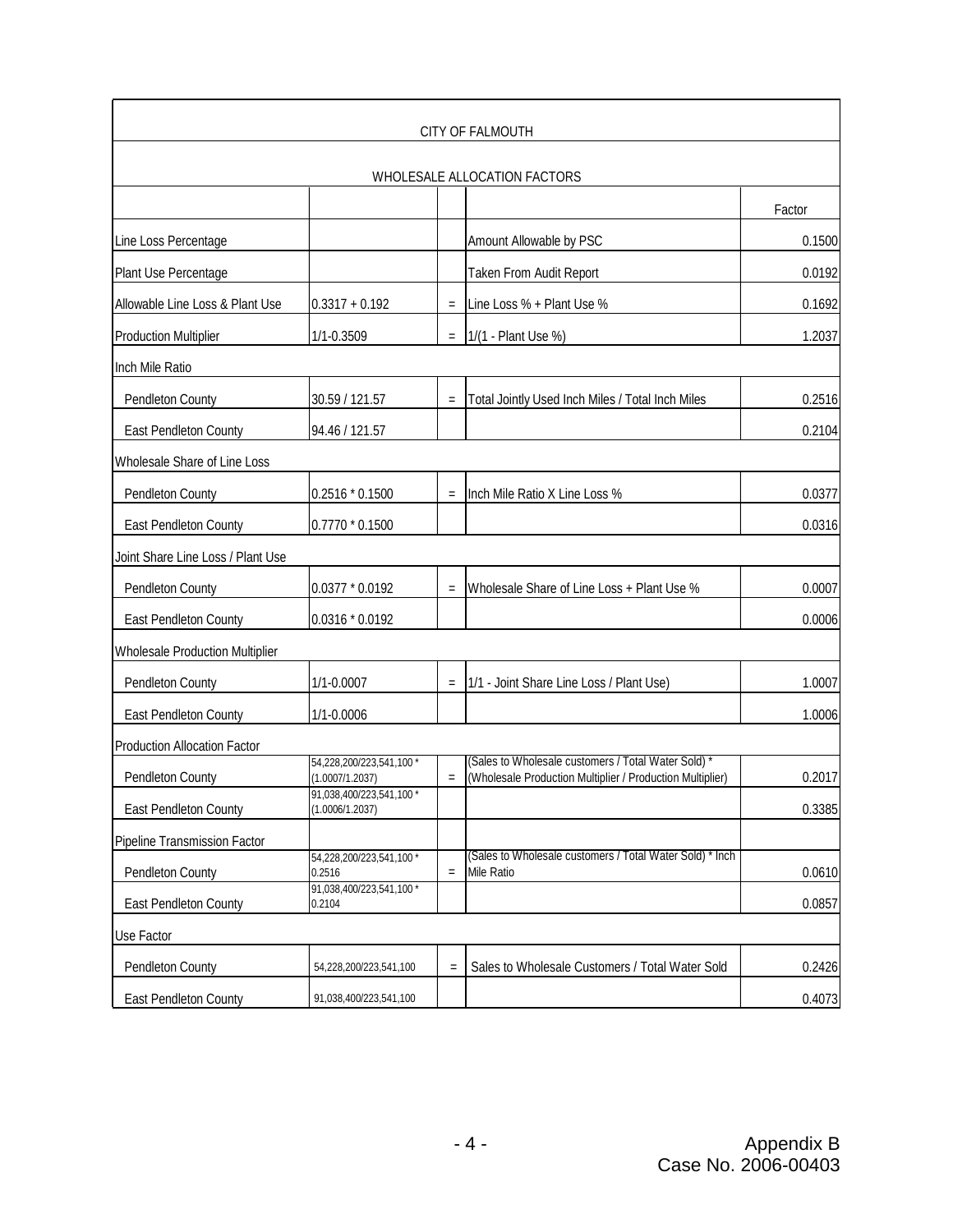|                                     |                                             |                   | <b>CITY OF FALMOUTH</b>                                                                                          |        |
|-------------------------------------|---------------------------------------------|-------------------|------------------------------------------------------------------------------------------------------------------|--------|
|                                     |                                             |                   | WHOLESALE ALLOCATION FACTORS                                                                                     |        |
|                                     |                                             |                   |                                                                                                                  | Factor |
| Line Loss Percentage                |                                             |                   | Amount Allowable by PSC                                                                                          | 0.1500 |
| Plant Use Percentage                |                                             |                   | Taken From Audit Report                                                                                          | 0.0192 |
| Allowable Line Loss & Plant Use     | $0.3317 + 0.192$                            | $\qquad \qquad =$ | Line Loss % + Plant Use %                                                                                        | 0.1692 |
| <b>Production Multiplier</b>        | 1/1-0.3509                                  | $=$               | 1/(1 - Plant Use %)                                                                                              | 1.2037 |
| Inch Mile Ratio                     |                                             |                   |                                                                                                                  |        |
| Pendleton County                    | 30.59 / 121.57                              | $\equiv$          | Total Jointly Used Inch Miles / Total Inch Miles                                                                 | 0.2516 |
| East Pendleton County               | 94.46 / 121.57                              |                   |                                                                                                                  | 0.2104 |
| Wholesale Share of Line Loss        |                                             |                   |                                                                                                                  |        |
| Pendleton County                    | 0.2516 * 0.1500                             | $=$               | Inch Mile Ratio X Line Loss %                                                                                    | 0.0377 |
| East Pendleton County               | 0.7770 * 0.1500                             |                   |                                                                                                                  | 0.0316 |
| Joint Share Line Loss / Plant Use   |                                             |                   |                                                                                                                  |        |
| Pendleton County                    | $0.0377 * 0.0192$                           | $\equiv$          | Wholesale Share of Line Loss + Plant Use %                                                                       | 0.0007 |
| East Pendleton County               | 0.0316 * 0.0192                             |                   |                                                                                                                  | 0.0006 |
| Wholesale Production Multiplier     |                                             |                   |                                                                                                                  |        |
| Pendleton County                    | $1/1 - 0.0007$                              | $\qquad \qquad =$ | 1/1 - Joint Share Line Loss / Plant Use)                                                                         | 1.0007 |
| East Pendleton County               | 1/1-0.0006                                  |                   |                                                                                                                  | 1.0006 |
| <b>Production Allocation Factor</b> |                                             |                   |                                                                                                                  |        |
| Pendleton County                    | 54,228,200/223,541,100 *<br>(1.0007/1.2037) | $\equiv$          | (Sales to Wholesale customers / Total Water Sold) *<br>(Wholesale Production Multiplier / Production Multiplier) | 0.2017 |
| <b>East Pendleton County</b>        | 91,038,400/223,541,100 *<br>(1.0006/1.2037) |                   |                                                                                                                  | 0.3385 |
| Pipeline Transmission Factor        |                                             |                   |                                                                                                                  |        |
| Pendleton County                    | 54,228,200/223,541,100 *<br>0.2516          | $\equiv$          | (Sales to Wholesale customers / Total Water Sold) * Inch<br>Mile Ratio                                           | 0.0610 |
| East Pendleton County               | 91,038,400/223,541,100 *<br>0.2104          |                   |                                                                                                                  | 0.0857 |
| Use Factor                          |                                             |                   |                                                                                                                  |        |
| <b>Pendleton County</b>             | 54,228,200/223,541,100                      | $=$               | Sales to Wholesale Customers / Total Water Sold                                                                  | 0.2426 |
| East Pendleton County               | 91,038,400/223,541,100                      |                   |                                                                                                                  | 0.4073 |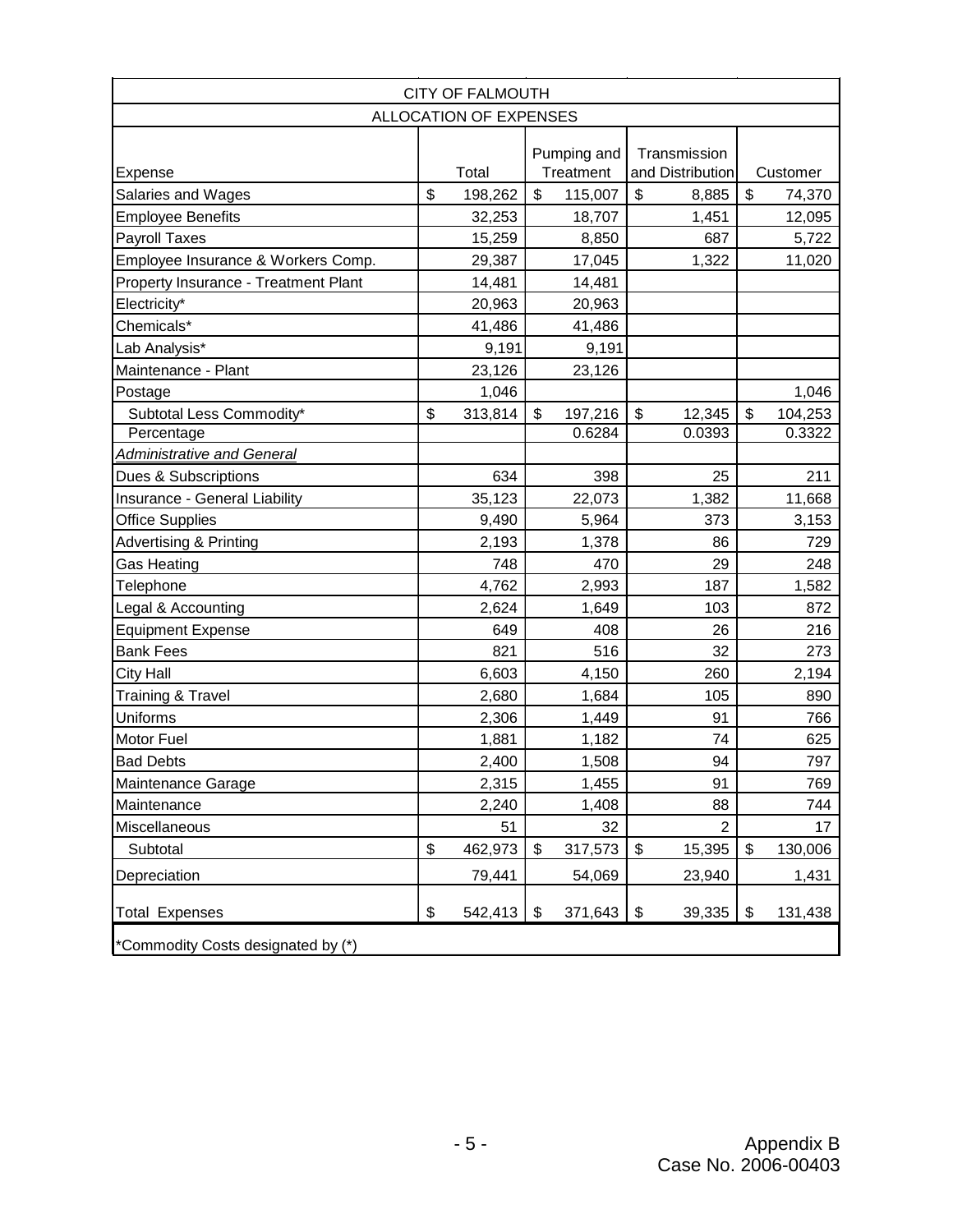| <b>CITY OF FALMOUTH</b>              |    |         |             |           |                                  |                |                           |          |
|--------------------------------------|----|---------|-------------|-----------|----------------------------------|----------------|---------------------------|----------|
| <b>ALLOCATION OF EXPENSES</b>        |    |         |             |           |                                  |                |                           |          |
|                                      |    |         | Pumping and |           | Transmission<br>and Distribution |                |                           |          |
| Expense                              |    | Total   |             | Treatment |                                  |                |                           | Customer |
| Salaries and Wages                   | \$ | 198,262 | \$          | 115,007   | $\boldsymbol{\mathsf{S}}$        | 8,885          | $\boldsymbol{\mathsf{S}}$ | 74,370   |
| <b>Employee Benefits</b>             |    | 32,253  |             | 18,707    |                                  | 1,451          |                           | 12,095   |
| <b>Payroll Taxes</b>                 |    | 15,259  |             | 8,850     |                                  | 687            |                           | 5,722    |
| Employee Insurance & Workers Comp.   |    | 29,387  |             | 17,045    |                                  | 1,322          |                           | 11,020   |
| Property Insurance - Treatment Plant |    | 14,481  |             | 14,481    |                                  |                |                           |          |
| Electricity*                         |    | 20,963  |             | 20,963    |                                  |                |                           |          |
| Chemicals*                           |    | 41,486  |             | 41,486    |                                  |                |                           |          |
| Lab Analysis*                        |    | 9,191   |             | 9,191     |                                  |                |                           |          |
| Maintenance - Plant                  |    | 23,126  |             | 23,126    |                                  |                |                           |          |
| Postage                              |    | 1,046   |             |           |                                  |                |                           | 1,046    |
| Subtotal Less Commodity*             | \$ | 313,814 | \$          | 197,216   | \$                               | 12,345         | \$                        | 104,253  |
| Percentage                           |    |         |             | 0.6284    |                                  | 0.0393         |                           | 0.3322   |
| Administrative and General           |    |         |             |           |                                  |                |                           |          |
| Dues & Subscriptions                 |    | 634     |             | 398       |                                  | 25             |                           | 211      |
| Insurance - General Liability        |    | 35,123  |             | 22,073    |                                  | 1,382          |                           | 11,668   |
| <b>Office Supplies</b>               |    | 9,490   |             | 5,964     |                                  | 373            |                           | 3,153    |
| <b>Advertising &amp; Printing</b>    |    | 2,193   |             | 1,378     |                                  | 86             |                           | 729      |
| Gas Heating                          |    | 748     |             | 470       |                                  | 29             |                           | 248      |
| Telephone                            |    | 4,762   |             | 2,993     |                                  | 187            |                           | 1,582    |
| Legal & Accounting                   |    | 2,624   |             | 1,649     |                                  | 103            |                           | 872      |
| <b>Equipment Expense</b>             |    | 649     |             | 408       |                                  | 26             |                           | 216      |
| <b>Bank Fees</b>                     |    | 821     |             | 516       |                                  | 32             |                           | 273      |
| <b>City Hall</b>                     |    | 6,603   |             | 4,150     |                                  | 260            |                           | 2,194    |
| <b>Training &amp; Travel</b>         |    | 2,680   |             | 1,684     |                                  | 105            |                           | 890      |
| <b>Uniforms</b>                      |    | 2,306   |             | 1,449     |                                  | 91             |                           | 766      |
| <b>Motor Fuel</b>                    |    | 1,881   |             | 1,182     |                                  | 74             |                           | 625      |
| <b>Bad Debts</b>                     |    | 2,400   |             | 1,508     |                                  | 94             |                           | 797      |
| Maintenance Garage                   |    | 2,315   |             | 1,455     |                                  | 91             |                           | 769      |
| Maintenance                          |    | 2,240   |             | 1,408     |                                  | 88             |                           | 744      |
| Miscellaneous                        |    | 51      |             | 32        |                                  | $\overline{2}$ |                           | 17       |
| Subtotal                             | \$ | 462,973 | \$          | 317,573   | \$                               | 15,395         | \$                        | 130,006  |
| Depreciation                         |    | 79,441  |             | 54,069    |                                  | 23,940         |                           | 1,431    |
| <b>Total Expenses</b>                | \$ | 542,413 | \$          | 371,643   | \$                               | 39,335         | \$                        | 131,438  |
| *Commodity Costs designated by (*)   |    |         |             |           |                                  |                |                           |          |